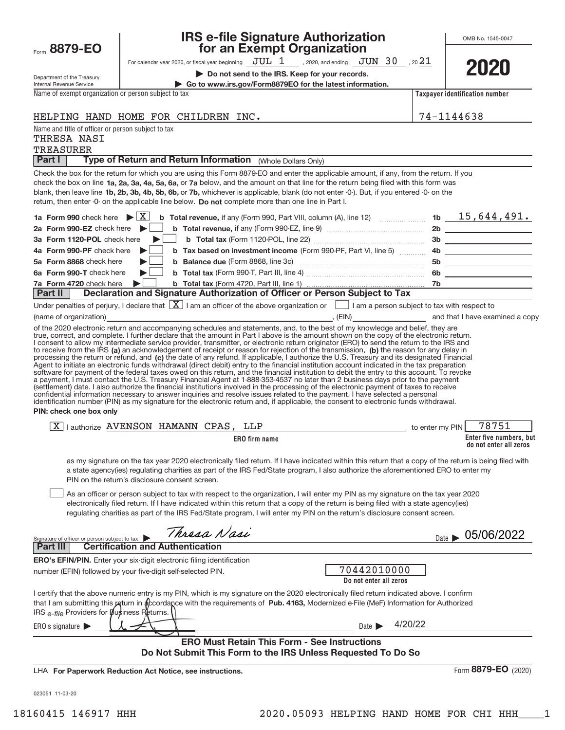| Form | 879-<br>┯ |  |
|------|-----------|--|
|------|-----------|--|

### **IRS e‐file Signature Authorization 887 for an Exempt Organization**

OMB No. 1545‐0047

| Department of the Treasury |  |
|----------------------------|--|

For calendar year 2020, or fiscal year beginning  $\rm\,JUL~$   $1$   $\rm\,$  , 2020, and ending  $\rm\,JUN~$   $30$   $\rm\,$  , 20 $21$ 

**| Do not send to the IRS. Keep for your records.**



Internal Revenue Service

Name of exempt organization or person subject to tax

**| Go to www.irs.gov/Form8879EO for the latest information.**

**Taxpayer identification number**

74–1144638

|  |  | HELPING HAND HOME FOR CHILDREN INC. |  |
|--|--|-------------------------------------|--|
|  |  |                                     |  |

Name and title of officer or person subject to tax

## THRESA NASI

TREASURER

**Part I | Type of Return and Return Information** (Whole Dollars Only)

check the box on line **1a, 2a, 3a, 4a, 5a, 6a, or 7a** below, and the amount on that line for the return being filed with this form was blank, then leave line 1b, 2b, 3b, 4b, 5b, 6b, or 7b, whichever is applicable, blank (do not enter *-*0-). But, if you entered *-*0- on the return, then enter -0- on the applicable line below. Do not complete more than one line in Part I. Check the box for the return for which you are using this Form 8879‐EO and enter the applicable amount, if any, from the return. If you

|  | 4b Form 990-PF check here <b>b</b> b Tax based on investment income (Form 990-PF, Part VI, line 5)  4b |    |  |
|--|--------------------------------------------------------------------------------------------------------|----|--|
|  |                                                                                                        | 5b |  |
|  |                                                                                                        | 6b |  |
|  |                                                                                                        |    |  |
|  | <b>Part II Declaration and Signature Authorization of Officer or Person Subject to Tax</b>             |    |  |

| Under penalties of perjury, I declare that $\boxed{X}$ I am an officer of the above organization or $\boxed{\phantom{1}}$ I am a person subject to tax with respect to |       |                                 |
|------------------------------------------------------------------------------------------------------------------------------------------------------------------------|-------|---------------------------------|
| (name of organization)                                                                                                                                                 | (EIN) | and that I have examined a copy |

to receive from the IRS (a) an acknowledgement of receipt or reason for rejection of the transmission, (b) the reason for any delay in processing the return or refund, and (c) the date of any refund. If applicable, I authorize the U.S. Treasury and its designated Financial of the 2020 electronic return and accompanying schedules and statements, and, to the best of my knowledge and belief, they are true, correct, and complete. I further declare that the amount in Part I above is the amount shown on the copy of the electronic return. I consent to allow my intermediate service provider, transmitter, or electronic return originator (ERO) to send the return to the IRS and Agent to initiate an electronic funds withdrawal (direct debit) entry to the financial institution account indicated in the tax preparation<br>software for payment of the federal taxes owed on this return, and the financial i a payment, I must contact the U.S. Treasury Financial Agent at 1‐888‐353‐4537 no later than 2 business days prior to the payment (settlement) date. I also authorize the financial institutions involved in the processing of the electronic payment of taxes to receive<br>confidential information necessary to answer inquiries and resolve issues related to t identification number (PIN) as my signature for the electronic return and, if applicable, the consent to electronic funds withdrawal.

### **PIN: check one box only**

| रु<br><b>HAMANN</b><br><b>CPAS</b><br>LLP<br>VENSON<br>$\triangleright$<br>authorize .<br>▵ | $\alpha$ . O 7 F $\gamma$<br><b>PIN</b><br>my<br>enter<br>to |
|---------------------------------------------------------------------------------------------|--------------------------------------------------------------|
| ERO                                                                                         | Enter five numbers, but                                      |
| ) firm name                                                                                 | do not enter all zeros                                       |

as my signature on the tax year 2020 electronically filed return. If I have indicated within this return that a copy of the return is being filed with a state agency(ies) regulating charities as part of the IRS Fed/State program, I also authorize the aforementioned ERO to enter my PIN on the return's disclosure consent screen.

As an officer or person subject to tax with respect to the organization, I will enter my PIN as my signature on the tax year 2020 electronically filed return. If I have indicated within this return that a copy of the return is being filed with a state agency(ies) regulating charities as part of the IRS Fed/State program, I will enter my PIN on the return's disclosure consent screen.  $\begin{array}{c} \hline \end{array}$ 

| Thresa Nasi<br>Signature of officer or person subject to tax                                                                               | 05/06/2022<br>Date $\blacksquare$ |
|--------------------------------------------------------------------------------------------------------------------------------------------|-----------------------------------|
| <b>Certification and Authentication</b><br>Part III                                                                                        |                                   |
| <b>ERO's EFIN/PIN.</b> Enter your six-digit electronic filing identification                                                               |                                   |
| number (EFIN) followed by your five-digit self-selected PIN.                                                                               | 70442010000                       |
|                                                                                                                                            | Do not enter all zeros            |
| I certify that the above numeric entry is my PIN, which is my signature on the 2020 electronically filed return indicated above. I confirm |                                   |
| that I am submitting this return in accordance with the requirements of Pub. 4163, Modernized e-File (MeF) Information for Authorized      |                                   |
| IRS e-file Providers for pusiness Returns.                                                                                                 |                                   |
| ERO's signature $\blacktriangleright$                                                                                                      | 4/20/22<br>Date I                 |

### **ERO Must Retain This Form ‐ See Instructions Do Not Submit This Form to the IRS Unless Requested To Do So**

**For Paperwork Reduction Act Notice, see instructions.** LHA

Form (2020) **8879‐EO**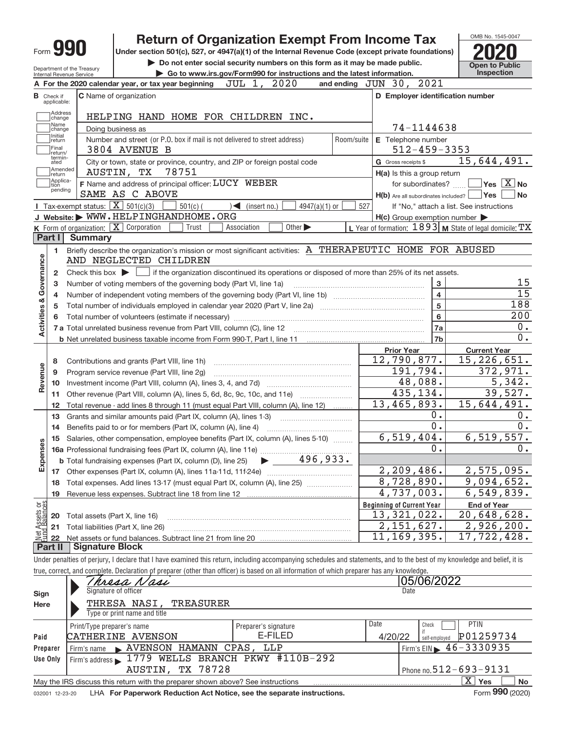|                                                                                                                                  |                                  |                                                                 | <b>Return of Organization Exempt From Income Tax</b>                                                                                                                                                                                     |            |                                                         |                                            | OMB No. 1545-0047                                           |
|----------------------------------------------------------------------------------------------------------------------------------|----------------------------------|-----------------------------------------------------------------|------------------------------------------------------------------------------------------------------------------------------------------------------------------------------------------------------------------------------------------|------------|---------------------------------------------------------|--------------------------------------------|-------------------------------------------------------------|
|                                                                                                                                  |                                  | Form YYU                                                        | Under section 501(c), 527, or 4947(a)(1) of the Internal Revenue Code (except private foundations)                                                                                                                                       |            |                                                         |                                            |                                                             |
| Do not enter social security numbers on this form as it may be made public.                                                      |                                  |                                                                 |                                                                                                                                                                                                                                          |            |                                                         |                                            |                                                             |
| Department of the Treasury<br>Go to www.irs.gov/Form990 for instructions and the latest information.<br>Internal Revenue Service |                                  |                                                                 |                                                                                                                                                                                                                                          |            |                                                         | <b>Open to Public</b><br><b>Inspection</b> |                                                             |
|                                                                                                                                  |                                  |                                                                 | JUL 1,<br>2020<br>A For the 2020 calendar year, or tax year beginning                                                                                                                                                                    |            | and ending JUN 30, 2021                                 |                                            |                                                             |
|                                                                                                                                  | <b>B</b> Check if<br>applicable: |                                                                 | C Name of organization                                                                                                                                                                                                                   |            | D Employer identification number                        |                                            |                                                             |
|                                                                                                                                  | Address<br>change                |                                                                 | HELPING HAND HOME FOR CHILDREN INC.                                                                                                                                                                                                      |            |                                                         |                                            |                                                             |
|                                                                                                                                  | Name<br>change                   |                                                                 | Doing business as                                                                                                                                                                                                                        |            | 74-1144638                                              |                                            |                                                             |
|                                                                                                                                  | Initial<br>return                |                                                                 | Number and street (or P.O. box if mail is not delivered to street address)                                                                                                                                                               | Room/suite | E Telephone number                                      |                                            |                                                             |
|                                                                                                                                  | Final<br>return/                 |                                                                 | 3804 AVENUE B                                                                                                                                                                                                                            |            | $512 - 459 - 3353$                                      |                                            |                                                             |
|                                                                                                                                  | termin-<br>ated                  |                                                                 | City or town, state or province, country, and ZIP or foreign postal code                                                                                                                                                                 |            | G Gross receipts \$                                     |                                            | 15,644,491.                                                 |
|                                                                                                                                  | Amended<br>return                |                                                                 | 78751<br>AUSTIN, TX                                                                                                                                                                                                                      |            | H(a) Is this a group return                             |                                            |                                                             |
|                                                                                                                                  | Applica-<br>tion                 |                                                                 | F Name and address of principal officer: LUCY WEBER                                                                                                                                                                                      |            | for subordinates? []                                    |                                            | $\sqrt{}$ Yes $\sqrt{}$ X $\sqrt{}$ No                      |
|                                                                                                                                  | pending                          |                                                                 | SAME AS C ABOVE                                                                                                                                                                                                                          |            | $H(b)$ Are all subordinates included? $\Box$ Yes $\Box$ |                                            | No                                                          |
|                                                                                                                                  |                                  | <b>I</b> Tax-exempt status: $\boxed{\mathbf{X}}$ 501(c)(3)      | $\sqrt{\frac{2}{1}}$ (insert no.)<br>$501(c)$ (<br>$4947(a)(1)$ or                                                                                                                                                                       | 527        |                                                         |                                            | If "No," attach a list. See instructions                    |
|                                                                                                                                  |                                  |                                                                 | J Website: WWW.HELPINGHANDHOME.ORG                                                                                                                                                                                                       |            | $H(c)$ Group exemption number $\blacktriangleright$     |                                            |                                                             |
|                                                                                                                                  |                                  | <b>K</b> Form of organization: $\boxed{\mathbf{X}}$ Corporation | Other $\blacktriangleright$<br>Trust<br>Association                                                                                                                                                                                      |            |                                                         |                                            | L Year of formation: $1893$ M State of legal domicile: $TX$ |
|                                                                                                                                  | Part I                           | <b>Summary</b>                                                  |                                                                                                                                                                                                                                          |            |                                                         |                                            |                                                             |
|                                                                                                                                  | 1                                |                                                                 | Briefly describe the organization's mission or most significant activities: A THERAPEUTIC HOME FOR ABUSED                                                                                                                                |            |                                                         |                                            |                                                             |
|                                                                                                                                  |                                  |                                                                 | AND NEGLECTED CHILDREN                                                                                                                                                                                                                   |            |                                                         |                                            |                                                             |
| Activities & Governance                                                                                                          | $\overline{2}$                   |                                                                 |                                                                                                                                                                                                                                          |            |                                                         |                                            |                                                             |
|                                                                                                                                  | 3                                |                                                                 | Number of voting members of the governing body (Part VI, line 1a)                                                                                                                                                                        |            |                                                         | 3                                          | 15                                                          |
|                                                                                                                                  | 4                                |                                                                 |                                                                                                                                                                                                                                          |            |                                                         | $\overline{\mathbf{4}}$                    | $\overline{15}$                                             |
|                                                                                                                                  | 5                                |                                                                 |                                                                                                                                                                                                                                          |            |                                                         | 5                                          | 188                                                         |
|                                                                                                                                  | 6                                |                                                                 |                                                                                                                                                                                                                                          |            |                                                         | 6                                          | 200                                                         |
|                                                                                                                                  |                                  |                                                                 |                                                                                                                                                                                                                                          |            |                                                         | 7a                                         | 0.<br>0.                                                    |
|                                                                                                                                  |                                  |                                                                 | <b>b</b> Net unrelated business taxable income from Form 990-T, Part I, line 11 <b>Marting the Contract Control</b> by Net unconstant the U.S. of the U.S. of the U.S. of the U.S. of the U.S. of the U.S. of the U.S. of the U.S. of th |            |                                                         | 7 <sub>b</sub>                             |                                                             |
|                                                                                                                                  |                                  |                                                                 |                                                                                                                                                                                                                                          |            | <b>Prior Year</b><br>12,790,877.                        |                                            | <b>Current Year</b><br>15, 226, 651.                        |
|                                                                                                                                  | 8                                |                                                                 | Contributions and grants (Part VIII, line 1h)                                                                                                                                                                                            |            | 191,794.                                                |                                            | 372,971.                                                    |
| Revenue                                                                                                                          | 9                                |                                                                 | Program service revenue (Part VIII, line 2g)                                                                                                                                                                                             |            | 48,088.                                                 |                                            | 5,342.                                                      |
|                                                                                                                                  | 10                               |                                                                 |                                                                                                                                                                                                                                          |            | 435, 134.                                               |                                            | 39,527.                                                     |
|                                                                                                                                  | 11                               |                                                                 | Other revenue (Part VIII, column (A), lines 5, 6d, 8c, 9c, 10c, and 11e)                                                                                                                                                                 |            | 13,465,893.                                             |                                            | 15,644,491.                                                 |
|                                                                                                                                  | 12                               |                                                                 | Total revenue - add lines 8 through 11 (must equal Part VIII, column (A), line 12)                                                                                                                                                       |            |                                                         | 0.                                         | 0.                                                          |
|                                                                                                                                  | 13                               |                                                                 | Grants and similar amounts paid (Part IX, column (A), lines 1-3)                                                                                                                                                                         |            |                                                         | 0.                                         | 0.                                                          |
|                                                                                                                                  | 14                               |                                                                 | Benefits paid to or for members (Part IX, column (A), line 4)                                                                                                                                                                            |            | 6,519,404.                                              |                                            | 6, 519, 557.                                                |
| w                                                                                                                                | 15                               |                                                                 | Salaries, other compensation, employee benefits (Part IX, column (A), lines 5-10)                                                                                                                                                        |            |                                                         | 0.                                         | 0.                                                          |
| Expenser                                                                                                                         |                                  |                                                                 | $\blacktriangleright$ 496,933.<br><b>b</b> Total fundraising expenses (Part IX, column (D), line 25)                                                                                                                                     |            |                                                         |                                            |                                                             |
|                                                                                                                                  |                                  |                                                                 |                                                                                                                                                                                                                                          |            | $\overline{2,209,486}$ .                                |                                            | 2,575,095.                                                  |
|                                                                                                                                  | 17<br>18                         |                                                                 | Total expenses. Add lines 13-17 (must equal Part IX, column (A), line 25)                                                                                                                                                                |            | 8,728,890.                                              |                                            | 9,094,652.                                                  |
|                                                                                                                                  | 19                               |                                                                 |                                                                                                                                                                                                                                          |            | $\overline{4,737}$ , 003.                               |                                            | 6, 549, 839.                                                |
|                                                                                                                                  |                                  |                                                                 |                                                                                                                                                                                                                                          |            | <b>Beginning of Current Year</b>                        |                                            | <b>End of Year</b>                                          |
|                                                                                                                                  | 20                               | Total assets (Part X, line 16)                                  |                                                                                                                                                                                                                                          |            | 13,321,022.                                             |                                            | 20,648,628.                                                 |
|                                                                                                                                  | 21                               |                                                                 | Total liabilities (Part X, line 26)                                                                                                                                                                                                      |            | 2,151,627.                                              |                                            | 2,926,200.                                                  |
| Net Assets or                                                                                                                    | 22                               |                                                                 |                                                                                                                                                                                                                                          |            | 11, 169, 395.                                           |                                            | 17,722,428.                                                 |
|                                                                                                                                  | Part II                          | <b>Signature Block</b>                                          |                                                                                                                                                                                                                                          |            |                                                         |                                            |                                                             |
|                                                                                                                                  |                                  |                                                                 | Under penalties of perjury, I declare that I have examined this return, including accompanying schedules and statements, and to the best of my knowledge and belief, it is                                                               |            |                                                         |                                            |                                                             |
|                                                                                                                                  |                                  |                                                                 | true, correct, and complete. Declaration of preparer (other than officer) is based on all information of which preparer has any knowledge.                                                                                               |            |                                                         |                                            |                                                             |

|          | Thresa Nasi                                                                     |                      |                              | 05/06/2022                                   |  |  |  |
|----------|---------------------------------------------------------------------------------|----------------------|------------------------------|----------------------------------------------|--|--|--|
| Sign     | Signature of officer                                                            |                      | Date                         |                                              |  |  |  |
| Here     | THRESA NASI, TREASURER                                                          |                      |                              |                                              |  |  |  |
|          | Type or print name and title                                                    |                      |                              |                                              |  |  |  |
|          | Print/Type preparer's name                                                      | Preparer's signature | Date                         | <b>PTIN</b><br>Check                         |  |  |  |
| Paid     | CATHERINE AVENSON                                                               | E-FILED              | 4/20/22                      | P01259734<br>self-emploved                   |  |  |  |
| Preparer | NAVENSON HAMANN CPAS, LLP<br>Firm's name                                        |                      |                              | $I$ Firm's EIN $\triangleright$ 46 - 3330935 |  |  |  |
| Use Only | Firm's address 1779 WELLS BRANCH PKWY #110B-292                                 |                      |                              |                                              |  |  |  |
|          | AUSTIN, TX 78728                                                                |                      | Phone no. $512 - 693 - 9131$ |                                              |  |  |  |
|          | May the IRS discuss this return with the preparer shown above? See instructions |                      |                              | $\overline{X}$ Yes<br><b>No</b>              |  |  |  |
|          | $F = 000 \text{ (0000)}$                                                        |                      |                              |                                              |  |  |  |

032001 12-23-20 LHA **For Paperwork Reduction Act Notice, see the separate instructions.** Form 990 (2020)

Form **990** (2020)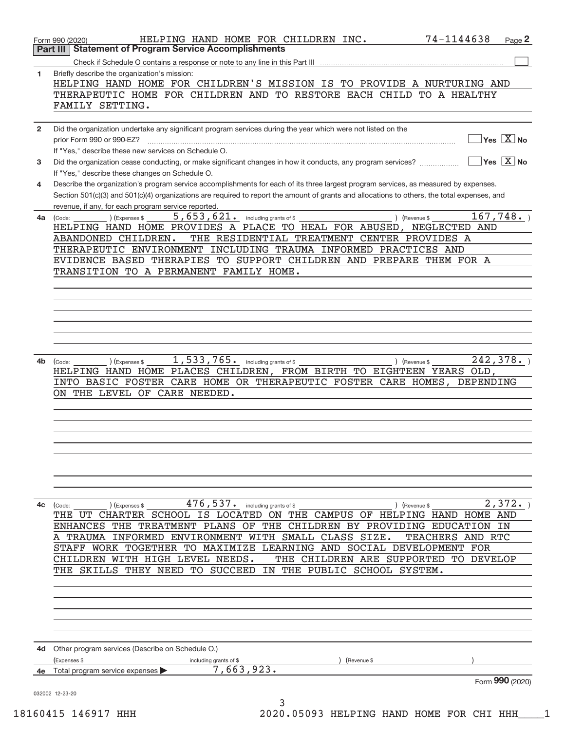|                | 74-1144638<br>HELPING HAND HOME FOR CHILDREN INC.<br>Form 990 (2020)<br><b>Part III   Statement of Program Service Accomplishments</b>                                                                                                                                                                                                      |                                           | Page 2 |
|----------------|---------------------------------------------------------------------------------------------------------------------------------------------------------------------------------------------------------------------------------------------------------------------------------------------------------------------------------------------|-------------------------------------------|--------|
|                |                                                                                                                                                                                                                                                                                                                                             |                                           |        |
| 1              | Briefly describe the organization's mission:<br>HELPING HAND HOME FOR CHILDREN'S MISSION IS TO PROVIDE A NURTURING AND<br>THERAPEUTIC HOME FOR CHILDREN AND TO RESTORE EACH CHILD TO A HEALTHY                                                                                                                                              |                                           |        |
|                | FAMILY SETTING.                                                                                                                                                                                                                                                                                                                             |                                           |        |
| $\overline{2}$ | Did the organization undertake any significant program services during the year which were not listed on the<br>prior Form 990 or 990-EZ?                                                                                                                                                                                                   | $\overline{\ }$ Yes $\overline{\ \ X}$ No |        |
|                | If "Yes," describe these new services on Schedule O.                                                                                                                                                                                                                                                                                        |                                           |        |
| 3              | Did the organization cease conducting, or make significant changes in how it conducts, any program services?<br>If "Yes," describe these changes on Schedule O.                                                                                                                                                                             | $\overline{Y}$ es $\overline{X}$ No       |        |
| 4              | Describe the organization's program service accomplishments for each of its three largest program services, as measured by expenses.<br>Section 501(c)(3) and 501(c)(4) organizations are required to report the amount of grants and allocations to others, the total expenses, and<br>revenue, if any, for each program service reported. |                                           |        |
| 4a             | $5,653,621$ and including grants of \$<br>) (Revenue \$<br>(Expenses \$<br>(Code:                                                                                                                                                                                                                                                           | 167,748.                                  |        |
|                | HELPING HAND HOME PROVIDES A PLACE TO HEAL FOR ABUSED, NEGLECTED AND                                                                                                                                                                                                                                                                        |                                           |        |
|                | THE RESIDENTIAL TREATMENT CENTER PROVIDES A<br>ABANDONED CHILDREN.                                                                                                                                                                                                                                                                          |                                           |        |
|                | THERAPEUTIC ENVIRONMENT INCLUDING TRAUMA INFORMED PRACTICES AND                                                                                                                                                                                                                                                                             |                                           |        |
|                | EVIDENCE BASED THERAPIES TO SUPPORT CHILDREN AND PREPARE THEM FOR A                                                                                                                                                                                                                                                                         |                                           |        |
|                | TRANSITION TO A PERMANENT FAMILY HOME.                                                                                                                                                                                                                                                                                                      |                                           |        |
|                |                                                                                                                                                                                                                                                                                                                                             |                                           |        |
|                |                                                                                                                                                                                                                                                                                                                                             |                                           |        |
|                |                                                                                                                                                                                                                                                                                                                                             |                                           |        |
|                |                                                                                                                                                                                                                                                                                                                                             |                                           |        |
|                |                                                                                                                                                                                                                                                                                                                                             |                                           |        |
|                |                                                                                                                                                                                                                                                                                                                                             |                                           |        |
|                |                                                                                                                                                                                                                                                                                                                                             |                                           |        |
| 4b             | $1,533,765$ . including grants of \$<br>(Expenses \$<br>) (Revenue \$<br>(Code:<br>HELPING HAND HOME PLACES CHILDREN, FROM BIRTH TO EIGHTEEN YEARS OLD,                                                                                                                                                                                     | 242, 378.                                 |        |
|                | INTO BASIC FOSTER CARE HOME OR THERAPEUTIC FOSTER CARE HOMES, DEPENDING                                                                                                                                                                                                                                                                     |                                           |        |
|                | ON THE LEVEL OF CARE NEEDED.                                                                                                                                                                                                                                                                                                                |                                           |        |
|                |                                                                                                                                                                                                                                                                                                                                             |                                           |        |
|                |                                                                                                                                                                                                                                                                                                                                             |                                           |        |
|                |                                                                                                                                                                                                                                                                                                                                             |                                           |        |
|                |                                                                                                                                                                                                                                                                                                                                             |                                           |        |
|                |                                                                                                                                                                                                                                                                                                                                             |                                           |        |
|                |                                                                                                                                                                                                                                                                                                                                             |                                           |        |
|                |                                                                                                                                                                                                                                                                                                                                             |                                           |        |
|                |                                                                                                                                                                                                                                                                                                                                             |                                           |        |
|                |                                                                                                                                                                                                                                                                                                                                             |                                           |        |
| 4с             | $476,537$ . including grants of \$<br>(Expenses \$<br>) (Revenue \$<br>(Code:                                                                                                                                                                                                                                                               | 2,372.                                    |        |
|                | THE UT CHARTER SCHOOL IS LOCATED ON THE CAMPUS OF HELPING HAND HOME AND<br>ENHANCES THE TREATMENT PLANS OF THE CHILDREN BY PROVIDING EDUCATION IN                                                                                                                                                                                           |                                           |        |
|                | A TRAUMA INFORMED ENVIRONMENT WITH SMALL CLASS SIZE.<br>TEACHERS AND RTC                                                                                                                                                                                                                                                                    |                                           |        |
|                | STAFF WORK TOGETHER TO MAXIMIZE LEARNING AND SOCIAL DEVELOPMENT FOR                                                                                                                                                                                                                                                                         |                                           |        |
|                | CHILDREN WITH HIGH LEVEL NEEDS.<br>THE CHILDREN ARE SUPPORTED TO DEVELOP                                                                                                                                                                                                                                                                    |                                           |        |
|                | THE SKILLS THEY NEED TO SUCCEED IN THE PUBLIC SCHOOL SYSTEM.                                                                                                                                                                                                                                                                                |                                           |        |
|                |                                                                                                                                                                                                                                                                                                                                             |                                           |        |
|                |                                                                                                                                                                                                                                                                                                                                             |                                           |        |
|                |                                                                                                                                                                                                                                                                                                                                             |                                           |        |
|                |                                                                                                                                                                                                                                                                                                                                             |                                           |        |
|                |                                                                                                                                                                                                                                                                                                                                             |                                           |        |
|                |                                                                                                                                                                                                                                                                                                                                             |                                           |        |
| 4d             | Other program services (Describe on Schedule O.)                                                                                                                                                                                                                                                                                            |                                           |        |
|                | (Expenses \$<br>including grants of \$<br>(Revenue \$                                                                                                                                                                                                                                                                                       |                                           |        |
|                | 7,663,923.<br>Total program service expenses                                                                                                                                                                                                                                                                                                |                                           |        |
|                |                                                                                                                                                                                                                                                                                                                                             | Form 990 (2020)                           |        |
|                | 032002 12-23-20<br>3                                                                                                                                                                                                                                                                                                                        |                                           |        |

18160415 146917 HHH 2020.05093 HELPING HAND HOME FOR CHI HHH\_\_\_\_1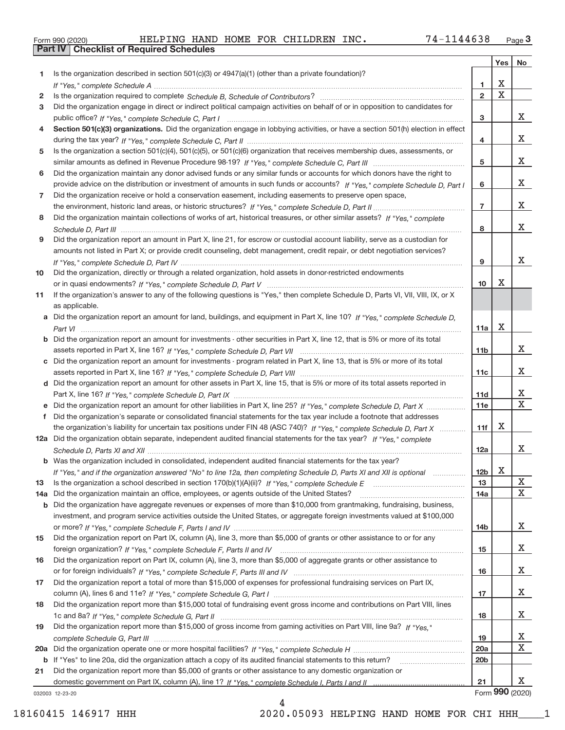|  | Form 990 (2020) |  |
|--|-----------------|--|

**Part IV Checklist of Required Schedules**

|     |                                                                                                                                                                                                                                                           |                  | Yes                     | No              |
|-----|-----------------------------------------------------------------------------------------------------------------------------------------------------------------------------------------------------------------------------------------------------------|------------------|-------------------------|-----------------|
| 1   | Is the organization described in section $501(c)(3)$ or $4947(a)(1)$ (other than a private foundation)?                                                                                                                                                   |                  |                         |                 |
|     |                                                                                                                                                                                                                                                           | 1                | X                       |                 |
| 2   |                                                                                                                                                                                                                                                           | $\overline{2}$   | $\overline{\textbf{x}}$ |                 |
| 3   | Did the organization engage in direct or indirect political campaign activities on behalf of or in opposition to candidates for                                                                                                                           |                  |                         |                 |
|     |                                                                                                                                                                                                                                                           | 3                |                         | x               |
| 4   | Section 501(c)(3) organizations. Did the organization engage in lobbying activities, or have a section 501(h) election in effect                                                                                                                          |                  |                         |                 |
|     |                                                                                                                                                                                                                                                           | 4                |                         | x               |
| 5   | Is the organization a section 501(c)(4), 501(c)(5), or 501(c)(6) organization that receives membership dues, assessments, or                                                                                                                              |                  |                         | x               |
|     |                                                                                                                                                                                                                                                           | 5                |                         |                 |
| 6   | Did the organization maintain any donor advised funds or any similar funds or accounts for which donors have the right to<br>provide advice on the distribution or investment of amounts in such funds or accounts? If "Yes," complete Schedule D, Part I | 6                |                         | x               |
| 7   | Did the organization receive or hold a conservation easement, including easements to preserve open space,                                                                                                                                                 |                  |                         |                 |
|     |                                                                                                                                                                                                                                                           | $\overline{7}$   |                         | x               |
| 8   | Did the organization maintain collections of works of art, historical treasures, or other similar assets? If "Yes," complete                                                                                                                              |                  |                         |                 |
|     |                                                                                                                                                                                                                                                           | 8                |                         | х               |
| 9   | Did the organization report an amount in Part X, line 21, for escrow or custodial account liability, serve as a custodian for                                                                                                                             |                  |                         |                 |
|     | amounts not listed in Part X; or provide credit counseling, debt management, credit repair, or debt negotiation services?                                                                                                                                 |                  |                         |                 |
|     |                                                                                                                                                                                                                                                           | 9                |                         | x               |
| 10  | Did the organization, directly or through a related organization, hold assets in donor-restricted endowments                                                                                                                                              |                  |                         |                 |
|     |                                                                                                                                                                                                                                                           | 10 <sup>10</sup> | Χ                       |                 |
| 11  | If the organization's answer to any of the following questions is "Yes," then complete Schedule D, Parts VI, VII, VIII, IX, or X                                                                                                                          |                  |                         |                 |
|     | as applicable.                                                                                                                                                                                                                                            |                  |                         |                 |
|     | a Did the organization report an amount for land, buildings, and equipment in Part X, line 10? If "Yes," complete Schedule D,                                                                                                                             |                  |                         |                 |
|     |                                                                                                                                                                                                                                                           | 11a              | $\mathbf X$             |                 |
|     | Did the organization report an amount for investments - other securities in Part X, line 12, that is 5% or more of its total                                                                                                                              |                  |                         |                 |
|     |                                                                                                                                                                                                                                                           | 11 <sub>b</sub>  |                         | x               |
| c   | Did the organization report an amount for investments - program related in Part X, line 13, that is 5% or more of its total                                                                                                                               |                  |                         | x               |
|     | d Did the organization report an amount for other assets in Part X, line 15, that is 5% or more of its total assets reported in                                                                                                                           | 11c              |                         |                 |
|     |                                                                                                                                                                                                                                                           | 11d              |                         | Х               |
|     | Did the organization report an amount for other liabilities in Part X, line 25? If "Yes," complete Schedule D, Part X                                                                                                                                     | 11e              |                         | $\mathbf X$     |
|     | Did the organization's separate or consolidated financial statements for the tax year include a footnote that addresses                                                                                                                                   |                  |                         |                 |
|     | the organization's liability for uncertain tax positions under FIN 48 (ASC 740)? If "Yes," complete Schedule D, Part X                                                                                                                                    | 11f              | X                       |                 |
|     | 12a Did the organization obtain separate, independent audited financial statements for the tax year? If "Yes," complete                                                                                                                                   |                  |                         |                 |
|     |                                                                                                                                                                                                                                                           | 12a              |                         | x               |
|     | <b>b</b> Was the organization included in consolidated, independent audited financial statements for the tax year?                                                                                                                                        |                  |                         |                 |
|     | If "Yes," and if the organization answered "No" to line 12a, then completing Schedule D, Parts XI and XII is optional                                                                                                                                     | 12b              | $\mathbf X$             |                 |
| 13  |                                                                                                                                                                                                                                                           | 13               |                         | X               |
| 14a | Did the organization maintain an office, employees, or agents outside of the United States?                                                                                                                                                               | 14a              |                         | X               |
| b   | Did the organization have aggregate revenues or expenses of more than \$10,000 from grantmaking, fundraising, business,                                                                                                                                   |                  |                         |                 |
|     | investment, and program service activities outside the United States, or aggregate foreign investments valued at \$100,000                                                                                                                                |                  |                         |                 |
|     |                                                                                                                                                                                                                                                           | 14b              |                         | X.              |
| 15  | Did the organization report on Part IX, column (A), line 3, more than \$5,000 of grants or other assistance to or for any                                                                                                                                 |                  |                         | X               |
| 16  | Did the organization report on Part IX, column (A), line 3, more than \$5,000 of aggregate grants or other assistance to                                                                                                                                  | 15               |                         |                 |
|     |                                                                                                                                                                                                                                                           | 16               |                         | X               |
| 17  | Did the organization report a total of more than \$15,000 of expenses for professional fundraising services on Part IX,                                                                                                                                   |                  |                         |                 |
|     |                                                                                                                                                                                                                                                           | 17               |                         | X               |
| 18  | Did the organization report more than \$15,000 total of fundraising event gross income and contributions on Part VIII, lines                                                                                                                              |                  |                         |                 |
|     |                                                                                                                                                                                                                                                           | 18               |                         | x               |
| 19  | Did the organization report more than \$15,000 of gross income from gaming activities on Part VIII, line 9a? If "Yes."                                                                                                                                    |                  |                         |                 |
|     |                                                                                                                                                                                                                                                           | 19               |                         | х               |
| 20a |                                                                                                                                                                                                                                                           | 20a              |                         | X               |
| b   | If "Yes" to line 20a, did the organization attach a copy of its audited financial statements to this return?                                                                                                                                              | 20 <sub>b</sub>  |                         |                 |
| 21  | Did the organization report more than \$5,000 of grants or other assistance to any domestic organization or                                                                                                                                               |                  |                         |                 |
|     |                                                                                                                                                                                                                                                           | 21               |                         | X.              |
|     | 032003 12-23-20                                                                                                                                                                                                                                           |                  |                         | Form 990 (2020) |

032003 12‐23‐20

4 18160415 146917 HHH 2020.05093 HELPING HAND HOME FOR CHI HHH\_\_\_\_1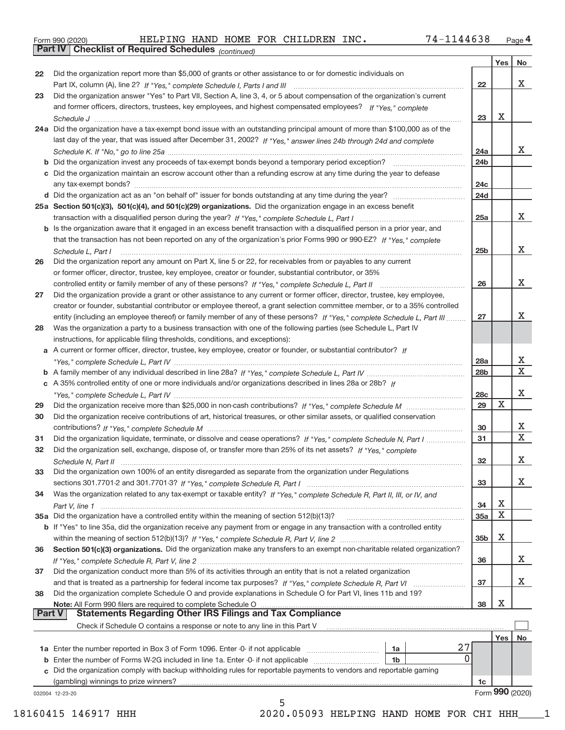|  | Form 990 (2020) |
|--|-----------------|
|  |                 |

**Part IV Checklist of Required Schedules**

*(continued)*

|    |                                                                                                                                                                                                                                               |                 | Yes   No |                         |
|----|-----------------------------------------------------------------------------------------------------------------------------------------------------------------------------------------------------------------------------------------------|-----------------|----------|-------------------------|
| 22 | Did the organization report more than \$5,000 of grants or other assistance to or for domestic individuals on                                                                                                                                 |                 |          |                         |
|    |                                                                                                                                                                                                                                               | 22              |          | X                       |
| 23 | Did the organization answer "Yes" to Part VII, Section A, line 3, 4, or 5 about compensation of the organization's current                                                                                                                    |                 |          |                         |
|    | and former officers, directors, trustees, key employees, and highest compensated employees? If "Yes," complete                                                                                                                                |                 |          |                         |
|    |                                                                                                                                                                                                                                               | 23              | X        |                         |
|    | 24a Did the organization have a tax-exempt bond issue with an outstanding principal amount of more than \$100,000 as of the                                                                                                                   |                 |          |                         |
|    | last day of the year, that was issued after December 31, 2002? If "Yes," answer lines 24b through 24d and complete                                                                                                                            |                 |          |                         |
|    |                                                                                                                                                                                                                                               | 24a             |          | х                       |
|    |                                                                                                                                                                                                                                               | 24b             |          |                         |
|    | c Did the organization maintain an escrow account other than a refunding escrow at any time during the year to defease                                                                                                                        |                 |          |                         |
|    |                                                                                                                                                                                                                                               | 24 <sub>c</sub> |          |                         |
|    |                                                                                                                                                                                                                                               | 24d             |          |                         |
|    | 25a Section 501(c)(3), 501(c)(4), and 501(c)(29) organizations. Did the organization engage in an excess benefit                                                                                                                              |                 |          | X                       |
|    |                                                                                                                                                                                                                                               | 25a             |          |                         |
|    | b Is the organization aware that it engaged in an excess benefit transaction with a disqualified person in a prior year, and                                                                                                                  |                 |          |                         |
|    | that the transaction has not been reported on any of the organization's prior Forms 990 or 990-EZ? If "Yes," complete                                                                                                                         |                 |          | Χ                       |
|    | Schedule L, Part I                                                                                                                                                                                                                            | 25 <sub>b</sub> |          |                         |
| 26 | Did the organization report any amount on Part X, line 5 or 22, for receivables from or payables to any current                                                                                                                               |                 |          |                         |
|    | or former officer, director, trustee, key employee, creator or founder, substantial contributor, or 35%                                                                                                                                       | 26              |          | X                       |
| 27 | Did the organization provide a grant or other assistance to any current or former officer, director, trustee, key employee,                                                                                                                   |                 |          |                         |
|    |                                                                                                                                                                                                                                               |                 |          |                         |
|    | creator or founder, substantial contributor or employee thereof, a grant selection committee member, or to a 35% controlled                                                                                                                   | 27              |          | х                       |
| 28 | entity (including an employee thereof) or family member of any of these persons? If "Yes," complete Schedule L, Part III<br>Was the organization a party to a business transaction with one of the following parties (see Schedule L, Part IV |                 |          |                         |
|    | instructions, for applicable filing thresholds, conditions, and exceptions):                                                                                                                                                                  |                 |          |                         |
|    | a A current or former officer, director, trustee, key employee, creator or founder, or substantial contributor? If                                                                                                                            |                 |          |                         |
|    |                                                                                                                                                                                                                                               | 28a             |          | х                       |
|    |                                                                                                                                                                                                                                               | 28b             |          | $\overline{\textbf{x}}$ |
|    | c A 35% controlled entity of one or more individuals and/or organizations described in lines 28a or 28b? If                                                                                                                                   |                 |          |                         |
|    |                                                                                                                                                                                                                                               | 28c             |          | X                       |
| 29 |                                                                                                                                                                                                                                               | 29              | X        |                         |
| 30 | Did the organization receive contributions of art, historical treasures, or other similar assets, or qualified conservation                                                                                                                   |                 |          |                         |
|    |                                                                                                                                                                                                                                               | 30              |          | Х                       |
| 31 | Did the organization liquidate, terminate, or dissolve and cease operations? If "Yes," complete Schedule N, Part I                                                                                                                            | 31              |          | $\overline{\textbf{X}}$ |
| 32 | Did the organization sell, exchange, dispose of, or transfer more than 25% of its net assets? If "Yes," complete                                                                                                                              |                 |          |                         |
|    |                                                                                                                                                                                                                                               | 32              |          | X                       |
| 33 | Did the organization own 100% of an entity disregarded as separate from the organization under Regulations                                                                                                                                    |                 |          |                         |
|    |                                                                                                                                                                                                                                               | 33              |          | X                       |
| 34 | Was the organization related to any tax-exempt or taxable entity? If "Yes," complete Schedule R, Part II, III, or IV, and                                                                                                                     |                 |          |                         |
|    |                                                                                                                                                                                                                                               | 34              | Х        |                         |
|    | 35a Did the organization have a controlled entity within the meaning of section 512(b)(13)?                                                                                                                                                   | 35a             | X        |                         |
|    | b If "Yes" to line 35a, did the organization receive any payment from or engage in any transaction with a controlled entity                                                                                                                   |                 |          |                         |
|    |                                                                                                                                                                                                                                               | 35 <sub>b</sub> | Χ        |                         |
| 36 | Section 501(c)(3) organizations. Did the organization make any transfers to an exempt non-charitable related organization?                                                                                                                    |                 |          |                         |
|    |                                                                                                                                                                                                                                               | 36              |          | х                       |
| 37 | Did the organization conduct more than 5% of its activities through an entity that is not a related organization                                                                                                                              |                 |          |                         |
|    |                                                                                                                                                                                                                                               | 37              |          | x                       |
| 38 | Did the organization complete Schedule O and provide explanations in Schedule O for Part VI, lines 11b and 19?                                                                                                                                |                 |          |                         |
|    |                                                                                                                                                                                                                                               | 38              | Х        |                         |
|    | <b>Statements Regarding Other IRS Filings and Tax Compliance</b><br><b>Part V</b>                                                                                                                                                             |                 |          |                         |
|    | Check if Schedule O contains a response or note to any line in this Part V                                                                                                                                                                    |                 |          |                         |
|    |                                                                                                                                                                                                                                               |                 | Yes      | No                      |
|    | 27<br>1a Enter the number reported in Box 3 of Form 1096. Enter -0- if not applicable<br>1a                                                                                                                                                   |                 |          |                         |
|    | 0<br><b>b</b> Enter the number of Forms W-2G included in line 1a. Enter -0- if not applicable<br>1b                                                                                                                                           |                 |          |                         |
|    |                                                                                                                                                                                                                                               |                 |          |                         |
|    | c Did the organization comply with backup withholding rules for reportable payments to vendors and reportable gaming                                                                                                                          |                 |          |                         |
|    | (gambling) winnings to prize winners?                                                                                                                                                                                                         | 1c              |          |                         |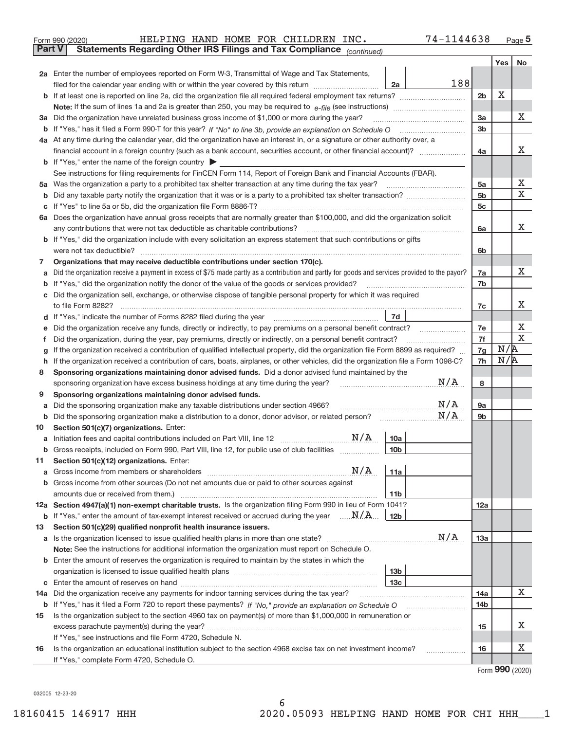| Form 990 (2020) |                                                                                                |  |  | HELPING HAND HOME FOR CHILDREN INC. | 74-1144638 | Page |
|-----------------|------------------------------------------------------------------------------------------------|--|--|-------------------------------------|------------|------|
|                 | <b>Part V</b> Statements Regarding Other IRS Filings and Tax Compliance <sub>(continued)</sub> |  |  |                                     |            |      |

| Part v  | Statements Regarding Other IRS Filings and Tax Compilance<br>(continued)                                                                                                                                                        |                 |     |             |
|---------|---------------------------------------------------------------------------------------------------------------------------------------------------------------------------------------------------------------------------------|-----------------|-----|-------------|
|         |                                                                                                                                                                                                                                 |                 | Yes | No.         |
|         | 2a Enter the number of employees reported on Form W-3, Transmittal of Wage and Tax Statements,                                                                                                                                  |                 |     |             |
|         | 188<br>filed for the calendar year ending with or within the year covered by this return<br>2a                                                                                                                                  |                 |     |             |
|         |                                                                                                                                                                                                                                 | 2 <sub>b</sub>  | X   |             |
|         |                                                                                                                                                                                                                                 |                 |     |             |
|         | 3a Did the organization have unrelated business gross income of \$1,000 or more during the year?                                                                                                                                | 3a              |     | х           |
|         |                                                                                                                                                                                                                                 | 3 <sub>b</sub>  |     |             |
|         | 4a At any time during the calendar year, did the organization have an interest in, or a signature or other authority over, a                                                                                                    |                 |     |             |
|         | financial account in a foreign country (such as a bank account, securities account, or other financial account)?                                                                                                                | 4a              |     | х           |
|         | <b>b</b> If "Yes," enter the name of the foreign country                                                                                                                                                                        |                 |     |             |
|         | See instructions for filing requirements for FinCEN Form 114, Report of Foreign Bank and Financial Accounts (FBAR).                                                                                                             |                 |     |             |
|         | 5a Was the organization a party to a prohibited tax shelter transaction at any time during the tax year?                                                                                                                        | 5a              |     | х           |
| b       |                                                                                                                                                                                                                                 | 5 <sub>b</sub>  |     | $\mathbf X$ |
| с       |                                                                                                                                                                                                                                 | 5c              |     |             |
|         | 6a Does the organization have annual gross receipts that are normally greater than \$100,000, and did the organization solicit                                                                                                  |                 |     |             |
|         | any contributions that were not tax deductible as charitable contributions?                                                                                                                                                     | 6a              |     | х           |
|         | <b>b</b> If "Yes," did the organization include with every solicitation an express statement that such contributions or gifts                                                                                                   |                 |     |             |
|         | were not tax deductible?                                                                                                                                                                                                        | 6b              |     |             |
| 7       | Organizations that may receive deductible contributions under section 170(c).                                                                                                                                                   |                 |     |             |
| а       | Did the organization receive a payment in excess of \$75 made partly as a contribution and partly for goods and services provided to the payor?                                                                                 | 7a              |     | х           |
| b       | If "Yes," did the organization notify the donor of the value of the goods or services provided?                                                                                                                                 | 7b              |     |             |
| c       | Did the organization sell, exchange, or otherwise dispose of tangible personal property for which it was required<br>to file Form 8282?                                                                                         |                 |     | х           |
|         | 7d<br>If "Yes," indicate the number of Forms 8282 filed during the year                                                                                                                                                         | 7c              |     |             |
| d       |                                                                                                                                                                                                                                 | 7e              |     | х           |
| е<br>Ť. | Did the organization receive any funds, directly or indirectly, to pay premiums on a personal benefit contract?<br>Did the organization, during the year, pay premiums, directly or indirectly, on a personal benefit contract? | 7f              |     | $\mathbf X$ |
| g       | If the organization received a contribution of qualified intellectual property, did the organization file Form 8899 as required?                                                                                                | 7g              | N/R |             |
| h       | If the organization received a contribution of cars, boats, airplanes, or other vehicles, did the organization file a Form 1098-C?                                                                                              | 7h              | N/R |             |
| 8       | Sponsoring organizations maintaining donor advised funds. Did a donor advised fund maintained by the                                                                                                                            |                 |     |             |
|         | N/A<br>sponsoring organization have excess business holdings at any time during the year?                                                                                                                                       | 8               |     |             |
| 9       | Sponsoring organizations maintaining donor advised funds.                                                                                                                                                                       |                 |     |             |
| а       | N/A<br>Did the sponsoring organization make any taxable distributions under section 4966?                                                                                                                                       | 9a              |     |             |
| b       | N/A<br>Did the sponsoring organization make a distribution to a donor, donor advisor, or related person?                                                                                                                        | 9b              |     |             |
| 10      | Section 501(c)(7) organizations. Enter:                                                                                                                                                                                         |                 |     |             |
| а       | 10a                                                                                                                                                                                                                             |                 |     |             |
|         | b Gross receipts, included on Form 990, Part VIII, line 12, for public use of club facilities<br>10 <sub>b</sub>                                                                                                                |                 |     |             |
| 11.     | Section 501(c)(12) organizations. Enter:                                                                                                                                                                                        |                 |     |             |
|         | N/A<br>11a                                                                                                                                                                                                                      |                 |     |             |
|         | <b>b</b> Gross income from other sources (Do not net amounts due or paid to other sources against                                                                                                                               |                 |     |             |
|         | 11 <sub>b</sub>                                                                                                                                                                                                                 |                 |     |             |
|         | 12a Section 4947(a)(1) non-exempt charitable trusts. Is the organization filing Form 990 in lieu of Form 1041?                                                                                                                  | 12a             |     |             |
|         | <b>b</b> If "Yes," enter the amount of tax-exempt interest received or accrued during the year $\ldots \mathbf{N}/\mathbf{A}$ .<br>12 <sub>b</sub>                                                                              |                 |     |             |
| 13      | Section 501(c)(29) qualified nonprofit health insurance issuers.                                                                                                                                                                |                 |     |             |
| а       | N/A                                                                                                                                                                                                                             | 13а             |     |             |
|         | Note: See the instructions for additional information the organization must report on Schedule O.                                                                                                                               |                 |     |             |
|         | <b>b</b> Enter the amount of reserves the organization is required to maintain by the states in which the                                                                                                                       |                 |     |             |
|         | 13b                                                                                                                                                                                                                             |                 |     |             |
|         | 13 <sub>c</sub>                                                                                                                                                                                                                 |                 |     | х           |
| 14а     | Did the organization receive any payments for indoor tanning services during the tax year?                                                                                                                                      | 14a             |     |             |
|         | b If "Yes," has it filed a Form 720 to report these payments? If "No," provide an explanation on Schedule O                                                                                                                     | 14 <sub>b</sub> |     |             |
| 15      | Is the organization subject to the section 4960 tax on payment(s) of more than \$1,000,000 in remuneration or                                                                                                                   |                 |     | х           |
|         |                                                                                                                                                                                                                                 | 15              |     |             |
| 16      | If "Yes," see instructions and file Form 4720, Schedule N.<br>Is the organization an educational institution subject to the section 4968 excise tax on net investment income?                                                   | 16              |     | х           |
|         | If "Yes," complete Form 4720, Schedule O.                                                                                                                                                                                       |                 |     |             |
|         |                                                                                                                                                                                                                                 |                 |     |             |

Form (2020) **990**

032005 12‐23‐20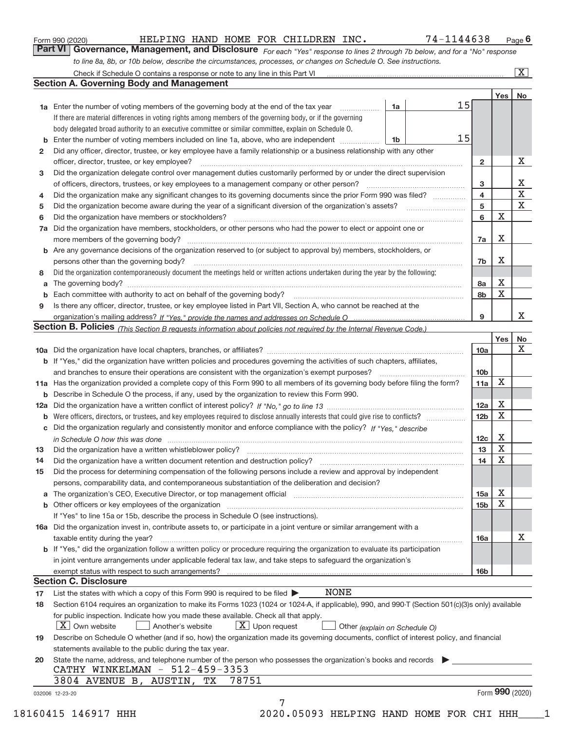|  | Form 990 (2020) |
|--|-----------------|
|  |                 |

### Form 990 (2020) Page HELPING HAND HOME FOR CHILDREN INC. 74-1144638

*For each "Yes" response to lines 2 through 7b below, and for a "No" response to line 8a, 8b, or 10b below, describe the circumstances, processes, or changes on Schedule O. See instructions.* **Part VI Governance, Management, and Disclosure** 

|              |                                                                                                                                                                               |    |    |                 | Yes $ $     | No          |
|--------------|-------------------------------------------------------------------------------------------------------------------------------------------------------------------------------|----|----|-----------------|-------------|-------------|
|              | <b>1a</b> Enter the number of voting members of the governing body at the end of the tax year <i>manumum</i>                                                                  | 1a | 15 |                 |             |             |
|              | If there are material differences in voting rights among members of the governing body, or if the governing                                                                   |    |    |                 |             |             |
|              | body delegated broad authority to an executive committee or similar committee, explain on Schedule O.                                                                         |    |    |                 |             |             |
|              | <b>b</b> Enter the number of voting members included on line 1a, above, who are independent <i>manumum</i>                                                                    | 1b | 15 |                 |             |             |
| $\mathbf{2}$ | Did any officer, director, trustee, or key employee have a family relationship or a business relationship with any other                                                      |    |    |                 |             |             |
|              | officer, director, trustee, or key employee?                                                                                                                                  |    |    | $\mathbf{2}$    |             | X           |
| 3            | Did the organization delegate control over management duties customarily performed by or under the direct supervision                                                         |    |    |                 |             |             |
|              |                                                                                                                                                                               |    |    | 3               |             | Χ           |
| 4            | Did the organization make any significant changes to its governing documents since the prior Form 990 was filed?                                                              |    |    | 4               |             | $\mathbf X$ |
| 5            |                                                                                                                                                                               |    |    | 5               |             | X           |
| 6            |                                                                                                                                                                               |    |    | 6               | $\mathbf X$ |             |
| 7a           | Did the organization have members, stockholders, or other persons who had the power to elect or appoint one or                                                                |    |    |                 |             |             |
|              |                                                                                                                                                                               |    |    | 7a              | Х           |             |
|              | <b>b</b> Are any governance decisions of the organization reserved to (or subject to approval by) members, stockholders, or                                                   |    |    |                 |             |             |
|              | persons other than the governing body?                                                                                                                                        |    |    | 7b              | Х           |             |
| 8            | Did the organization contemporaneously document the meetings held or written actions undertaken during the year by the following:                                             |    |    |                 |             |             |
| a            |                                                                                                                                                                               |    |    | 8a              | X           |             |
| b            |                                                                                                                                                                               |    |    | 8b              | X           |             |
| 9            | Is there any officer, director, trustee, or key employee listed in Part VII, Section A, who cannot be reached at the                                                          |    |    |                 |             |             |
|              |                                                                                                                                                                               |    |    | 9               |             | X           |
|              | Section B. Policies (This Section B requests information about policies not required by the Internal Revenue Code.)                                                           |    |    |                 |             |             |
|              |                                                                                                                                                                               |    |    |                 | Yes         | No          |
|              |                                                                                                                                                                               |    |    | 10a             |             | X           |
|              | <b>b</b> If "Yes," did the organization have written policies and procedures governing the activities of such chapters, affiliates,                                           |    |    |                 |             |             |
|              |                                                                                                                                                                               |    |    | 10 <sub>b</sub> |             |             |
|              |                                                                                                                                                                               |    |    |                 | X           |             |
|              | 11a Has the organization provided a complete copy of this Form 990 to all members of its governing body before filing the form?                                               |    |    | 11a             |             |             |
|              | <b>b</b> Describe in Schedule O the process, if any, used by the organization to review this Form 990.                                                                        |    |    |                 | X           |             |
|              |                                                                                                                                                                               |    |    | 12a             | Χ           |             |
| b            |                                                                                                                                                                               |    |    | 12 <sub>b</sub> |             |             |
|              | c Did the organization regularly and consistently monitor and enforce compliance with the policy? If "Yes." describe                                                          |    |    |                 |             |             |
|              | in Schedule O how this was done manufactured and continuum control of the Schedule O how this was done manufactured and continuum control of the Schedule O how this was done |    |    | 12c             | Х           |             |
| 13           |                                                                                                                                                                               |    |    | 13              | Х           |             |
| 14           | Did the organization have a written document retention and destruction policy? manufactured and the organization have a written document retention and destruction policy?    |    |    | 14              | X           |             |
| 15           | Did the process for determining compensation of the following persons include a review and approval by independent                                                            |    |    |                 |             |             |
|              | persons, comparability data, and contemporaneous substantiation of the deliberation and decision?                                                                             |    |    |                 |             |             |
|              |                                                                                                                                                                               |    |    | 15a             | Χ           |             |
|              |                                                                                                                                                                               |    |    | 15 <sub>b</sub> | Χ           |             |
|              | If "Yes" to line 15a or 15b, describe the process in Schedule O (see instructions).                                                                                           |    |    |                 |             |             |
|              | 16a Did the organization invest in, contribute assets to, or participate in a joint venture or similar arrangement with a                                                     |    |    |                 |             |             |
|              | taxable entity during the year?                                                                                                                                               |    |    | 16a             |             | X           |
|              | b If "Yes," did the organization follow a written policy or procedure requiring the organization to evaluate its participation                                                |    |    |                 |             |             |
|              | in joint venture arrangements under applicable federal tax law, and take steps to safequard the organization's                                                                |    |    |                 |             |             |
|              | exempt status with respect to such arrangements?                                                                                                                              |    |    | 16 <sub>b</sub> |             |             |
|              | <b>Section C. Disclosure</b>                                                                                                                                                  |    |    |                 |             |             |
| 17           | <b>NONE</b><br>List the states with which a copy of this Form 990 is required to be filed $\blacktriangleright$                                                               |    |    |                 |             |             |
| 18           | Section 6104 requires an organization to make its Forms 1023 (1024 or 1024-A, if applicable), 990, and 990-T (Section 501(c)(3)s only) available                              |    |    |                 |             |             |
|              | for public inspection. Indicate how you made these available. Check all that apply.                                                                                           |    |    |                 |             |             |
|              | $ X $ Own website<br>$X$ Upon request<br>Another's website<br>Other (explain on Schedule O)                                                                                   |    |    |                 |             |             |
| 19           | Describe on Schedule O whether (and if so, how) the organization made its governing documents, conflict of interest policy, and financial                                     |    |    |                 |             |             |
|              | statements available to the public during the tax year.                                                                                                                       |    |    |                 |             |             |
| 20           | State the name, address, and telephone number of the person who possesses the organization's books and records                                                                |    |    |                 |             |             |
|              | CATHY WINKELMAN - 512-459-3353                                                                                                                                                |    |    |                 |             |             |
|              |                                                                                                                                                                               |    |    |                 |             |             |
|              | 3804 AVENUE B, AUSTIN, TX<br>78751                                                                                                                                            |    |    |                 |             |             |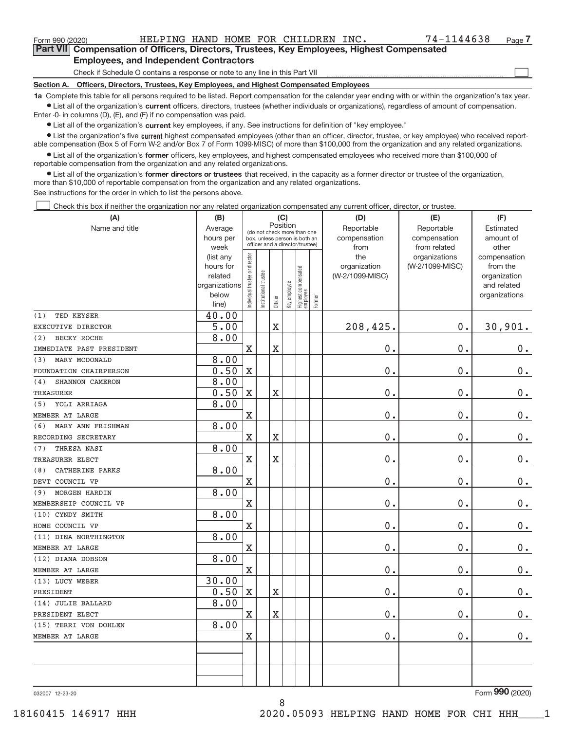$\boxed{\phantom{1}}$ 

**Part VII Compensation of Officers, Directors, Trustees, Key Employees, Highest Compensated Employees, and Independent Contractors**

Check if Schedule O contains a response or note to any line in this Part VII

**Section A. Officers, Directors, Trustees, Key Employees, and Highest Compensated Employees**

**1a**  Complete this table for all persons required to be listed. Report compensation for the calendar year ending with or within the organization's tax year. **•** List all of the organization's current officers, directors, trustees (whether individuals or organizations), regardless of amount of compensation.

Enter ‐0‐ in columns (D), (E), and (F) if no compensation was paid.

**•** List all of the organization's current key employees, if any. See instructions for definition of "key employee."

● List the organization's five current highest compensated employees (other than an officer, director, trustee, or key employee) who received report‐ able compensation (Box 5 of Form W‐2 and/or Box 7 of Form 1099‐MISC) of more than \$100,000 from the organization and any related organizations.

 $\bullet$  List all of the organization's former officers, key employees, and highest compensated employees who received more than \$100,000 of reportable compensation from the organization and any related organizations.

**•** List all of the organization's former directors or trustees that received, in the capacity as a former director or trustee of the organization, more than \$10,000 of reportable compensation from the organization and any related organizations.

See instructions for the order in which to list the persons above.

Check this box if neither the organization nor any related organization compensated any current officer, director, or trustee.  $\Box$ 

| (A)                       | (B)                      | (C)                           |                                                                  |                         |              |                                  |        | (D)             | (E)             | (F)                         |
|---------------------------|--------------------------|-------------------------------|------------------------------------------------------------------|-------------------------|--------------|----------------------------------|--------|-----------------|-----------------|-----------------------------|
| Name and title            | Average                  |                               | (do not check more than one                                      | Position                |              |                                  |        | Reportable      | Reportable      | Estimated                   |
|                           | hours per                |                               | box, unless person is both an<br>officer and a director/trustee) |                         |              |                                  |        | compensation    | compensation    | amount of                   |
|                           | week                     |                               |                                                                  |                         |              |                                  |        | from            | from related    | other                       |
|                           | (list any                |                               |                                                                  |                         |              |                                  |        | the             | organizations   | compensation                |
|                           | hours for                |                               |                                                                  |                         |              |                                  |        | organization    | (W-2/1099-MISC) | from the                    |
|                           | related<br>organizations |                               |                                                                  |                         |              |                                  |        | (W-2/1099-MISC) |                 | organization<br>and related |
|                           | below                    |                               |                                                                  |                         |              |                                  |        |                 |                 | organizations               |
|                           | line)                    | ndividual trustee or director | nstitutional trustee                                             | Officer                 | Key employee | Highest compensated<br> employee | Former |                 |                 |                             |
| TED KEYSER<br>(1)         | 40.00                    |                               |                                                                  |                         |              |                                  |        |                 |                 |                             |
| EXECUTIVE DIRECTOR        | 5.00                     |                               |                                                                  | $\overline{\mathbf{X}}$ |              |                                  |        | 208,425.        | 0.              | 30,901.                     |
| (2)<br><b>BECKY ROCHE</b> | 8.00                     |                               |                                                                  |                         |              |                                  |        |                 |                 |                             |
| IMMEDIATE PAST PRESIDENT  |                          | $\overline{\text{X}}$         |                                                                  | $\overline{\text{X}}$   |              |                                  |        | 0.              | 0.              | $0$ .                       |
| MARY MCDONALD<br>(3)      | 8.00                     |                               |                                                                  |                         |              |                                  |        |                 |                 |                             |
| FOUNDATION CHAIRPERSON    | 0.50                     | $\rm X$                       |                                                                  |                         |              |                                  |        | 0.              | 0.              | $\mathbf 0$ .               |
| SHANNON CAMERON<br>(4)    | 8.00                     |                               |                                                                  |                         |              |                                  |        |                 |                 |                             |
| TREASURER                 | 0.50                     | X                             |                                                                  | $\overline{\mathbf{X}}$ |              |                                  |        | 0.              | 0.              | $0$ .                       |
| YOLI ARRIAGA<br>(5)       | 8.00                     |                               |                                                                  |                         |              |                                  |        |                 |                 |                             |
| MEMBER AT LARGE           |                          | $\rm X$                       |                                                                  |                         |              |                                  |        | $0$ .           | 0.              | $\pmb{0}$ .                 |
| (6)<br>MARY ANN FRISHMAN  | 8.00                     |                               |                                                                  |                         |              |                                  |        |                 |                 |                             |
| RECORDING SECRETARY       |                          | $\overline{\text{X}}$         |                                                                  | $\overline{\text{X}}$   |              |                                  |        | $0$ .           | 0.              | $\mathbf 0$ .               |
| THRESA NASI<br>(7)        | 8.00                     |                               |                                                                  |                         |              |                                  |        |                 |                 |                             |
| TREASURER ELECT           |                          | $\rm X$                       |                                                                  | $\overline{\text{X}}$   |              |                                  |        | 0.              | 0.              | $0$ .                       |
| CATHERINE PARKS<br>(8)    | 8.00                     |                               |                                                                  |                         |              |                                  |        |                 |                 |                             |
| DEVT COUNCIL VP           |                          | $\overline{\text{X}}$         |                                                                  |                         |              |                                  |        | 0.              | 0.              | $0$ .                       |
| MORGEN HARDIN<br>(9)      | 8.00                     |                               |                                                                  |                         |              |                                  |        |                 |                 |                             |
| MEMBERSHIP COUNCIL VP     |                          | $\overline{\text{X}}$         |                                                                  |                         |              |                                  |        | 0.              | 0.              | $\pmb{0}$ .                 |
| (10) CYNDY SMITH          | 8.00                     |                               |                                                                  |                         |              |                                  |        |                 |                 |                             |
| HOME COUNCIL VP           |                          | X                             |                                                                  |                         |              |                                  |        | 0.              | 0.              | $0 \cdot$                   |
| (11) DINA NORTHINGTON     | 8.00                     |                               |                                                                  |                         |              |                                  |        |                 |                 |                             |
| MEMBER AT LARGE           |                          | $\rm X$                       |                                                                  |                         |              |                                  |        | 0.              | 0.              | $\mathbf 0$ .               |
| (12) DIANA DOBSON         | 8.00                     |                               |                                                                  |                         |              |                                  |        |                 |                 |                             |
| MEMBER AT LARGE           |                          | X                             |                                                                  |                         |              |                                  |        | 0.              | 0.              | $\pmb{0}$ .                 |
| (13) LUCY WEBER           | 30.00                    |                               |                                                                  |                         |              |                                  |        |                 |                 |                             |
| PRESIDENT                 | 0.50                     | $\mathbf X$                   |                                                                  | $\overline{\text{X}}$   |              |                                  |        | $0$ .           | 0.              | $\mathbf 0$ .               |
| (14) JULIE BALLARD        | 8.00                     |                               |                                                                  |                         |              |                                  |        |                 |                 |                             |
| PRESIDENT ELECT           |                          | X                             |                                                                  | $\overline{\mathbf{X}}$ |              |                                  |        | 0.              | 0.              | $\mathbf 0$ .               |
| (15) TERRI VON DOHLEN     | 8.00                     |                               |                                                                  |                         |              |                                  |        |                 |                 |                             |
| MEMBER AT LARGE           |                          | $\mathbf X$                   |                                                                  |                         |              |                                  |        | 0.              | 0.              | $0$ .                       |
|                           |                          |                               |                                                                  |                         |              |                                  |        |                 |                 |                             |
|                           |                          |                               |                                                                  |                         |              |                                  |        |                 |                 |                             |
|                           |                          |                               |                                                                  |                         |              |                                  |        |                 |                 |                             |
|                           |                          |                               |                                                                  |                         |              |                                  |        |                 |                 |                             |

8

032007 12‐23‐20

Form (2020) **990**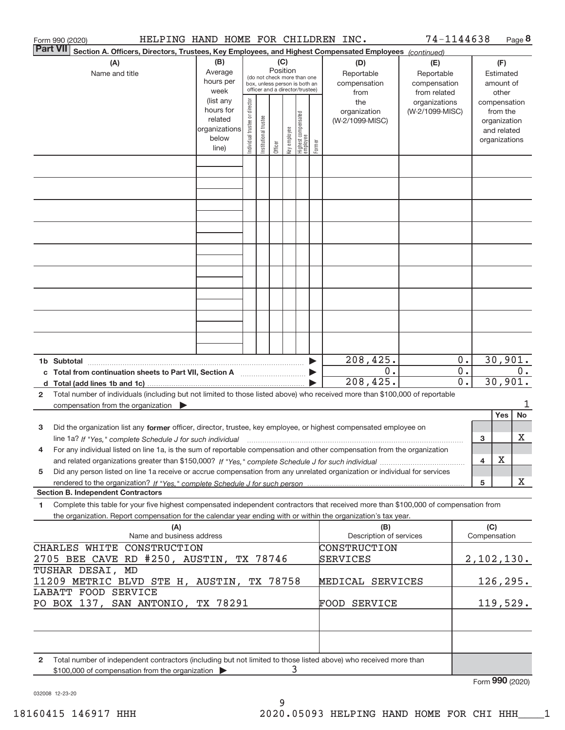|                 | HELPING HAND HOME FOR CHILDREN INC.<br>Form 990 (2020)                                                                                                                                                                                                 |                                                                      |                                                                                                 |                       |         |              |                                  |        |                                           | 74-1144638                                        |                                      |                     |                                                          | Page 8    |
|-----------------|--------------------------------------------------------------------------------------------------------------------------------------------------------------------------------------------------------------------------------------------------------|----------------------------------------------------------------------|-------------------------------------------------------------------------------------------------|-----------------------|---------|--------------|----------------------------------|--------|-------------------------------------------|---------------------------------------------------|--------------------------------------|---------------------|----------------------------------------------------------|-----------|
| <b>Part VII</b> | Section A. Officers, Directors, Trustees, Key Employees, and Highest Compensated Employees (continued)                                                                                                                                                 |                                                                      |                                                                                                 |                       | (C)     |              |                                  |        |                                           |                                                   |                                      |                     |                                                          |           |
|                 | (A)<br>Name and title                                                                                                                                                                                                                                  | (B)<br>Average<br>hours per<br>week                                  | (do not check more than one<br>box, unless person is both an<br>officer and a director/trustee) |                       |         |              |                                  |        | (D)<br>Reportable<br>compensation<br>from | (E)<br>Reportable<br>compensation<br>from related |                                      |                     | (F)<br>Estimated<br>amount of<br>other                   |           |
|                 |                                                                                                                                                                                                                                                        | (list any<br>hours for<br>related<br>organizations<br>below<br>line) | Individual trustee or director                                                                  | Institutional trustee | Officer | Key employee | Highest compensated<br> employee | Former | the<br>organization<br>(W-2/1099-MISC)    | organizations<br>(W-2/1099-MISC)                  |                                      | compensation        | from the<br>organization<br>and related<br>organizations |           |
|                 |                                                                                                                                                                                                                                                        |                                                                      |                                                                                                 |                       |         |              |                                  |        |                                           |                                                   |                                      |                     |                                                          |           |
|                 |                                                                                                                                                                                                                                                        |                                                                      |                                                                                                 |                       |         |              |                                  |        |                                           |                                                   |                                      |                     |                                                          |           |
|                 |                                                                                                                                                                                                                                                        |                                                                      |                                                                                                 |                       |         |              |                                  |        |                                           |                                                   |                                      |                     |                                                          |           |
|                 |                                                                                                                                                                                                                                                        |                                                                      |                                                                                                 |                       |         |              |                                  |        |                                           |                                                   |                                      |                     |                                                          |           |
|                 |                                                                                                                                                                                                                                                        |                                                                      |                                                                                                 |                       |         |              |                                  |        |                                           |                                                   |                                      |                     |                                                          |           |
|                 |                                                                                                                                                                                                                                                        |                                                                      |                                                                                                 |                       |         |              |                                  |        |                                           |                                                   |                                      |                     |                                                          |           |
|                 | 1b Subtotal                                                                                                                                                                                                                                            |                                                                      |                                                                                                 |                       |         |              |                                  |        | 208,425.                                  |                                                   | 0.                                   |                     | 30,901.                                                  |           |
|                 |                                                                                                                                                                                                                                                        |                                                                      |                                                                                                 |                       |         |              |                                  |        | 0.<br>208, 425.                           |                                                   | $0$ .<br>$\overline{0}$ .<br>30,901. |                     |                                                          | $0$ .     |
| 2               | Total number of individuals (including but not limited to those listed above) who received more than \$100,000 of reportable<br>compensation from the organization $\blacktriangleright$                                                               |                                                                      |                                                                                                 |                       |         |              |                                  |        |                                           |                                                   |                                      |                     |                                                          | 1         |
|                 |                                                                                                                                                                                                                                                        |                                                                      |                                                                                                 |                       |         |              |                                  |        |                                           |                                                   |                                      |                     | Yes                                                      | <b>No</b> |
| 3               | Did the organization list any former officer, director, trustee, key employee, or highest compensated employee on                                                                                                                                      |                                                                      |                                                                                                 |                       |         |              |                                  |        |                                           |                                                   |                                      | 3                   |                                                          | х         |
| 4               | For any individual listed on line 1a, is the sum of reportable compensation and other compensation from the organization                                                                                                                               |                                                                      |                                                                                                 |                       |         |              |                                  |        |                                           |                                                   |                                      | 4                   | Х                                                        |           |
| 5               | Did any person listed on line 1a receive or accrue compensation from any unrelated organization or individual for services                                                                                                                             |                                                                      |                                                                                                 |                       |         |              |                                  |        |                                           |                                                   |                                      |                     |                                                          | X         |
|                 | <b>Section B. Independent Contractors</b>                                                                                                                                                                                                              |                                                                      |                                                                                                 |                       |         |              |                                  |        |                                           |                                                   |                                      | 5                   |                                                          |           |
| 1               | Complete this table for your five highest compensated independent contractors that received more than \$100,000 of compensation from<br>the organization. Report compensation for the calendar year ending with or within the organization's tax year. |                                                                      |                                                                                                 |                       |         |              |                                  |        |                                           |                                                   |                                      |                     |                                                          |           |
|                 | (A)<br>Name and business address                                                                                                                                                                                                                       |                                                                      |                                                                                                 |                       |         |              |                                  |        | (B)<br>Description of services            |                                                   |                                      | (C)<br>Compensation |                                                          |           |
|                 | CHARLES WHITE CONSTRUCTION<br>2705 BEE CAVE RD #250, AUSTIN, TX 78746                                                                                                                                                                                  |                                                                      |                                                                                                 |                       |         |              |                                  |        | CONSTRUCTION<br>SERVICES                  |                                                   |                                      | 2,102,130.          |                                                          |           |
|                 | TUSHAR DESAI, MD                                                                                                                                                                                                                                       |                                                                      |                                                                                                 |                       |         |              |                                  |        |                                           |                                                   |                                      |                     |                                                          |           |
|                 | 11209 METRIC BLVD STE H, AUSTIN, TX 78758<br>LABATT FOOD SERVICE                                                                                                                                                                                       |                                                                      |                                                                                                 |                       |         |              |                                  |        | MEDICAL SERVICES                          |                                                   |                                      | 126, 295.           |                                                          |           |
|                 | PO BOX 137, SAN ANTONIO, TX 78291                                                                                                                                                                                                                      |                                                                      |                                                                                                 |                       |         |              |                                  |        | FOOD SERVICE                              |                                                   |                                      | 119,529.            |                                                          |           |
|                 |                                                                                                                                                                                                                                                        |                                                                      |                                                                                                 |                       |         |              |                                  |        |                                           |                                                   |                                      |                     |                                                          |           |
| 2               | Total number of independent contractors (including but not limited to those listed above) who received more than<br>\$100,000 of compensation from the organization                                                                                    |                                                                      |                                                                                                 |                       |         | 3            |                                  |        |                                           |                                                   |                                      |                     |                                                          |           |
|                 |                                                                                                                                                                                                                                                        |                                                                      |                                                                                                 |                       |         |              |                                  |        |                                           |                                                   |                                      | Form 990 (2020)     |                                                          |           |

032008 12‐23‐20

9 18160415 146917 HHH 2020.05093 HELPING HAND HOME FOR CHI HHH\_\_\_\_1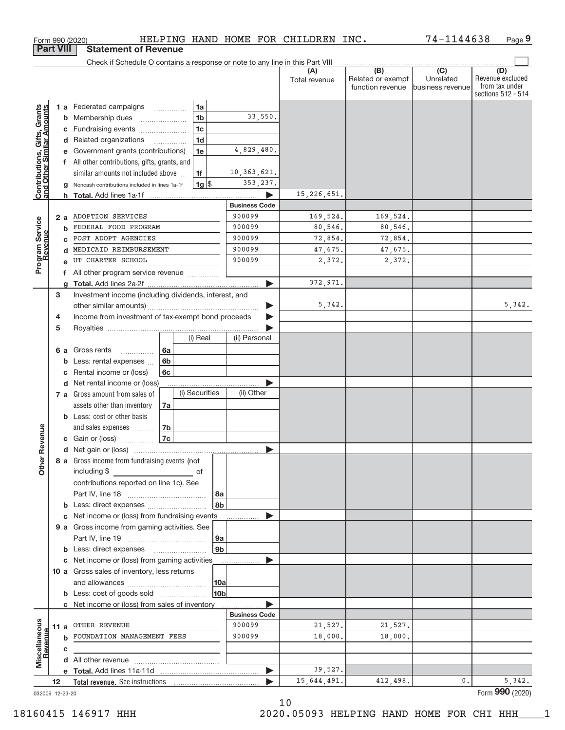|                                                           | <b>Part VIII</b>  |   | <b>Statement of Revenue</b>                                                   |                |                      |                        |                                       |                               |                         |
|-----------------------------------------------------------|-------------------|---|-------------------------------------------------------------------------------|----------------|----------------------|------------------------|---------------------------------------|-------------------------------|-------------------------|
|                                                           |                   |   | Check if Schedule O contains a response or note to any line in this Part VIII |                |                      |                        |                                       |                               |                         |
|                                                           |                   |   |                                                                               |                |                      | (A)                    | $\overline{(B)}$<br>Related or exempt | $\overline{(C)}$<br>Unrelated | (D)<br>Revenue excluded |
|                                                           |                   |   |                                                                               |                |                      | Total revenue          | function revenue                      | business revenue              | from tax under          |
|                                                           |                   |   |                                                                               |                |                      |                        |                                       |                               | sections 512 - 514      |
|                                                           |                   |   | 1 a Federated campaigns<br>.                                                  | 1a             |                      |                        |                                       |                               |                         |
|                                                           |                   | b | Membership dues                                                               | 1 <sub>b</sub> | 33,550.              |                        |                                       |                               |                         |
|                                                           |                   | С | Fundraising events                                                            | 1 <sub>c</sub> |                      |                        |                                       |                               |                         |
|                                                           |                   | d | Related organizations<br>.                                                    | 1 <sub>d</sub> |                      |                        |                                       |                               |                         |
|                                                           |                   |   | Government grants (contributions)                                             | 1e             | 4,829,480.           |                        |                                       |                               |                         |
|                                                           |                   |   | All other contributions, gifts, grants, and                                   |                |                      |                        |                                       |                               |                         |
|                                                           |                   |   | similar amounts not included above                                            | 1f             | 10, 363, 621.        |                        |                                       |                               |                         |
| Contributions, Gifts, Grants<br>and Other Similar Amounts |                   | g | Noncash contributions included in lines 1a-1f                                 | $1g$ \$        | 353, 237.            |                        |                                       |                               |                         |
|                                                           |                   |   | <b>h</b> Total. Add lines 1a-1f                                               |                |                      | 15, 226, 651.          |                                       |                               |                         |
|                                                           |                   |   |                                                                               |                | <b>Business Code</b> |                        |                                       |                               |                         |
|                                                           | 2 a               |   | ADOPTION SERVICES                                                             |                | 900099               | 169,524.               | 169,524.                              |                               |                         |
|                                                           |                   | b | FEDERAL FOOD PROGRAM                                                          |                | 900099               | 80,546.                | 80,546.                               |                               |                         |
|                                                           |                   |   | POST ADOPT AGENCIES                                                           |                | 900099               | 72,854.                | 72,854.                               |                               |                         |
|                                                           |                   |   | MEDICAID REIMBURSEMENT                                                        |                | 900099               | 47,675.                | 47,675.                               |                               |                         |
| Program Service                                           |                   |   | UT CHARTER SCHOOL                                                             |                | 900099               | 2,372.                 | 2,372.                                |                               |                         |
|                                                           |                   | f | All other program service revenue                                             |                |                      |                        |                                       |                               |                         |
|                                                           |                   | a |                                                                               |                |                      | 372,971.               |                                       |                               |                         |
|                                                           | 3                 |   | Investment income (including dividends, interest, and                         |                |                      |                        |                                       |                               |                         |
|                                                           |                   |   |                                                                               |                |                      | 5,342.                 |                                       |                               | 5,342.                  |
|                                                           | 4                 |   | Income from investment of tax-exempt bond proceeds                            |                |                      |                        |                                       |                               |                         |
|                                                           | 5                 |   |                                                                               | (i) Real       | (ii) Personal        |                        |                                       |                               |                         |
|                                                           |                   |   |                                                                               |                |                      |                        |                                       |                               |                         |
|                                                           | 6а                |   | Gross rents<br>6a<br>.<br>6 <sub>b</sub>                                      |                |                      |                        |                                       |                               |                         |
|                                                           |                   | b | Less: rental expenses<br>Rental income or (loss)<br>6c                        |                |                      |                        |                                       |                               |                         |
|                                                           |                   | d | Net rental income or (loss)                                                   |                |                      |                        |                                       |                               |                         |
|                                                           |                   |   | 7 a Gross amount from sales of                                                | (i) Securities | (ii) Other           |                        |                                       |                               |                         |
|                                                           |                   |   | assets other than inventory<br>7a                                             |                |                      |                        |                                       |                               |                         |
|                                                           |                   |   | <b>b</b> Less: cost or other basis                                            |                |                      |                        |                                       |                               |                         |
|                                                           |                   |   | and sales expenses<br>7b                                                      |                |                      |                        |                                       |                               |                         |
|                                                           |                   |   | <b>7c</b><br><b>c</b> Gain or (loss) $\ldots$                                 |                |                      |                        |                                       |                               |                         |
| Revenue                                                   |                   |   |                                                                               |                |                      |                        |                                       |                               |                         |
|                                                           |                   |   | 8 a Gross income from fundraising events (not                                 |                |                      |                        |                                       |                               |                         |
| Othe                                                      |                   |   | including \$                                                                  | оf             |                      |                        |                                       |                               |                         |
|                                                           |                   |   | contributions reported on line 1c). See                                       |                |                      |                        |                                       |                               |                         |
|                                                           |                   |   |                                                                               |                | 8a                   |                        |                                       |                               |                         |
|                                                           |                   |   |                                                                               |                | 8b                   |                        |                                       |                               |                         |
|                                                           |                   | c | Net income or (loss) from fundraising events                                  |                |                      |                        |                                       |                               |                         |
|                                                           |                   |   | 9 a Gross income from gaming activities. See                                  |                |                      |                        |                                       |                               |                         |
|                                                           |                   |   |                                                                               |                | 9a                   |                        |                                       |                               |                         |
|                                                           |                   |   | <b>b</b> Less: direct expenses <b>manually</b>                                |                | 9 <sub>b</sub>       |                        |                                       |                               |                         |
|                                                           |                   |   | c Net income or (loss) from gaming activities                                 |                |                      |                        |                                       |                               |                         |
|                                                           |                   |   | 10 a Gross sales of inventory, less returns                                   |                |                      |                        |                                       |                               |                         |
|                                                           |                   |   |                                                                               |                | 10a                  |                        |                                       |                               |                         |
|                                                           |                   |   | <b>b</b> Less: cost of goods sold                                             |                | l10bl                |                        |                                       |                               |                         |
|                                                           |                   |   | c Net income or (loss) from sales of inventory                                |                |                      |                        |                                       |                               |                         |
|                                                           |                   |   |                                                                               |                | <b>Business Code</b> |                        |                                       |                               |                         |
| Miscellaneous                                             | 11 a              |   | OTHER REVENUE                                                                 |                | 900099               | 21,527.                | 21,527.                               |                               |                         |
| Revenue                                                   |                   | b | FOUNDATION MANAGEMENT FEES                                                    |                | 900099               | 18,000.                | 18,000.                               |                               |                         |
|                                                           |                   | С |                                                                               |                |                      |                        |                                       |                               |                         |
|                                                           |                   |   |                                                                               |                |                      |                        |                                       |                               |                         |
|                                                           |                   |   |                                                                               |                |                      | 39,527.<br>15,644,491. | 412,498.                              | $0$ .                         | 5,342.                  |
|                                                           | $12 \overline{ }$ |   |                                                                               |                |                      |                        |                                       |                               | Form 990 (2020)         |
|                                                           | 032009 12-23-20   |   |                                                                               |                |                      |                        |                                       |                               |                         |

Form 990 (2020) Page

HELPING HAND HOME FOR CHILDREN INC.

**9**

74‐1144638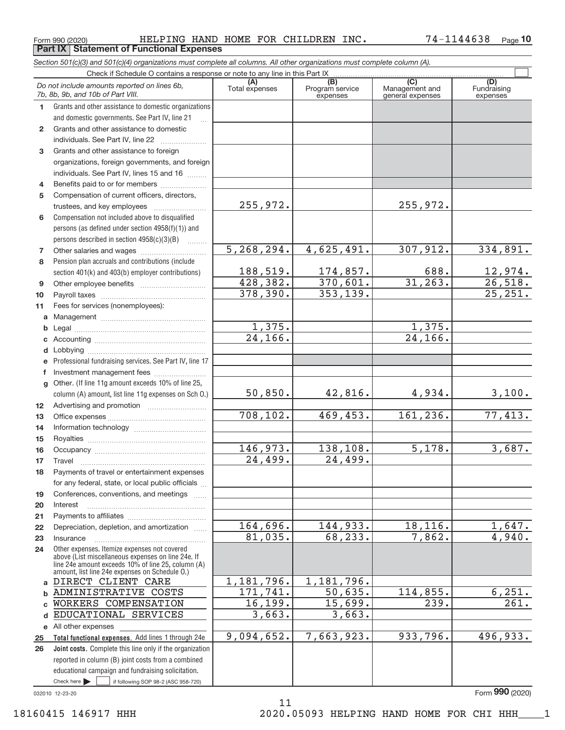Form 990 (2020) HELPING HAND HOME FOR CHILDREN INC. 74-1144638 page 10 **Part IX Statement of Functional Expenses**

*Section 501(c)(3) and 501(c)(4) organizations must complete all columns. All other organizations must complete column (A).*

|                | Do not include amounts reported on lines 6b,<br>7b, 8b, 9b, and 10b of Part VIII.                    | (A)<br>Total expenses | (B)<br>Program service<br>expenses | $\overline{C}$<br>Management and<br>general expenses | (D)<br>Fundraising<br>expenses |
|----------------|------------------------------------------------------------------------------------------------------|-----------------------|------------------------------------|------------------------------------------------------|--------------------------------|
| $\mathbf{1}$   | Grants and other assistance to domestic organizations                                                |                       |                                    |                                                      |                                |
|                | and domestic governments. See Part IV, line 21                                                       |                       |                                    |                                                      |                                |
| $\mathbf{2}$   | Grants and other assistance to domestic                                                              |                       |                                    |                                                      |                                |
|                | individuals. See Part IV, line 22                                                                    |                       |                                    |                                                      |                                |
| 3              | Grants and other assistance to foreign                                                               |                       |                                    |                                                      |                                |
|                | organizations, foreign governments, and foreign                                                      |                       |                                    |                                                      |                                |
|                | individuals. See Part IV, lines 15 and 16                                                            |                       |                                    |                                                      |                                |
| 4              | Benefits paid to or for members                                                                      |                       |                                    |                                                      |                                |
| 5              | Compensation of current officers, directors,                                                         |                       |                                    |                                                      |                                |
|                | trustees, and key employees                                                                          | 255,972.              |                                    | 255,972.                                             |                                |
| 6              | Compensation not included above to disqualified                                                      |                       |                                    |                                                      |                                |
|                | persons (as defined under section 4958(f)(1)) and                                                    |                       |                                    |                                                      |                                |
|                | persons described in section $4958(c)(3)(B)$<br><b>Barbara</b>                                       |                       |                                    |                                                      |                                |
| $\overline{7}$ |                                                                                                      | 5, 268, 294.          | 4,625,491.                         | 307,912.                                             | 334,891.                       |
| 8              | Pension plan accruals and contributions (include                                                     |                       |                                    |                                                      |                                |
|                | section 401(k) and 403(b) employer contributions)                                                    | 188,519.              | 174,857.                           | 688.                                                 | $\frac{12,974}{26,518}$        |
| 9              |                                                                                                      | 428,382.              | 370,601.                           | 31, 263.                                             |                                |
| 10             |                                                                                                      | 378,390.              | 353, 139.                          |                                                      | 25, 251.                       |
| 11             | Fees for services (nonemployees):                                                                    |                       |                                    |                                                      |                                |
| a              |                                                                                                      |                       |                                    |                                                      |                                |
| b              |                                                                                                      | 1,375.                |                                    | 1,375.                                               |                                |
| c              |                                                                                                      | $\overline{24,166}$ . |                                    | 24, 166.                                             |                                |
| d              |                                                                                                      |                       |                                    |                                                      |                                |
| e              | Professional fundraising services. See Part IV, line 17                                              |                       |                                    |                                                      |                                |
| f              | Investment management fees                                                                           |                       |                                    |                                                      |                                |
| g              | Other. (If line 11g amount exceeds 10% of line 25,                                                   |                       |                                    |                                                      |                                |
|                | column (A) amount, list line 11g expenses on Sch O.)                                                 | 50,850.               | 42,816.                            | 4,934.                                               | 3,100.                         |
| 12             |                                                                                                      |                       |                                    |                                                      |                                |
| 13             |                                                                                                      | 708,102.              | 469,453.                           | 161,236.                                             | 77,413.                        |
| 14             |                                                                                                      |                       |                                    |                                                      |                                |
| 15             |                                                                                                      |                       |                                    |                                                      |                                |
| 16             |                                                                                                      | 146,973.              | 138,108.                           | 5,178.                                               | 3,687.                         |
| 17             | Travel                                                                                               | 24,499.               | 24,499.                            |                                                      |                                |
| 18             | Payments of travel or entertainment expenses                                                         |                       |                                    |                                                      |                                |
|                | for any federal, state, or local public officials                                                    |                       |                                    |                                                      |                                |
| 19             | Conferences, conventions, and meetings                                                               |                       |                                    |                                                      |                                |
| 20             | Interest                                                                                             |                       |                                    |                                                      |                                |
| 21             | Depreciation, depletion, and amortization                                                            | 164,696.              | 144,933.                           | 18,116.                                              | 1,647.                         |
| 22<br>23       | Insurance                                                                                            | 81,035.               | 68,233.                            | 7,862.                                               | 4,940.                         |
| 24             | Other expenses. Itemize expenses not covered                                                         |                       |                                    |                                                      |                                |
|                | above (List miscellaneous expenses on line 24e. If                                                   |                       |                                    |                                                      |                                |
|                | line 24e amount exceeds 10% of line 25, column (A)<br>amount, list line 24e expenses on Schedule O.) |                       |                                    |                                                      |                                |
| a              | DIRECT CLIENT CARE                                                                                   | 1,181,796.            | 1,181,796.                         |                                                      |                                |
| b              | ADMINISTRATIVE COSTS                                                                                 | 171,741.              | 50,635.                            | 114,855.                                             | 6, 251.                        |
| C              | WORKERS COMPENSATION                                                                                 | 16,199.               | 15,699.                            | 239.                                                 | 261.                           |
| d              | EDUCATIONAL SERVICES                                                                                 | 3,663.                | 3,663.                             |                                                      |                                |
| е              | All other expenses                                                                                   |                       |                                    |                                                      |                                |
| 25             | Total functional expenses. Add lines 1 through 24e                                                   | 9,094,652.            | 7,663,923.                         | 933,796.                                             | 496,933.                       |
| 26             | Joint costs. Complete this line only if the organization                                             |                       |                                    |                                                      |                                |
|                | reported in column (B) joint costs from a combined                                                   |                       |                                    |                                                      |                                |
|                | educational campaign and fundraising solicitation.                                                   |                       |                                    |                                                      |                                |
|                | Check here $\blacktriangleright$<br>if following SOP 98-2 (ASC 958-720)                              |                       |                                    |                                                      |                                |

11

032010 12‐23‐20

Form (2020) **990**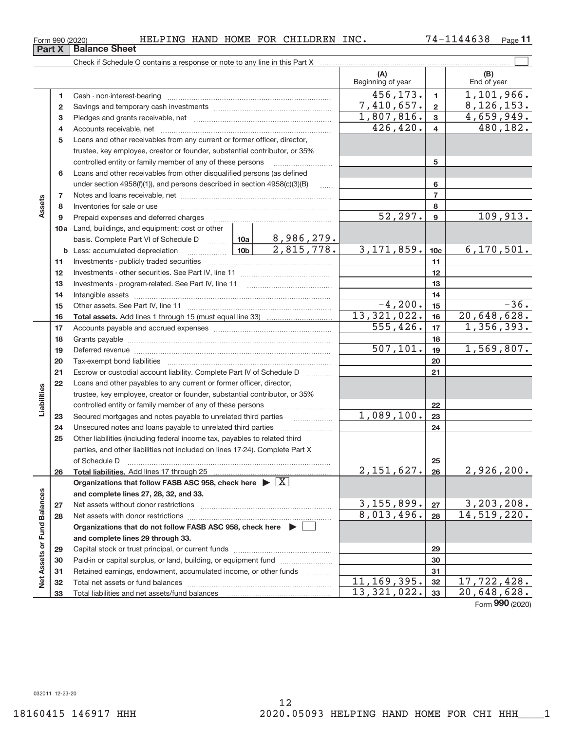Form 990 (2020) Page Page HELPING HAND HOME FOR CHILDREN INC. The state  $74-1144638$  Page

74-1144638 Page 11

|                             |              |                                                                                                                                                                                                                                |                 |                         | (A)<br>Beginning of year |                         | (B)<br>End of year        |
|-----------------------------|--------------|--------------------------------------------------------------------------------------------------------------------------------------------------------------------------------------------------------------------------------|-----------------|-------------------------|--------------------------|-------------------------|---------------------------|
|                             | 1            | Cash - non-interest-bearing                                                                                                                                                                                                    |                 |                         | 456, 173.                | $\mathbf{1}$            | 1,101,966.                |
|                             | $\mathbf{2}$ |                                                                                                                                                                                                                                |                 |                         | 7,410,657.               | $\overline{2}$          | 8, 126, 153.              |
|                             | з            |                                                                                                                                                                                                                                |                 |                         | 1,807,816.               | $\mathbf{3}$            | 4,659,949.                |
|                             | 4            |                                                                                                                                                                                                                                |                 |                         | 426, 420.                | $\overline{\mathbf{4}}$ | 480,182.                  |
|                             | 5            | Loans and other receivables from any current or former officer, director,                                                                                                                                                      |                 |                         |                          |                         |                           |
|                             |              | trustee, key employee, creator or founder, substantial contributor, or 35%                                                                                                                                                     |                 |                         |                          |                         |                           |
|                             |              | controlled entity or family member of any of these persons                                                                                                                                                                     |                 |                         |                          | 5                       |                           |
|                             | 6            | Loans and other receivables from other disqualified persons (as defined                                                                                                                                                        |                 |                         |                          |                         |                           |
|                             |              | under section $4958(f)(1)$ , and persons described in section $4958(c)(3)(B)$                                                                                                                                                  |                 | $\ldots$                |                          | 6                       |                           |
|                             | 7            |                                                                                                                                                                                                                                |                 |                         |                          | $\overline{7}$          |                           |
| Assets                      | 8            |                                                                                                                                                                                                                                |                 |                         |                          | 8                       |                           |
|                             | 9            | Prepaid expenses and deferred charges                                                                                                                                                                                          |                 |                         | 52, 297.                 | 9                       | 109,913.                  |
|                             |              | 10a Land, buildings, and equipment: cost or other                                                                                                                                                                              |                 |                         |                          |                         |                           |
|                             |              | basis. Complete Part VI of Schedule D                                                                                                                                                                                          |                 | $ 10a $ 8,986,279.      |                          |                         |                           |
|                             | b            | Less: accumulated depreciation                                                                                                                                                                                                 | 10 <sub>b</sub> | $\overline{2,815,778.}$ | 3, 171, 859.             | 10 <sub>c</sub>         | 6, 170, 501.              |
|                             | 11           |                                                                                                                                                                                                                                |                 |                         |                          | 11                      |                           |
|                             | 12           |                                                                                                                                                                                                                                |                 |                         |                          | 12                      |                           |
|                             | 13           | Investments - program-related. See Part IV, line 11                                                                                                                                                                            |                 |                         | 13                       |                         |                           |
|                             | 14           |                                                                                                                                                                                                                                |                 |                         |                          | 14                      | $-36.$                    |
|                             | 15           |                                                                                                                                                                                                                                |                 |                         | $-4,200.$<br>13,321,022. | 15                      |                           |
|                             | 16           |                                                                                                                                                                                                                                |                 |                         | $\overline{555, 426}$ .  | 16                      | 20,648,628.<br>1,356,393. |
|                             | 17           |                                                                                                                                                                                                                                |                 |                         |                          | 17                      |                           |
|                             | 18           |                                                                                                                                                                                                                                |                 | 507, 101.               | 18                       | 1,569,807.              |                           |
|                             | 19<br>20     | Deferred revenue imminimum contracts and all the contracts and all the contracts and all the contracts are contracted and all the contracts are contracted and all the contracts are contracted and contract are contracted an |                 |                         |                          | 19<br>20                |                           |
|                             | 21           | Escrow or custodial account liability. Complete Part IV of Schedule D                                                                                                                                                          |                 |                         |                          | 21                      |                           |
|                             | 22           | Loans and other payables to any current or former officer, director,                                                                                                                                                           |                 | .                       |                          |                         |                           |
| Liabilities                 |              | trustee, key employee, creator or founder, substantial contributor, or 35%                                                                                                                                                     |                 |                         |                          |                         |                           |
|                             |              | controlled entity or family member of any of these persons                                                                                                                                                                     |                 |                         |                          | 22                      |                           |
|                             | 23           | Secured mortgages and notes payable to unrelated third parties                                                                                                                                                                 |                 | .                       | 1,089,100.               | 23                      |                           |
|                             | 24           | Unsecured notes and loans payable to unrelated third parties                                                                                                                                                                   |                 |                         |                          | 24                      |                           |
|                             | 25           | Other liabilities (including federal income tax, payables to related third                                                                                                                                                     |                 |                         |                          |                         |                           |
|                             |              | parties, and other liabilities not included on lines 17-24). Complete Part X                                                                                                                                                   |                 |                         |                          |                         |                           |
|                             |              | of Schedule D                                                                                                                                                                                                                  |                 |                         |                          | 25                      |                           |
|                             | 26           | Total liabilities. Add lines 17 through 25                                                                                                                                                                                     |                 |                         | 2,151,627.               | 26                      | 2,926,200.                |
|                             |              | Organizations that follow FASB ASC 958, check here $\triangleright \boxed{X}$                                                                                                                                                  |                 |                         |                          |                         |                           |
|                             |              | and complete lines 27, 28, 32, and 33.                                                                                                                                                                                         |                 |                         |                          |                         |                           |
|                             | 27           | Net assets without donor restrictions                                                                                                                                                                                          |                 |                         | 3, 155, 899.             | 27                      | 3,203,208.                |
|                             | 28           |                                                                                                                                                                                                                                |                 |                         | 8,013,496.               | 28                      | 14,519,220.               |
|                             |              | Organizations that do not follow FASB ASC 958, check here $\blacktriangleright$                                                                                                                                                |                 |                         |                          |                         |                           |
|                             |              | and complete lines 29 through 33.                                                                                                                                                                                              |                 |                         |                          |                         |                           |
|                             | 29           |                                                                                                                                                                                                                                |                 |                         | 29                       |                         |                           |
|                             | 30           | Paid-in or capital surplus, or land, building, or equipment fund                                                                                                                                                               |                 |                         |                          | 30                      |                           |
| Net Assets or Fund Balances | 31           | Retained earnings, endowment, accumulated income, or other funds                                                                                                                                                               |                 | 1.1.1.1.1.1.1.1.1.1     |                          | 31                      |                           |
|                             | 32           | Total net assets or fund balances                                                                                                                                                                                              |                 |                         | 11, 169, 395.            | 32                      | 17,722,428.               |
|                             | 33           |                                                                                                                                                                                                                                |                 |                         | 13, 321, 022.            | 33                      | 20,648,628.               |

Form (2020) **990**

**Part X Balance Sheet**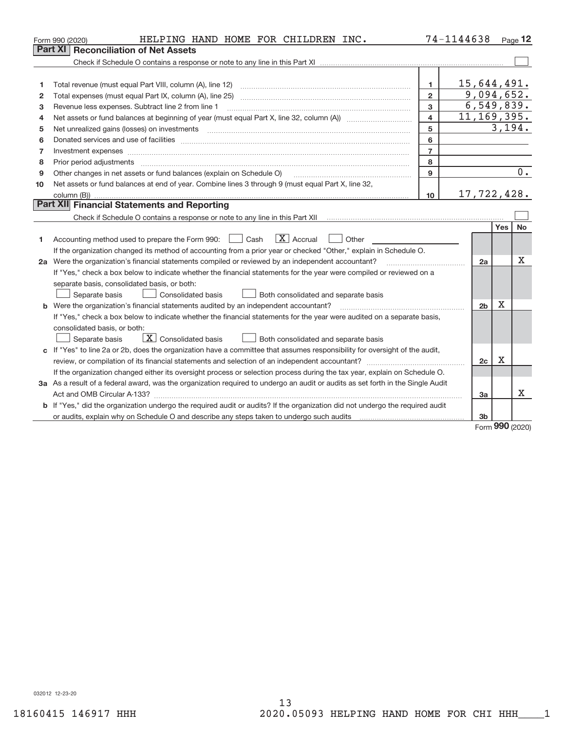|    | HELPING HAND HOME FOR CHILDREN INC.<br>Form 990 (2020)                                                                                                                                                                         |                | 74-1144638 |                |              | Page $12$ |  |  |  |  |
|----|--------------------------------------------------------------------------------------------------------------------------------------------------------------------------------------------------------------------------------|----------------|------------|----------------|--------------|-----------|--|--|--|--|
|    | Part XI<br><b>Reconciliation of Net Assets</b>                                                                                                                                                                                 |                |            |                |              |           |  |  |  |  |
|    |                                                                                                                                                                                                                                |                |            |                |              |           |  |  |  |  |
|    |                                                                                                                                                                                                                                |                |            |                |              |           |  |  |  |  |
| 1  |                                                                                                                                                                                                                                | $\mathbf{1}$   |            | 15,644,491.    |              |           |  |  |  |  |
| 2  |                                                                                                                                                                                                                                | $\overline{2}$ |            | 9,094,652.     |              |           |  |  |  |  |
| 3  | 6, 549, 839.<br>3<br>Revenue less expenses. Subtract line 2 from line 1                                                                                                                                                        |                |            |                |              |           |  |  |  |  |
| 4  | 11, 169, 395.<br>4                                                                                                                                                                                                             |                |            |                |              |           |  |  |  |  |
| 5  | Net unrealized gains (losses) on investments [11] matter contracts and the state of the state of the state of the state of the state of the state of the state of the state of the state of the state of the state of the stat | 5              |            |                | 3,194.       |           |  |  |  |  |
| 6  |                                                                                                                                                                                                                                | 6              |            |                |              |           |  |  |  |  |
| 7  |                                                                                                                                                                                                                                | $\overline{7}$ |            |                |              |           |  |  |  |  |
| 8  | Prior period adjustments manufactured and content and content and content and content and content and content and content and content and content and content and content and content and content and content and content and  | 8              |            |                |              |           |  |  |  |  |
| 9  | Other changes in net assets or fund balances (explain on Schedule O)                                                                                                                                                           | 9              |            |                |              | 0.        |  |  |  |  |
| 10 | Net assets or fund balances at end of year. Combine lines 3 through 9 (must equal Part X, line 32,                                                                                                                             |                |            |                |              |           |  |  |  |  |
|    |                                                                                                                                                                                                                                | 10             |            | 17,722,428.    |              |           |  |  |  |  |
|    | Part XII Financial Statements and Reporting                                                                                                                                                                                    |                |            |                |              |           |  |  |  |  |
|    |                                                                                                                                                                                                                                |                |            |                |              |           |  |  |  |  |
|    |                                                                                                                                                                                                                                |                |            |                | Yes          | No.       |  |  |  |  |
| 1  | $\overline{X}$ Accrual<br>Accounting method used to prepare the Form 990: <u>[</u> Cash<br>    Other                                                                                                                           |                |            |                |              |           |  |  |  |  |
|    | If the organization changed its method of accounting from a prior year or checked "Other," explain in Schedule O.                                                                                                              |                |            |                |              |           |  |  |  |  |
|    | 2a Were the organization's financial statements compiled or reviewed by an independent accountant?                                                                                                                             |                |            | 2a             |              | x         |  |  |  |  |
|    | If "Yes," check a box below to indicate whether the financial statements for the year were compiled or reviewed on a                                                                                                           |                |            |                |              |           |  |  |  |  |
|    | separate basis, consolidated basis, or both:                                                                                                                                                                                   |                |            |                |              |           |  |  |  |  |
|    | Separate basis<br><b>Consolidated basis</b><br>Both consolidated and separate basis                                                                                                                                            |                |            |                |              |           |  |  |  |  |
|    | <b>b</b> Were the organization's financial statements audited by an independent accountant?                                                                                                                                    |                |            | 2 <sub>b</sub> | x            |           |  |  |  |  |
|    | If "Yes," check a box below to indicate whether the financial statements for the year were audited on a separate basis,                                                                                                        |                |            |                |              |           |  |  |  |  |
|    | consolidated basis, or both:                                                                                                                                                                                                   |                |            |                |              |           |  |  |  |  |
|    | $\overline{X}$ Consolidated basis<br>Separate basis<br>Both consolidated and separate basis                                                                                                                                    |                |            |                |              |           |  |  |  |  |
|    | c If "Yes" to line 2a or 2b, does the organization have a committee that assumes responsibility for oversight of the audit,                                                                                                    |                |            |                |              |           |  |  |  |  |
|    |                                                                                                                                                                                                                                |                |            | 2c             | X            |           |  |  |  |  |
|    | If the organization changed either its oversight process or selection process during the tax year, explain on Schedule O.                                                                                                      |                |            |                |              |           |  |  |  |  |
|    | 3a As a result of a federal award, was the organization required to undergo an audit or audits as set forth in the Single Audit                                                                                                |                |            |                |              |           |  |  |  |  |
|    |                                                                                                                                                                                                                                |                |            | 3a             |              | x         |  |  |  |  |
|    | b If "Yes," did the organization undergo the required audit or audits? If the organization did not undergo the required audit                                                                                                  |                |            |                |              |           |  |  |  |  |
|    |                                                                                                                                                                                                                                |                |            | 3b             |              |           |  |  |  |  |
|    |                                                                                                                                                                                                                                |                |            |                | $000 \ldots$ |           |  |  |  |  |

Form (2020) **990**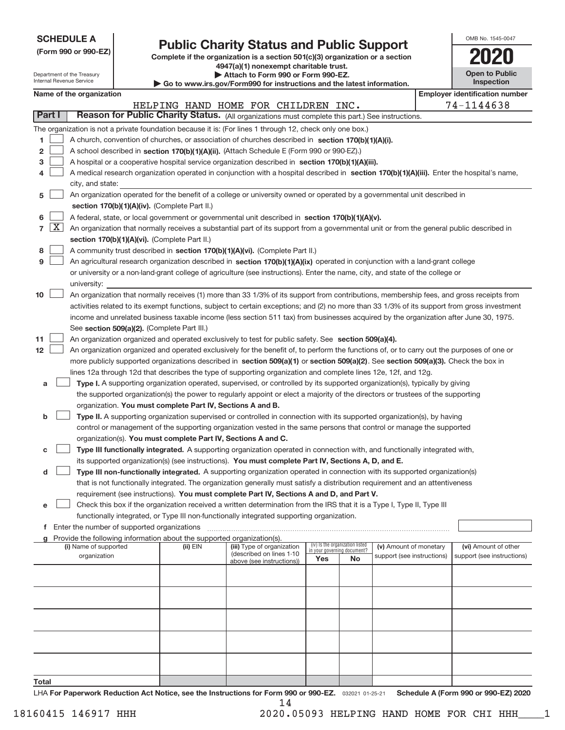## **Public Charity Status and Public Support**

**(Form 990 or 990‐EZ) Complete if the organization is a section 501(c)(3) organization or a section 4947(a)(1) nonexempt charitable trust. | Attach to Form 990 or Form 990‐EZ.** 

| OMB No. 1545-0047                   |
|-------------------------------------|
| 1120                                |
| <b>Open to Public</b><br>Inspection |

| Department of the Treasury<br>Internal Revenue Service |                                                                                                                           |                       |  |                                                                        | Attach to Form 990 or Form 990-EZ.<br>Go to www.irs.gov/Form990 for instructions and the latest information.                                 |     |                                 |                                                      |  | <b>Open to Public</b><br>Inspection |
|--------------------------------------------------------|---------------------------------------------------------------------------------------------------------------------------|-----------------------|--|------------------------------------------------------------------------|----------------------------------------------------------------------------------------------------------------------------------------------|-----|---------------------------------|------------------------------------------------------|--|-------------------------------------|
| Name of the organization                               |                                                                                                                           |                       |  |                                                                        |                                                                                                                                              |     |                                 | <b>Employer identification number</b>                |  |                                     |
|                                                        |                                                                                                                           |                       |  |                                                                        | HELPING HAND HOME FOR CHILDREN INC.                                                                                                          |     |                                 |                                                      |  | 74-1144638                          |
| Part I                                                 |                                                                                                                           |                       |  |                                                                        | Reason for Public Charity Status. (All organizations must complete this part.) See instructions.                                             |     |                                 |                                                      |  |                                     |
|                                                        |                                                                                                                           |                       |  |                                                                        | The organization is not a private foundation because it is: (For lines 1 through 12, check only one box.)                                    |     |                                 |                                                      |  |                                     |
| 1                                                      |                                                                                                                           |                       |  |                                                                        | A church, convention of churches, or association of churches described in section 170(b)(1)(A)(i).                                           |     |                                 |                                                      |  |                                     |
| 2                                                      |                                                                                                                           |                       |  |                                                                        | A school described in section 170(b)(1)(A)(ii). (Attach Schedule E (Form 990 or 990-EZ).)                                                    |     |                                 |                                                      |  |                                     |
| з                                                      |                                                                                                                           |                       |  |                                                                        | A hospital or a cooperative hospital service organization described in section 170(b)(1)(A)(iii).                                            |     |                                 |                                                      |  |                                     |
| 4                                                      |                                                                                                                           |                       |  |                                                                        | A medical research organization operated in conjunction with a hospital described in section 170(b)(1)(A)(iii). Enter the hospital's name,   |     |                                 |                                                      |  |                                     |
|                                                        |                                                                                                                           | city, and state:      |  |                                                                        |                                                                                                                                              |     |                                 |                                                      |  |                                     |
| 5                                                      | An organization operated for the benefit of a college or university owned or operated by a governmental unit described in |                       |  |                                                                        |                                                                                                                                              |     |                                 |                                                      |  |                                     |
|                                                        |                                                                                                                           |                       |  | section 170(b)(1)(A)(iv). (Complete Part II.)                          |                                                                                                                                              |     |                                 |                                                      |  |                                     |
| 6                                                      |                                                                                                                           |                       |  |                                                                        | A federal, state, or local government or governmental unit described in section 170(b)(1)(A)(v).                                             |     |                                 |                                                      |  |                                     |
| $7 \times$                                             |                                                                                                                           |                       |  |                                                                        | An organization that normally receives a substantial part of its support from a governmental unit or from the general public described in    |     |                                 |                                                      |  |                                     |
|                                                        |                                                                                                                           |                       |  | section 170(b)(1)(A)(vi). (Complete Part II.)                          |                                                                                                                                              |     |                                 |                                                      |  |                                     |
| 8                                                      |                                                                                                                           |                       |  |                                                                        | A community trust described in section 170(b)(1)(A)(vi). (Complete Part II.)                                                                 |     |                                 |                                                      |  |                                     |
| 9                                                      |                                                                                                                           |                       |  |                                                                        | An agricultural research organization described in section 170(b)(1)(A)(ix) operated in conjunction with a land-grant college                |     |                                 |                                                      |  |                                     |
|                                                        |                                                                                                                           |                       |  |                                                                        | or university or a non-land-grant college of agriculture (see instructions). Enter the name, city, and state of the college or               |     |                                 |                                                      |  |                                     |
|                                                        |                                                                                                                           | university:           |  |                                                                        |                                                                                                                                              |     |                                 |                                                      |  |                                     |
| 10                                                     |                                                                                                                           |                       |  |                                                                        | An organization that normally receives (1) more than 33 1/3% of its support from contributions, membership fees, and gross receipts from     |     |                                 |                                                      |  |                                     |
|                                                        |                                                                                                                           |                       |  |                                                                        | activities related to its exempt functions, subject to certain exceptions; and (2) no more than 33 1/3% of its support from gross investment |     |                                 |                                                      |  |                                     |
|                                                        |                                                                                                                           |                       |  |                                                                        | income and unrelated business taxable income (less section 511 tax) from businesses acquired by the organization after June 30, 1975.        |     |                                 |                                                      |  |                                     |
|                                                        |                                                                                                                           |                       |  | See section 509(a)(2). (Complete Part III.)                            |                                                                                                                                              |     |                                 |                                                      |  |                                     |
| 11                                                     |                                                                                                                           |                       |  |                                                                        | An organization organized and operated exclusively to test for public safety. See section 509(a)(4).                                         |     |                                 |                                                      |  |                                     |
| 12 <sub>2</sub>                                        |                                                                                                                           |                       |  |                                                                        | An organization organized and operated exclusively for the benefit of, to perform the functions of, or to carry out the purposes of one or   |     |                                 |                                                      |  |                                     |
|                                                        |                                                                                                                           |                       |  |                                                                        | more publicly supported organizations described in section 509(a)(1) or section 509(a)(2). See section 509(a)(3). Check the box in           |     |                                 |                                                      |  |                                     |
|                                                        |                                                                                                                           |                       |  |                                                                        | lines 12a through 12d that describes the type of supporting organization and complete lines 12e, 12f, and 12g.                               |     |                                 |                                                      |  |                                     |
| a                                                      |                                                                                                                           |                       |  |                                                                        | Type I. A supporting organization operated, supervised, or controlled by its supported organization(s), typically by giving                  |     |                                 |                                                      |  |                                     |
|                                                        |                                                                                                                           |                       |  |                                                                        | the supported organization(s) the power to regularly appoint or elect a majority of the directors or trustees of the supporting              |     |                                 |                                                      |  |                                     |
|                                                        |                                                                                                                           |                       |  | organization. You must complete Part IV, Sections A and B.             |                                                                                                                                              |     |                                 |                                                      |  |                                     |
| b                                                      |                                                                                                                           |                       |  |                                                                        | Type II. A supporting organization supervised or controlled in connection with its supported organization(s), by having                      |     |                                 |                                                      |  |                                     |
|                                                        |                                                                                                                           |                       |  |                                                                        | control or management of the supporting organization vested in the same persons that control or manage the supported                         |     |                                 |                                                      |  |                                     |
|                                                        |                                                                                                                           |                       |  | organization(s). You must complete Part IV, Sections A and C.          |                                                                                                                                              |     |                                 |                                                      |  |                                     |
| с                                                      |                                                                                                                           |                       |  |                                                                        | Type III functionally integrated. A supporting organization operated in connection with, and functionally integrated with,                   |     |                                 |                                                      |  |                                     |
|                                                        |                                                                                                                           |                       |  |                                                                        | its supported organization(s) (see instructions). You must complete Part IV, Sections A, D, and E.                                           |     |                                 |                                                      |  |                                     |
| d                                                      |                                                                                                                           |                       |  |                                                                        | Type III non-functionally integrated. A supporting organization operated in connection with its supported organization(s)                    |     |                                 |                                                      |  |                                     |
|                                                        |                                                                                                                           |                       |  |                                                                        | that is not functionally integrated. The organization generally must satisfy a distribution requirement and an attentiveness                 |     |                                 |                                                      |  |                                     |
|                                                        |                                                                                                                           |                       |  |                                                                        | requirement (see instructions). You must complete Part IV, Sections A and D, and Part V.                                                     |     |                                 |                                                      |  |                                     |
| е                                                      |                                                                                                                           |                       |  |                                                                        | Check this box if the organization received a written determination from the IRS that it is a Type I, Type II, Type III                      |     |                                 |                                                      |  |                                     |
|                                                        |                                                                                                                           |                       |  |                                                                        | functionally integrated, or Type III non-functionally integrated supporting organization.                                                    |     |                                 |                                                      |  |                                     |
| f.                                                     |                                                                                                                           |                       |  | Enter the number of supported organizations                            |                                                                                                                                              |     |                                 |                                                      |  |                                     |
| a                                                      |                                                                                                                           |                       |  | Provide the following information about the supported organization(s). |                                                                                                                                              |     | (iv) Is the organization listed |                                                      |  |                                     |
|                                                        |                                                                                                                           | (i) Name of supported |  | $(ii)$ EIN                                                             | (iii) Type of organization<br>(described on lines 1-10                                                                                       |     | in your governing document?     | (v) Amount of monetary<br>support (see instructions) |  | (vi) Amount of other                |
|                                                        |                                                                                                                           | organization          |  |                                                                        | above (see instructions))                                                                                                                    | Yes | No                              |                                                      |  | support (see instructions)          |
|                                                        |                                                                                                                           |                       |  |                                                                        |                                                                                                                                              |     |                                 |                                                      |  |                                     |
|                                                        |                                                                                                                           |                       |  |                                                                        |                                                                                                                                              |     |                                 |                                                      |  |                                     |
|                                                        |                                                                                                                           |                       |  |                                                                        |                                                                                                                                              |     |                                 |                                                      |  |                                     |
|                                                        |                                                                                                                           |                       |  |                                                                        |                                                                                                                                              |     |                                 |                                                      |  |                                     |
|                                                        |                                                                                                                           |                       |  |                                                                        |                                                                                                                                              |     |                                 |                                                      |  |                                     |
|                                                        |                                                                                                                           |                       |  |                                                                        |                                                                                                                                              |     |                                 |                                                      |  |                                     |
|                                                        |                                                                                                                           |                       |  |                                                                        |                                                                                                                                              |     |                                 |                                                      |  |                                     |
|                                                        |                                                                                                                           |                       |  |                                                                        |                                                                                                                                              |     |                                 |                                                      |  |                                     |
|                                                        |                                                                                                                           |                       |  |                                                                        |                                                                                                                                              |     |                                 |                                                      |  |                                     |
|                                                        |                                                                                                                           |                       |  |                                                                        |                                                                                                                                              |     |                                 |                                                      |  |                                     |

**Total**

032021 01‐25‐21 **For Paperwork Reduction Act Notice, see the Instructions for Form 990 or 990‐EZ. Schedule A (Form 990 or 990‐EZ) 2020** LHA 14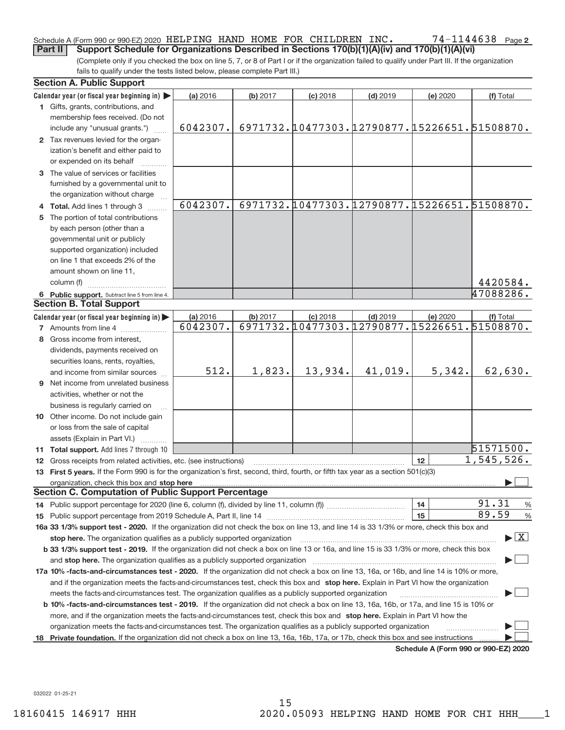### 74-1144638 Page 2 Schedule A (Form 990 or 990‐EZ) 2020 <code>HELPING HAND HOME FOR CHILDREN INC</code> .  $74-1144638$  <code>Page</code> **Part II** Support Schedule for Organizations Described in Sections 170(b)(1)(A)(iv) and 170(b)(1)(A)(vi)

(Complete only if you checked the box on line 5, 7, or 8 of Part I or if the organization failed to qualify under Part III. If the organization fails to qualify under the tests listed below, please complete Part III.)

|   | <b>Section A. Public Support</b>                                                                                                                                                                         |          |          |            |                                              |          |                                          |
|---|----------------------------------------------------------------------------------------------------------------------------------------------------------------------------------------------------------|----------|----------|------------|----------------------------------------------|----------|------------------------------------------|
|   | Calendar year (or fiscal year beginning in)                                                                                                                                                              | (a) 2016 | (b) 2017 | $(c)$ 2018 | $(d)$ 2019                                   | (e) 2020 | (f) Total                                |
|   | 1 Gifts, grants, contributions, and                                                                                                                                                                      |          |          |            |                                              |          |                                          |
|   | membership fees received. (Do not                                                                                                                                                                        |          |          |            |                                              |          |                                          |
|   | include any "unusual grants.")                                                                                                                                                                           | 6042307. |          |            | 6971732.10477303.12790877.15226651.51508870. |          |                                          |
|   | 2 Tax revenues levied for the organ-                                                                                                                                                                     |          |          |            |                                              |          |                                          |
|   | ization's benefit and either paid to                                                                                                                                                                     |          |          |            |                                              |          |                                          |
|   | or expended on its behalf                                                                                                                                                                                |          |          |            |                                              |          |                                          |
|   | 3 The value of services or facilities                                                                                                                                                                    |          |          |            |                                              |          |                                          |
|   | furnished by a governmental unit to                                                                                                                                                                      |          |          |            |                                              |          |                                          |
|   | the organization without charge                                                                                                                                                                          |          |          |            |                                              |          |                                          |
|   | 4 Total. Add lines 1 through 3                                                                                                                                                                           | 6042307. |          |            | 6971732.10477303.12790877.15226651.51508870. |          |                                          |
| 5 | The portion of total contributions                                                                                                                                                                       |          |          |            |                                              |          |                                          |
|   | by each person (other than a                                                                                                                                                                             |          |          |            |                                              |          |                                          |
|   | governmental unit or publicly                                                                                                                                                                            |          |          |            |                                              |          |                                          |
|   |                                                                                                                                                                                                          |          |          |            |                                              |          |                                          |
|   | supported organization) included                                                                                                                                                                         |          |          |            |                                              |          |                                          |
|   | on line 1 that exceeds 2% of the                                                                                                                                                                         |          |          |            |                                              |          |                                          |
|   | amount shown on line 11,                                                                                                                                                                                 |          |          |            |                                              |          |                                          |
|   | column (f)                                                                                                                                                                                               |          |          |            |                                              |          | 4420584.                                 |
|   | 6 Public support. Subtract line 5 from line 4.                                                                                                                                                           |          |          |            |                                              |          | 47088286.                                |
|   | <b>Section B. Total Support</b>                                                                                                                                                                          |          |          |            |                                              |          |                                          |
|   | Calendar year (or fiscal year beginning in)                                                                                                                                                              | (a) 2016 | (b) 2017 | $(c)$ 2018 | $(d)$ 2019                                   | (e) 2020 | (f) Total                                |
|   | <b>7</b> Amounts from line 4                                                                                                                                                                             | 6042307. |          |            | 6971732.10477303.12790877.15226651.51508870. |          |                                          |
| 8 | Gross income from interest,                                                                                                                                                                              |          |          |            |                                              |          |                                          |
|   | dividends, payments received on                                                                                                                                                                          |          |          |            |                                              |          |                                          |
|   | securities loans, rents, royalties,                                                                                                                                                                      |          |          |            |                                              |          |                                          |
|   | and income from similar sources                                                                                                                                                                          | 512.     | 1,823.   | 13,934.    | 41,019.                                      | 5,342.   | 62,630.                                  |
|   | <b>9</b> Net income from unrelated business                                                                                                                                                              |          |          |            |                                              |          |                                          |
|   | activities, whether or not the                                                                                                                                                                           |          |          |            |                                              |          |                                          |
|   | business is regularly carried on                                                                                                                                                                         |          |          |            |                                              |          |                                          |
|   | 10 Other income. Do not include gain                                                                                                                                                                     |          |          |            |                                              |          |                                          |
|   | or loss from the sale of capital                                                                                                                                                                         |          |          |            |                                              |          |                                          |
|   | assets (Explain in Part VI.)                                                                                                                                                                             |          |          |            |                                              |          |                                          |
|   | 11 Total support. Add lines 7 through 10                                                                                                                                                                 |          |          |            |                                              |          | 51571500.                                |
|   |                                                                                                                                                                                                          |          |          |            |                                              | 12       | 1,545,526.                               |
|   | 12 Gross receipts from related activities, etc. (see instructions)<br>13 First 5 years. If the Form 990 is for the organization's first, second, third, fourth, or fifth tax year as a section 501(c)(3) |          |          |            |                                              |          |                                          |
|   |                                                                                                                                                                                                          |          |          |            |                                              |          |                                          |
|   | <b>Section C. Computation of Public Support Percentage</b>                                                                                                                                               |          |          |            |                                              |          |                                          |
|   |                                                                                                                                                                                                          |          |          |            |                                              |          | 91.31                                    |
|   |                                                                                                                                                                                                          |          |          |            |                                              | 14<br>15 | $\frac{0}{6}$<br>89.59                   |
|   |                                                                                                                                                                                                          |          |          |            |                                              |          | $\frac{9}{6}$                            |
|   | 16a 33 1/3% support test - 2020. If the organization did not check the box on line 13, and line 14 is 33 1/3% or more, check this box and                                                                |          |          |            |                                              |          | $\blacktriangleright$ $\boxed{\text{X}}$ |
|   | stop here. The organization qualifies as a publicly supported organization                                                                                                                               |          |          |            |                                              |          |                                          |
|   | b 33 1/3% support test - 2019. If the organization did not check a box on line 13 or 16a, and line 15 is 33 1/3% or more, check this box                                                                 |          |          |            |                                              |          |                                          |
|   | and stop here. The organization qualifies as a publicly supported organization                                                                                                                           |          |          |            |                                              |          |                                          |
|   | 17a 10% -facts-and-circumstances test - 2020. If the organization did not check a box on line 13, 16a, or 16b, and line 14 is 10% or more,                                                               |          |          |            |                                              |          |                                          |
|   | and if the organization meets the facts-and-circumstances test, check this box and stop here. Explain in Part VI how the organization                                                                    |          |          |            |                                              |          |                                          |
|   | meets the facts-and-circumstances test. The organization qualifies as a publicly supported organization                                                                                                  |          |          |            |                                              |          |                                          |
|   | <b>b 10% -facts-and-circumstances test - 2019.</b> If the organization did not check a box on line 13, 16a, 16b, or 17a, and line 15 is 10% or                                                           |          |          |            |                                              |          |                                          |
|   | more, and if the organization meets the facts-and-circumstances test, check this box and stop here. Explain in Part VI how the                                                                           |          |          |            |                                              |          |                                          |
|   | organization meets the facts-and-circumstances test. The organization qualifies as a publicly supported organization                                                                                     |          |          |            |                                              |          |                                          |
|   | 18 Private foundation. If the organization did not check a box on line 13, 16a, 16b, 17a, or 17b, check this box and see instructions                                                                    |          |          |            |                                              |          |                                          |
|   |                                                                                                                                                                                                          |          |          |            |                                              |          | 000 F71000                               |

**Schedule A (Form 990 or 990‐EZ) 2020**

032022 01‐25‐21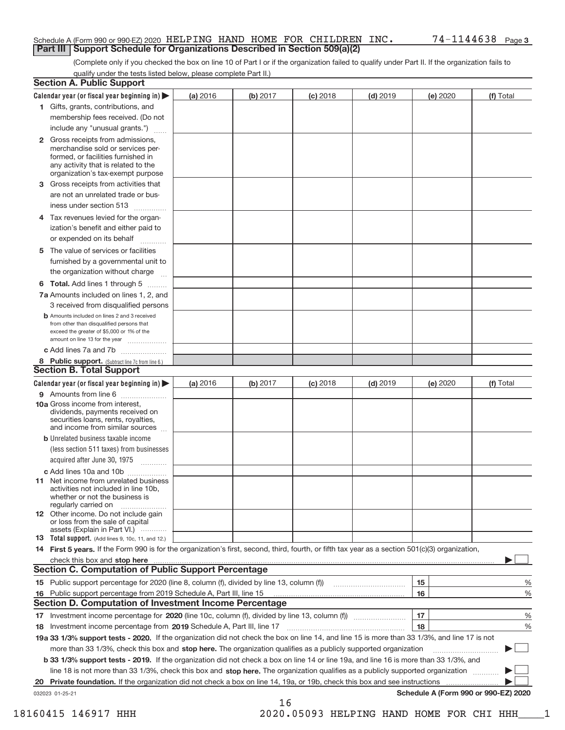### Schedule A (Form 990 or 990‐EZ) 2020 <code>HELPING HAND HOME FOR CHILDREN INC</code> .  $74-1144638$  <code>Page</code> **Part III | Support Schedule for Organizations Described in Section 509(a)(2)**

(Complete only if you checked the box on line 10 of Part I or if the organization failed to qualify under Part II. If the organization fails to qualify under the tests listed below, please complete Part II.)

| <b>Section A. Public Support</b>                                                                                                                                                                                               |          |          |            |            |          |                                      |
|--------------------------------------------------------------------------------------------------------------------------------------------------------------------------------------------------------------------------------|----------|----------|------------|------------|----------|--------------------------------------|
| Calendar year (or fiscal year beginning in) $\blacktriangleright$                                                                                                                                                              | (a) 2016 | (b) 2017 | $(c)$ 2018 | $(d)$ 2019 | (e) 2020 | (f) Total                            |
| 1 Gifts, grants, contributions, and                                                                                                                                                                                            |          |          |            |            |          |                                      |
| membership fees received. (Do not                                                                                                                                                                                              |          |          |            |            |          |                                      |
| include any "unusual grants.")                                                                                                                                                                                                 |          |          |            |            |          |                                      |
| 2 Gross receipts from admissions,<br>merchandise sold or services per-<br>formed, or facilities furnished in<br>any activity that is related to the<br>organization's tax-exempt purpose                                       |          |          |            |            |          |                                      |
| 3 Gross receipts from activities that                                                                                                                                                                                          |          |          |            |            |          |                                      |
| are not an unrelated trade or bus-                                                                                                                                                                                             |          |          |            |            |          |                                      |
| iness under section 513                                                                                                                                                                                                        |          |          |            |            |          |                                      |
| 4 Tax revenues levied for the organ-<br>ization's benefit and either paid to                                                                                                                                                   |          |          |            |            |          |                                      |
| or expended on its behalf                                                                                                                                                                                                      |          |          |            |            |          |                                      |
| The value of services or facilities<br>5                                                                                                                                                                                       |          |          |            |            |          |                                      |
| furnished by a governmental unit to                                                                                                                                                                                            |          |          |            |            |          |                                      |
| the organization without charge                                                                                                                                                                                                |          |          |            |            |          |                                      |
| <b>6 Total.</b> Add lines 1 through 5                                                                                                                                                                                          |          |          |            |            |          |                                      |
| 7a Amounts included on lines 1, 2, and<br>3 received from disqualified persons                                                                                                                                                 |          |          |            |            |          |                                      |
| <b>b</b> Amounts included on lines 2 and 3 received<br>from other than disqualified persons that<br>exceed the greater of \$5,000 or 1% of the<br>amount on line 13 for the year                                               |          |          |            |            |          |                                      |
| c Add lines 7a and 7b                                                                                                                                                                                                          |          |          |            |            |          |                                      |
| 8 Public support. (Subtract line 7c from line 6.)                                                                                                                                                                              |          |          |            |            |          |                                      |
| <b>Section B. Total Support</b>                                                                                                                                                                                                |          |          |            |            |          |                                      |
| Calendar year (or fiscal year beginning in) $\blacktriangleright$                                                                                                                                                              | (a) 2016 | (b) 2017 | $(c)$ 2018 | $(d)$ 2019 | (e) 2020 | (f) Total                            |
| 9 Amounts from line 6                                                                                                                                                                                                          |          |          |            |            |          |                                      |
| 10a Gross income from interest,<br>dividends, payments received on<br>securities loans, rents, royalties,<br>and income from similar sources                                                                                   |          |          |            |            |          |                                      |
| <b>b</b> Unrelated business taxable income<br>(less section 511 taxes) from businesses                                                                                                                                         |          |          |            |            |          |                                      |
| acquired after June 30, 1975                                                                                                                                                                                                   |          |          |            |            |          |                                      |
| c Add lines 10a and 10b                                                                                                                                                                                                        |          |          |            |            |          |                                      |
| <b>11</b> Net income from unrelated business<br>activities not included in line 10b,<br>whether or not the business is<br>regularly carried on                                                                                 |          |          |            |            |          |                                      |
| 12 Other income. Do not include gain<br>or loss from the sale of capital<br>assets (Explain in Part VI.)                                                                                                                       |          |          |            |            |          |                                      |
| <b>13</b> Total support. (Add lines 9, 10c, 11, and 12.)                                                                                                                                                                       |          |          |            |            |          |                                      |
| 14 First 5 years. If the Form 990 is for the organization's first, second, third, fourth, or fifth tax year as a section 501(c)(3) organization,                                                                               |          |          |            |            |          |                                      |
| check this box and stop here with the continuum control to the change of the state of the state of the change of the state of the change of the change of the state of the change of the change of the change of the change of |          |          |            |            |          |                                      |
| <b>Section C. Computation of Public Support Percentage</b>                                                                                                                                                                     |          |          |            |            |          |                                      |
|                                                                                                                                                                                                                                |          |          |            |            | 15       | %                                    |
| 16 Public support percentage from 2019 Schedule A, Part III, line 15                                                                                                                                                           |          |          |            |            | 16       | %                                    |
| <b>Section D. Computation of Investment Income Percentage</b>                                                                                                                                                                  |          |          |            |            |          |                                      |
| 17 Investment income percentage for 2020 (line 10c, column (f), divided by line 13, column (f) <i></i>                                                                                                                         |          |          |            |            | 17       | %                                    |
| 18 Investment income percentage from 2019 Schedule A, Part III, line 17                                                                                                                                                        |          |          |            |            | 18       | %                                    |
| 19a 33 1/3% support tests - 2020. If the organization did not check the box on line 14, and line 15 is more than 33 1/3%, and line 17 is not                                                                                   |          |          |            |            |          |                                      |
| more than 33 1/3%, check this box and stop here. The organization qualifies as a publicly supported organization                                                                                                               |          |          |            |            |          |                                      |
| b 33 1/3% support tests - 2019. If the organization did not check a box on line 14 or line 19a, and line 16 is more than 33 1/3%, and                                                                                          |          |          |            |            |          |                                      |
| line 18 is not more than 33 1/3%, check this box and stop here. The organization qualifies as a publicly supported organization                                                                                                |          |          |            |            |          |                                      |
| <b>Private foundation.</b> If the organization did not check a box on line 14, 19a, or 19b, check this box and see instructions<br>20                                                                                          |          |          |            |            |          |                                      |
| 032023 01-25-21                                                                                                                                                                                                                |          |          |            |            |          | Schedule A (Form 990 or 990-EZ) 2020 |
|                                                                                                                                                                                                                                |          | 16       |            |            |          |                                      |

18160415 146917 HHH 2020.05093 HELPING HAND HOME FOR CHI HHH\_\_\_\_1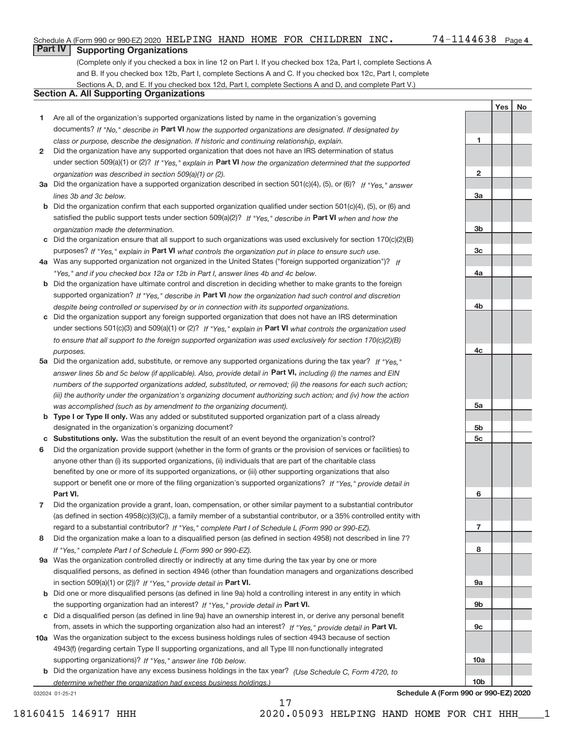### Schedule A (Form 990 or 990‐EZ) 2020 <code>HELPING HAND HOME FOR CHILDREN INC</code> .  $74-1144638$  <code>Page</code>

**1**

**2**

**3a**

**3b**

**3c**

**4a**

**4b**

**4c**

**5a**

**5b 5c**

**6**

**7**

**8**

Yes | No

## **Part IV Supporting Organizations**

(Complete only if you checked a box in line 12 on Part I. If you checked box 12a, Part I, complete Sections A and B. If you checked box 12b, Part I, complete Sections A and C. If you checked box 12c, Part I, complete Sections A, D, and E. If you checked box 12d, Part I, complete Sections A and D, and complete Part V.)

### **Section A. All Supporting Organizations**

- **1** Are all of the organization's supported organizations listed by name in the organization's governing documents? If "No," describe in Part VI how the supported organizations are designated. If designated by *class or purpose, describe the designation. If historic and continuing relationship, explain.*
- **2** Did the organization have any supported organization that does not have an IRS determination of status under section 509(a)(1) or (2)? If "Yes," explain in Part VI how the organization determined that the supported *organization was described in section 509(a)(1) or (2).*
- **3a** Did the organization have a supported organization described in section 501(c)(4), (5), or (6)? If "Yes," answer *lines 3b and 3c below.*
- **b** Did the organization confirm that each supported organization qualified under section 501(c)(4), (5), or (6) and satisfied the public support tests under section 509(a)(2)? If "Yes," describe in Part VI when and how the *organization made the determination.*
- **c** Did the organization ensure that all support to such organizations was used exclusively for section 170(c)(2)(B) purposes? If "Yes," explain in Part VI what controls the organization put in place to ensure such use.
- **4 a** *If* Was any supported organization not organized in the United States ("foreign supported organization")? *"Yes," and if you checked box 12a or 12b in Part I, answer lines 4b and 4c below.*
- **b** Did the organization have ultimate control and discretion in deciding whether to make grants to the foreign supported organization? If "Yes," describe in Part VI how the organization had such control and discretion *despite being controlled or supervised by or in connection with its supported organizations.*
- **c** Did the organization support any foreign supported organization that does not have an IRS determination under sections 501(c)(3) and 509(a)(1) or (2)? If "Yes," explain in Part VI what controls the organization used *to ensure that all support to the foreign supported organization was used exclusively for section 170(c)(2)(B) purposes.*
- **5a** Did the organization add, substitute, or remove any supported organizations during the tax year? If "Yes," answer lines 5b and 5c below (if applicable). Also, provide detail in Part VI, including (i) the names and EIN *numbers of the supported organizations added, substituted, or removed; (ii) the reasons for each such action; (iii) the authority under the organization's organizing document authorizing such action; and (iv) how the action was accomplished (such as by amendment to the organizing document).*
- **b** Type I or Type II only. Was any added or substituted supported organization part of a class already designated in the organization's organizing document?
- **c Substitutions only.**  Was the substitution the result of an event beyond the organization's control?
- **6** Did the organization provide support (whether in the form of grants or the provision of services or facilities) to **Part VI.** *If "Yes," provide detail in* support or benefit one or more of the filing organization's supported organizations? anyone other than (i) its supported organizations, (ii) individuals that are part of the charitable class benefited by one or more of its supported organizations, or (iii) other supporting organizations that also
- **7** Did the organization provide a grant, loan, compensation, or other similar payment to a substantial contributor regard to a substantial contributor? If "Yes," complete Part I of Schedule L (Form 990 or 990-EZ). (as defined in section 4958(c)(3)(C)), a family member of a substantial contributor, or a 35% controlled entity with
- **8** Did the organization make a loan to a disqualified person (as defined in section 4958) not described in line 7? *If "Yes," complete Part I of Schedule L (Form 990 or 990-EZ).*
- **9 a** Was the organization controlled directly or indirectly at any time during the tax year by one or more in section 509(a)(1) or (2))? If "Yes," provide detail in Part VI. disqualified persons, as defined in section 4946 (other than foundation managers and organizations described
- **b** the supporting organization had an interest? If "Yes," provide detail in Part VI. Did one or more disqualified persons (as defined in line 9a) hold a controlling interest in any entity in which
- **c** Did a disqualified person (as defined in line 9a) have an ownership interest in, or derive any personal benefit from, assets in which the supporting organization also had an interest? If "Yes," provide detail in Part VI.
- **10 a** Was the organization subject to the excess business holdings rules of section 4943 because of section supporting organizations)? If "Yes," answer line 10b below. 4943(f) (regarding certain Type II supporting organizations, and all Type III non-functionally integrated
- **b** Did the organization have any excess business holdings in the tax year? (Use Schedule C, Form 4720, to *determine whether the organization had excess business holdings.)*

032024 01‐25‐21

**9a 9b 9c 10a 10b Schedule A (Form 990 or 990‐EZ) 2020**

17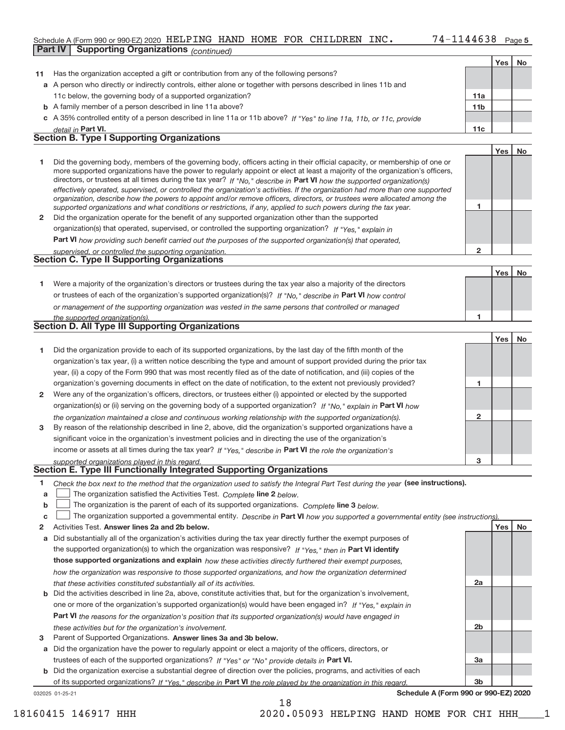### Schedule A (Form 990 or 990‐EZ) 2020 <code>HELPING HAND HOME FOR CHILDREN INC</code> .  $74-1144638$  <code>Page</code> **Part IV | Supporting Organizations** (*continued*)

|    |                                                                                                                                                                                                                                                           |                 | Yes | No |
|----|-----------------------------------------------------------------------------------------------------------------------------------------------------------------------------------------------------------------------------------------------------------|-----------------|-----|----|
| 11 | Has the organization accepted a gift or contribution from any of the following persons?                                                                                                                                                                   |                 |     |    |
|    | a A person who directly or indirectly controls, either alone or together with persons described in lines 11b and                                                                                                                                          |                 |     |    |
|    | 11c below, the governing body of a supported organization?                                                                                                                                                                                                | 11a             |     |    |
|    | <b>b</b> A family member of a person described in line 11a above?                                                                                                                                                                                         | 11 <sub>b</sub> |     |    |
|    | c A 35% controlled entity of a person described in line 11a or 11b above? If "Yes" to line 11a, 11b, or 11c, provide                                                                                                                                      |                 |     |    |
|    | detail in Part VI.                                                                                                                                                                                                                                        | 11c             |     |    |
|    | <b>Section B. Type I Supporting Organizations</b>                                                                                                                                                                                                         |                 |     |    |
|    |                                                                                                                                                                                                                                                           |                 | Yes | No |
| 1  | Did the governing body, members of the governing body, officers acting in their official capacity, or membership of one or                                                                                                                                |                 |     |    |
|    | more supported organizations have the power to regularly appoint or elect at least a majority of the organization's officers,                                                                                                                             |                 |     |    |
|    | directors, or trustees at all times during the tax year? If "No," describe in Part VI how the supported organization(s)<br>effectively operated, supervised, or controlled the organization's activities. If the organization had more than one supported |                 |     |    |
|    | organization, describe how the powers to appoint and/or remove officers, directors, or trustees were allocated among the                                                                                                                                  |                 |     |    |
|    | supported organizations and what conditions or restrictions, if any, applied to such powers during the tax year.                                                                                                                                          | 1               |     |    |
| 2  | Did the organization operate for the benefit of any supported organization other than the supported                                                                                                                                                       |                 |     |    |
|    | organization(s) that operated, supervised, or controlled the supporting organization? If "Yes," explain in                                                                                                                                                |                 |     |    |
|    | Part VI how providing such benefit carried out the purposes of the supported organization(s) that operated,                                                                                                                                               |                 |     |    |
|    | supervised, or controlled the supporting organization.                                                                                                                                                                                                    | $\mathbf{2}$    |     |    |
|    | <b>Section C. Type II Supporting Organizations</b>                                                                                                                                                                                                        |                 |     |    |
|    |                                                                                                                                                                                                                                                           |                 | Yes | No |
| 1. | Were a majority of the organization's directors or trustees during the tax year also a majority of the directors                                                                                                                                          |                 |     |    |
|    | or trustees of each of the organization's supported organization(s)? If "No," describe in Part VI how control                                                                                                                                             |                 |     |    |
|    | or management of the supporting organization was vested in the same persons that controlled or managed                                                                                                                                                    |                 |     |    |
|    | the supported organization(s).<br><b>Section D. All Type III Supporting Organizations</b>                                                                                                                                                                 | 1               |     |    |
|    |                                                                                                                                                                                                                                                           |                 |     |    |
|    |                                                                                                                                                                                                                                                           |                 | Yes | No |
| 1  | Did the organization provide to each of its supported organizations, by the last day of the fifth month of the                                                                                                                                            |                 |     |    |
|    | organization's tax year, (i) a written notice describing the type and amount of support provided during the prior tax                                                                                                                                     |                 |     |    |
|    | year, (ii) a copy of the Form 990 that was most recently filed as of the date of notification, and (iii) copies of the                                                                                                                                    |                 |     |    |
|    | organization's governing documents in effect on the date of notification, to the extent not previously provided?                                                                                                                                          | 1               |     |    |
| 2  | Were any of the organization's officers, directors, or trustees either (i) appointed or elected by the supported                                                                                                                                          |                 |     |    |
|    | organization(s) or (ii) serving on the governing body of a supported organization? If "No," explain in Part VI how                                                                                                                                        | $\mathbf{2}$    |     |    |
|    | the organization maintained a close and continuous working relationship with the supported organization(s).                                                                                                                                               |                 |     |    |
| 3  | By reason of the relationship described in line 2, above, did the organization's supported organizations have a                                                                                                                                           |                 |     |    |
|    | significant voice in the organization's investment policies and in directing the use of the organization's                                                                                                                                                |                 |     |    |
|    | income or assets at all times during the tax year? If "Yes," describe in Part VI the role the organization's<br>supported organizations played in this regard.                                                                                            | 3               |     |    |
|    | Section E. Type III Functionally Integrated Supporting Organizations                                                                                                                                                                                      |                 |     |    |
| 1. | Check the box next to the method that the organization used to satisfy the Integral Part Test during the year (see instructions).                                                                                                                         |                 |     |    |
| a  | The organization satisfied the Activities Test. Complete line 2 below.                                                                                                                                                                                    |                 |     |    |
| b  | The organization is the parent of each of its supported organizations. Complete line 3 below.                                                                                                                                                             |                 |     |    |
| c  | The organization supported a governmental entity. Describe in Part VI how you supported a governmental entity (see instructions).                                                                                                                         |                 |     |    |
| 2  | Activities Test. Answer lines 2a and 2b below.                                                                                                                                                                                                            |                 | Yes | No |
| a  | Did substantially all of the organization's activities during the tax year directly further the exempt purposes of                                                                                                                                        |                 |     |    |
|    | the supported organization(s) to which the organization was responsive? If "Yes," then in Part VI identify                                                                                                                                                |                 |     |    |
|    | those supported organizations and explain how these activities directly furthered their exempt purposes,                                                                                                                                                  |                 |     |    |
|    | how the organization was responsive to those supported organizations, and how the organization determined                                                                                                                                                 |                 |     |    |
|    | that these activities constituted substantially all of its activities.                                                                                                                                                                                    | 2a              |     |    |
| b  | Did the activities described in line 2a, above, constitute activities that, but for the organization's involvement,                                                                                                                                       |                 |     |    |
|    | one or more of the organization's supported organization(s) would have been engaged in? If "Yes," explain in                                                                                                                                              |                 |     |    |
|    | Part VI the reasons for the organization's position that its supported organization(s) would have engaged in                                                                                                                                              |                 |     |    |
|    | these activities but for the organization's involvement.                                                                                                                                                                                                  | 2 <sub>b</sub>  |     |    |

3 Parent of Supported Organizations. Answer lines 3a and 3b below.

**a** Did the organization have the power to regularly appoint or elect a majority of the officers, directors, or trustees of each of the supported organizations? If "Yes" or "No" provide details in Part VI.

032025 01‐25‐21 **b** Did the organization exercise a substantial degree of direction over the policies, programs, and activities of each of its supported organizations? If "Yes," describe in Part VI the role played by the organization in this regard.

18

**Schedule A (Form 990 or 990‐EZ) 2020**

**3a**

**3b**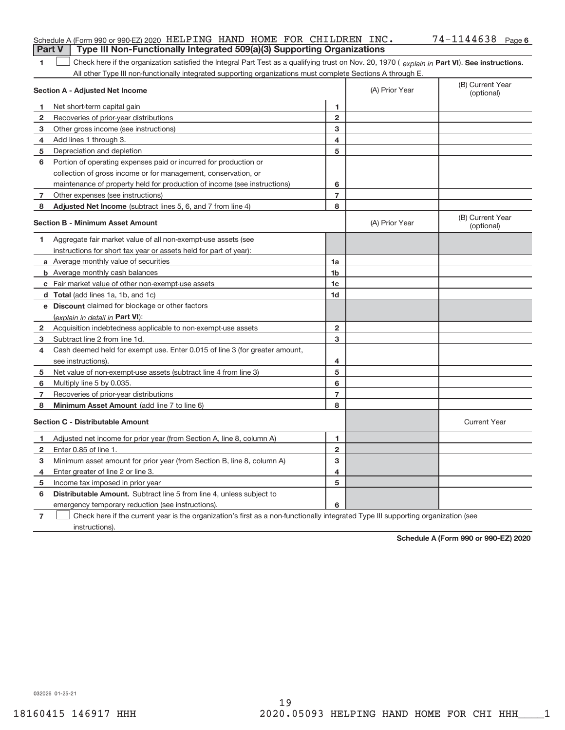| <b>Part V</b> | Schedule A (Form 990 or 990-EZ) 2020 HELPING HAND HOME FOR CHILDREN INC.<br>Type III Non-Functionally Integrated 509(a)(3) Supporting Organizations |                |                | $74 - 1144638$ Page 6          |
|---------------|-----------------------------------------------------------------------------------------------------------------------------------------------------|----------------|----------------|--------------------------------|
| 1             | Check here if the organization satisfied the Integral Part Test as a qualifying trust on Nov. 20, 1970 (explain in Part VI). See instructions.      |                |                |                                |
|               | All other Type III non-functionally integrated supporting organizations must complete Sections A through E.                                         |                |                |                                |
|               | Section A - Adjusted Net Income                                                                                                                     |                | (A) Prior Year | (B) Current Year<br>(optional) |
| 1             | Net short-term capital gain                                                                                                                         | 1              |                |                                |
| 2             | Recoveries of prior-year distributions                                                                                                              | $\overline{2}$ |                |                                |
| з             | Other gross income (see instructions)                                                                                                               | 3              |                |                                |
| 4             | Add lines 1 through 3.                                                                                                                              | 4              |                |                                |
| 5             | Depreciation and depletion                                                                                                                          | 5              |                |                                |
| 6             | Portion of operating expenses paid or incurred for production or                                                                                    |                |                |                                |
|               | collection of gross income or for management, conservation, or                                                                                      |                |                |                                |
|               | maintenance of property held for production of income (see instructions)                                                                            | 6              |                |                                |
| 7             | Other expenses (see instructions)                                                                                                                   | 7              |                |                                |
| 8             | Adjusted Net Income (subtract lines 5, 6, and 7 from line 4)                                                                                        | 8              |                |                                |
|               | <b>Section B - Minimum Asset Amount</b>                                                                                                             |                | (A) Prior Year | (B) Current Year<br>(optional) |
| 1             | Aggregate fair market value of all non-exempt-use assets (see                                                                                       |                |                |                                |
|               | instructions for short tax year or assets held for part of year):                                                                                   |                |                |                                |
|               | a Average monthly value of securities                                                                                                               | 1a             |                |                                |
|               | <b>b</b> Average monthly cash balances                                                                                                              | 1 <sub>b</sub> |                |                                |
|               | c Fair market value of other non-exempt-use assets                                                                                                  | 1c             |                |                                |
|               | d Total (add lines 1a, 1b, and 1c)                                                                                                                  | 1d             |                |                                |
|               | e Discount claimed for blockage or other factors                                                                                                    |                |                |                                |
|               | (explain in detail in Part VI):                                                                                                                     |                |                |                                |
| 2             | Acquisition indebtedness applicable to non-exempt-use assets                                                                                        | $\overline{2}$ |                |                                |
| 3             | Subtract line 2 from line 1d.                                                                                                                       | 3              |                |                                |
| 4             | Cash deemed held for exempt use. Enter 0.015 of line 3 (for greater amount,                                                                         |                |                |                                |
|               | see instructions).                                                                                                                                  | 4              |                |                                |
| 5             | Net value of non-exempt-use assets (subtract line 4 from line 3)                                                                                    | 5              |                |                                |
| 6             | Multiply line 5 by 0.035.                                                                                                                           | 6              |                |                                |
| 7             | Recoveries of prior-year distributions                                                                                                              | 7              |                |                                |
| 8             | Minimum Asset Amount (add line 7 to line 6)                                                                                                         | 8              |                |                                |
|               | <b>Section C - Distributable Amount</b>                                                                                                             |                |                | <b>Current Year</b>            |
|               | Adjusted net income for prior year (from Section A, line 8, column A)                                                                               | 1              |                |                                |
| 2             | Enter 0.85 of line 1.                                                                                                                               | 2              |                |                                |
| 3             | Minimum asset amount for prior year (from Section B, line 8, column A)                                                                              | 3              |                |                                |
| 4             | Enter greater of line 2 or line 3.                                                                                                                  | 4              |                |                                |
| 5             | Income tax imposed in prior year                                                                                                                    | 5              |                |                                |
| 6             | Distributable Amount. Subtract line 5 from line 4, unless subject to                                                                                |                |                |                                |
|               | emergency temporary reduction (see instructions).                                                                                                   | 6              |                |                                |
| 7             | Check here if the current year is the organization's first as a non-functionally integrated Type III supporting organization (see                   |                |                |                                |

instructions).

**Schedule A (Form 990 or 990‐EZ) 2020**

032026 01‐25‐21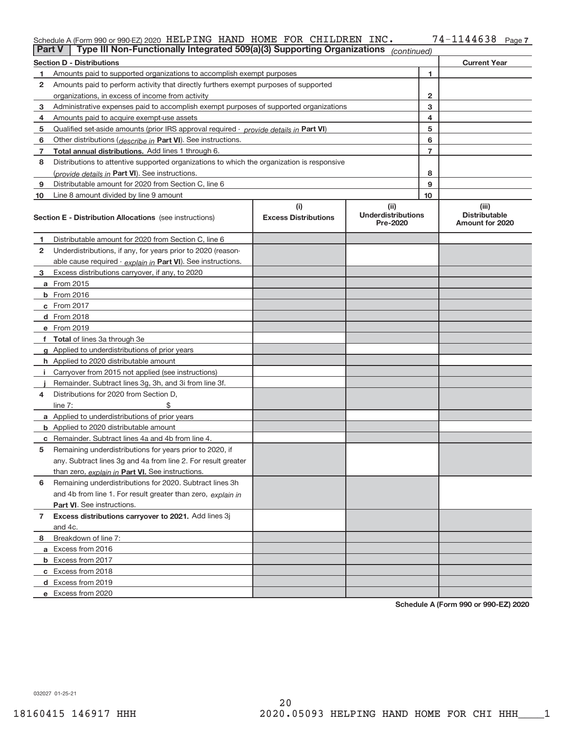### Schedule A (Form 990 or 990‐EZ) 2020 HELPING HAND HOME FOR CHILDREN INC 。 /4-II44638 Page HELPING HAND HOME FOR CHILDREN INC. 74‐1144638

| <b>Part V</b> | Type III Non-Functionally Integrated 509(a)(3) Supporting Organizations                    |                             | (continued)                           |              |                                                |  |  |  |  |
|---------------|--------------------------------------------------------------------------------------------|-----------------------------|---------------------------------------|--------------|------------------------------------------------|--|--|--|--|
|               | <b>Current Year</b><br><b>Section D - Distributions</b>                                    |                             |                                       |              |                                                |  |  |  |  |
| 1.            | Amounts paid to supported organizations to accomplish exempt purposes                      |                             |                                       | 1            |                                                |  |  |  |  |
| 2             | Amounts paid to perform activity that directly furthers exempt purposes of supported       |                             |                                       |              |                                                |  |  |  |  |
|               | organizations, in excess of income from activity                                           |                             |                                       | $\mathbf{2}$ |                                                |  |  |  |  |
| 3             | Administrative expenses paid to accomplish exempt purposes of supported organizations      |                             |                                       | 3            |                                                |  |  |  |  |
| 4             | Amounts paid to acquire exempt-use assets                                                  |                             |                                       | 4            |                                                |  |  |  |  |
| 5             | Qualified set-aside amounts (prior IRS approval required - provide details in Part VI)     |                             |                                       | 5            |                                                |  |  |  |  |
| 6             | Other distributions ( <i>describe in</i> Part VI). See instructions.                       |                             |                                       | 6            |                                                |  |  |  |  |
| 7             | Total annual distributions. Add lines 1 through 6.                                         |                             |                                       | 7            |                                                |  |  |  |  |
| 8             | Distributions to attentive supported organizations to which the organization is responsive |                             |                                       |              |                                                |  |  |  |  |
|               | ( <i>provide details in</i> Part VI). See instructions.                                    |                             |                                       | 8            |                                                |  |  |  |  |
| 9             | Distributable amount for 2020 from Section C, line 6                                       |                             |                                       | 9            |                                                |  |  |  |  |
| 10            | Line 8 amount divided by line 9 amount                                                     |                             |                                       | 10           |                                                |  |  |  |  |
|               |                                                                                            | (i)                         | (ii)                                  |              | (iii)                                          |  |  |  |  |
|               | <b>Section E - Distribution Allocations</b> (see instructions)                             | <b>Excess Distributions</b> | <b>Underdistributions</b><br>Pre-2020 |              | <b>Distributable</b><br><b>Amount for 2020</b> |  |  |  |  |
| 1             | Distributable amount for 2020 from Section C, line 6                                       |                             |                                       |              |                                                |  |  |  |  |
| 2             | Underdistributions, if any, for years prior to 2020 (reason-                               |                             |                                       |              |                                                |  |  |  |  |
|               | able cause required - explain in Part VI). See instructions.                               |                             |                                       |              |                                                |  |  |  |  |
| 3             | Excess distributions carryover, if any, to 2020                                            |                             |                                       |              |                                                |  |  |  |  |
|               | <b>a</b> From 2015                                                                         |                             |                                       |              |                                                |  |  |  |  |
|               | <b>b</b> From 2016                                                                         |                             |                                       |              |                                                |  |  |  |  |
|               | c From 2017                                                                                |                             |                                       |              |                                                |  |  |  |  |
|               | d From 2018                                                                                |                             |                                       |              |                                                |  |  |  |  |
|               | e From 2019                                                                                |                             |                                       |              |                                                |  |  |  |  |
|               | f Total of lines 3a through 3e                                                             |                             |                                       |              |                                                |  |  |  |  |
|               | <b>g</b> Applied to underdistributions of prior years                                      |                             |                                       |              |                                                |  |  |  |  |
|               | <b>h</b> Applied to 2020 distributable amount                                              |                             |                                       |              |                                                |  |  |  |  |
|               | Carryover from 2015 not applied (see instructions)                                         |                             |                                       |              |                                                |  |  |  |  |
|               | Remainder. Subtract lines 3g, 3h, and 3i from line 3f.                                     |                             |                                       |              |                                                |  |  |  |  |
| 4             | Distributions for 2020 from Section D,                                                     |                             |                                       |              |                                                |  |  |  |  |
|               | line $7:$                                                                                  |                             |                                       |              |                                                |  |  |  |  |
|               | <b>a</b> Applied to underdistributions of prior years                                      |                             |                                       |              |                                                |  |  |  |  |
|               | <b>b</b> Applied to 2020 distributable amount                                              |                             |                                       |              |                                                |  |  |  |  |
|               | <b>c</b> Remainder. Subtract lines 4a and 4b from line 4.                                  |                             |                                       |              |                                                |  |  |  |  |
| 5             | Remaining underdistributions for years prior to 2020, if                                   |                             |                                       |              |                                                |  |  |  |  |
|               | any. Subtract lines 3g and 4a from line 2. For result greater                              |                             |                                       |              |                                                |  |  |  |  |
|               | than zero, explain in Part VI. See instructions.                                           |                             |                                       |              |                                                |  |  |  |  |
| 6             | Remaining underdistributions for 2020. Subtract lines 3h                                   |                             |                                       |              |                                                |  |  |  |  |
|               | and 4b from line 1. For result greater than zero, explain in                               |                             |                                       |              |                                                |  |  |  |  |
|               | Part VI. See instructions.                                                                 |                             |                                       |              |                                                |  |  |  |  |
| 7             | Excess distributions carryover to 2021. Add lines 3j                                       |                             |                                       |              |                                                |  |  |  |  |
|               | and 4c.                                                                                    |                             |                                       |              |                                                |  |  |  |  |
| 8             | Breakdown of line 7:                                                                       |                             |                                       |              |                                                |  |  |  |  |
|               | a Excess from 2016                                                                         |                             |                                       |              |                                                |  |  |  |  |
|               | <b>b</b> Excess from 2017                                                                  |                             |                                       |              |                                                |  |  |  |  |
|               | c Excess from 2018                                                                         |                             |                                       |              |                                                |  |  |  |  |
|               | d Excess from 2019                                                                         |                             |                                       |              |                                                |  |  |  |  |
|               | e Excess from 2020                                                                         |                             |                                       |              |                                                |  |  |  |  |

**Schedule A (Form 990 or 990‐EZ) 2020**

032027 01‐25‐21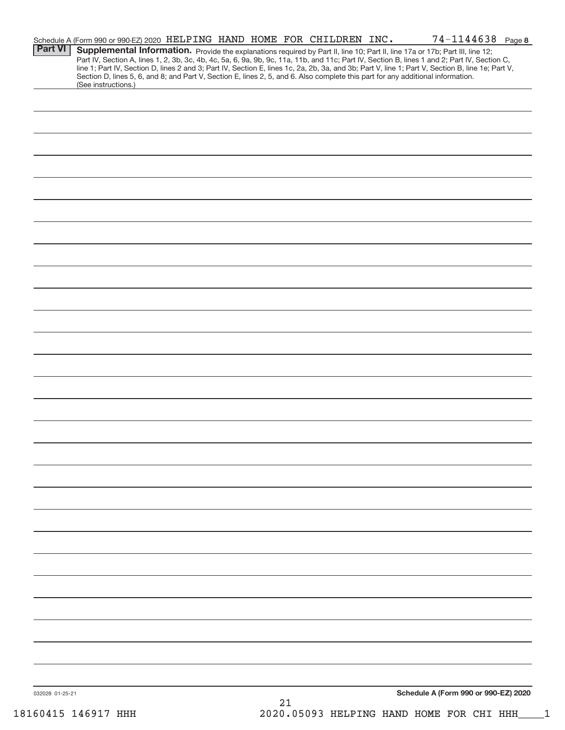|                 | Schedule A (Form 990 or 990-EZ) 2020 HELPING HAND HOME FOR CHILDREN INC.                                                                               |  |            |  | 74-1144638 Page 8                                                                                                                                |  |
|-----------------|--------------------------------------------------------------------------------------------------------------------------------------------------------|--|------------|--|--------------------------------------------------------------------------------------------------------------------------------------------------|--|
| <b>Part VI</b>  |                                                                                                                                                        |  |            |  | Supplemental Information. Provide the explanations required by Part II, line 10; Part II, line 17a or 17b; Part III, line 12;                    |  |
|                 |                                                                                                                                                        |  |            |  | Part IV, Section A, lines 1, 2, 3b, 3c, 4b, 4c, 5a, 6, 9a, 9b, 9c, 11a, 11b, and 11c; Part IV, Section B, lines 1 and 2; Part IV, Section C,     |  |
|                 |                                                                                                                                                        |  |            |  | line 1; Part IV, Section D, lines 2 and 3; Part IV, Section E, lines 1c, 2a, 2b, 3a, and 3b; Part V, line 1; Part V, Section B, line 1e; Part V, |  |
|                 | Section D, lines 5, 6, and 8; and Part V, Section E, lines 2, 5, and 6. Also complete this part for any additional information.<br>(See instructions.) |  |            |  |                                                                                                                                                  |  |
|                 |                                                                                                                                                        |  |            |  |                                                                                                                                                  |  |
|                 |                                                                                                                                                        |  |            |  |                                                                                                                                                  |  |
|                 |                                                                                                                                                        |  |            |  |                                                                                                                                                  |  |
|                 |                                                                                                                                                        |  |            |  |                                                                                                                                                  |  |
|                 |                                                                                                                                                        |  |            |  |                                                                                                                                                  |  |
|                 |                                                                                                                                                        |  |            |  |                                                                                                                                                  |  |
|                 |                                                                                                                                                        |  |            |  |                                                                                                                                                  |  |
|                 |                                                                                                                                                        |  |            |  |                                                                                                                                                  |  |
|                 |                                                                                                                                                        |  |            |  |                                                                                                                                                  |  |
|                 |                                                                                                                                                        |  |            |  |                                                                                                                                                  |  |
|                 |                                                                                                                                                        |  |            |  |                                                                                                                                                  |  |
|                 |                                                                                                                                                        |  |            |  |                                                                                                                                                  |  |
|                 |                                                                                                                                                        |  |            |  |                                                                                                                                                  |  |
|                 |                                                                                                                                                        |  |            |  |                                                                                                                                                  |  |
|                 |                                                                                                                                                        |  |            |  |                                                                                                                                                  |  |
|                 |                                                                                                                                                        |  |            |  |                                                                                                                                                  |  |
|                 |                                                                                                                                                        |  |            |  |                                                                                                                                                  |  |
|                 |                                                                                                                                                        |  |            |  |                                                                                                                                                  |  |
|                 |                                                                                                                                                        |  |            |  |                                                                                                                                                  |  |
|                 |                                                                                                                                                        |  |            |  |                                                                                                                                                  |  |
|                 |                                                                                                                                                        |  |            |  |                                                                                                                                                  |  |
|                 |                                                                                                                                                        |  |            |  |                                                                                                                                                  |  |
|                 |                                                                                                                                                        |  |            |  |                                                                                                                                                  |  |
|                 |                                                                                                                                                        |  |            |  |                                                                                                                                                  |  |
|                 |                                                                                                                                                        |  |            |  |                                                                                                                                                  |  |
|                 |                                                                                                                                                        |  |            |  |                                                                                                                                                  |  |
|                 |                                                                                                                                                        |  |            |  |                                                                                                                                                  |  |
|                 |                                                                                                                                                        |  |            |  |                                                                                                                                                  |  |
|                 |                                                                                                                                                        |  |            |  |                                                                                                                                                  |  |
|                 |                                                                                                                                                        |  |            |  |                                                                                                                                                  |  |
|                 |                                                                                                                                                        |  |            |  |                                                                                                                                                  |  |
|                 |                                                                                                                                                        |  |            |  |                                                                                                                                                  |  |
|                 |                                                                                                                                                        |  |            |  |                                                                                                                                                  |  |
|                 |                                                                                                                                                        |  |            |  |                                                                                                                                                  |  |
|                 |                                                                                                                                                        |  |            |  |                                                                                                                                                  |  |
|                 |                                                                                                                                                        |  |            |  |                                                                                                                                                  |  |
|                 |                                                                                                                                                        |  |            |  |                                                                                                                                                  |  |
|                 |                                                                                                                                                        |  |            |  |                                                                                                                                                  |  |
|                 |                                                                                                                                                        |  |            |  |                                                                                                                                                  |  |
|                 |                                                                                                                                                        |  |            |  |                                                                                                                                                  |  |
|                 |                                                                                                                                                        |  |            |  |                                                                                                                                                  |  |
|                 |                                                                                                                                                        |  |            |  |                                                                                                                                                  |  |
|                 |                                                                                                                                                        |  |            |  |                                                                                                                                                  |  |
|                 |                                                                                                                                                        |  |            |  |                                                                                                                                                  |  |
|                 |                                                                                                                                                        |  |            |  |                                                                                                                                                  |  |
|                 |                                                                                                                                                        |  |            |  |                                                                                                                                                  |  |
|                 |                                                                                                                                                        |  |            |  |                                                                                                                                                  |  |
|                 |                                                                                                                                                        |  |            |  |                                                                                                                                                  |  |
|                 |                                                                                                                                                        |  |            |  |                                                                                                                                                  |  |
|                 |                                                                                                                                                        |  |            |  |                                                                                                                                                  |  |
|                 |                                                                                                                                                        |  |            |  |                                                                                                                                                  |  |
|                 |                                                                                                                                                        |  |            |  |                                                                                                                                                  |  |
|                 |                                                                                                                                                        |  |            |  |                                                                                                                                                  |  |
|                 |                                                                                                                                                        |  |            |  |                                                                                                                                                  |  |
|                 |                                                                                                                                                        |  |            |  |                                                                                                                                                  |  |
|                 |                                                                                                                                                        |  |            |  |                                                                                                                                                  |  |
| 032028 01-25-21 |                                                                                                                                                        |  | $\Omega$ 1 |  | Schedule A (Form 990 or 990-EZ) 2020                                                                                                             |  |
|                 |                                                                                                                                                        |  |            |  |                                                                                                                                                  |  |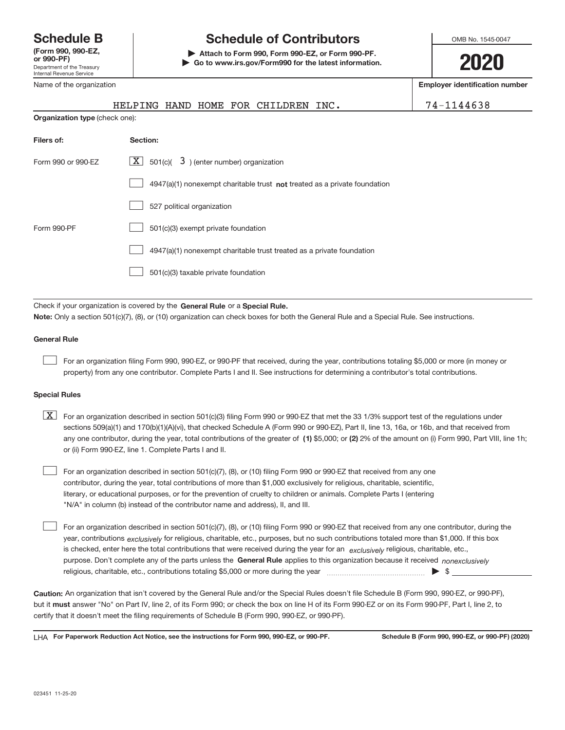Department of the Treasury Internal Revenue Service **(Form 990, 990‐EZ,** Name of the organization

## **Schedule B Schedule of Contributors**

**or 990‐PF) | Attach to Form 990, Form 990‐EZ, or Form 990‐PF. | Go to www.irs.gov/Form990 for the latest information.** OMB No. 1545-0047

**2020**

**Employer identification number**

|                                                                              | HELPING HAND HOME FOR CHILDREN INC.                                       | 74-1144638 |  |  |  |  |
|------------------------------------------------------------------------------|---------------------------------------------------------------------------|------------|--|--|--|--|
| Organization type (check one):                                               |                                                                           |            |  |  |  |  |
| Filers of:                                                                   | Section:                                                                  |            |  |  |  |  |
| Form 990 or 990-EZ                                                           | $\lfloor \mathbf{X} \rfloor$ 501(c)( 3) (enter number) organization       |            |  |  |  |  |
|                                                                              | 4947(a)(1) nonexempt charitable trust not treated as a private foundation |            |  |  |  |  |
|                                                                              | 527 political organization                                                |            |  |  |  |  |
| Form 990-PF                                                                  | 501(c)(3) exempt private foundation                                       |            |  |  |  |  |
|                                                                              | 4947(a)(1) nonexempt charitable trust treated as a private foundation     |            |  |  |  |  |
|                                                                              | 501(c)(3) taxable private foundation                                      |            |  |  |  |  |
|                                                                              |                                                                           |            |  |  |  |  |
| Check if your organization is covered by the General Rule or a Special Rule. |                                                                           |            |  |  |  |  |

**Note:**  Only a section 501(c)(7), (8), or (10) organization can check boxes for both the General Rule and a Special Rule. See instructions.

### **General Rule**

 $\begin{array}{c} \hline \end{array}$ 

For an organization filing Form 990, 990‐EZ, or 990‐PF that received, during the year, contributions totaling \$5,000 or more (in money or property) from any one contributor. Complete Parts I and II. See instructions for determining a contributor's total contributions.

### **Special Rules**

any one contributor, during the year, total contributions of the greater of  $\,$  (1) \$5,000; or (2) 2% of the amount on (i) Form 990, Part VIII, line 1h;  $\boxed{\text{X}}$  For an organization described in section 501(c)(3) filing Form 990 or 990-EZ that met the 33 1/3% support test of the regulations under sections 509(a)(1) and 170(b)(1)(A)(vi), that checked Schedule A (Form 990 or 990‐EZ), Part II, line 13, 16a, or 16b, and that received from or (ii) Form 990‐EZ, line 1. Complete Parts I and II.

For an organization described in section 501(c)(7), (8), or (10) filing Form 990 or 990‐EZ that received from any one contributor, during the year, total contributions of more than \$1,000 exclusively for religious, charitable, scientific, literary, or educational purposes, or for the prevention of cruelty to children or animals. Complete Parts I (entering "N/A" in column (b) instead of the contributor name and address), II, and III.  $\begin{array}{c} \hline \end{array}$ 

purpose. Don't complete any of the parts unless the General Rule applies to this organization because it received nonexclusively year, contributions <sub>exclusively</sub> for religious, charitable, etc., purposes, but no such contributions totaled more than \$1,000. If this box is checked, enter here the total contributions that were received during the year for an *exclusively* religious, charitable, etc., For an organization described in section 501(c)(7), (8), or (10) filing Form 990 or 990‐EZ that received from any one contributor, during the religious, charitable, etc., contributions totaling \$5,000 or more during the year  $\Box$ — $\Box$   $\Box$  $\begin{array}{c} \hline \end{array}$ 

**Caution:**  An organization that isn't covered by the General Rule and/or the Special Rules doesn't file Schedule B (Form 990, 990‐EZ, or 990‐PF),  **must** but it answer "No" on Part IV, line 2, of its Form 990; or check the box on line H of its Form 990‐EZ or on its Form 990‐PF, Part I, line 2, to certify that it doesn't meet the filing requirements of Schedule B (Form 990, 990‐EZ, or 990‐PF).

**For Paperwork Reduction Act Notice, see the instructions for Form 990, 990-EZ, or 990-PF. Schedule B (Form 990, 990-EZ, or 990-PF) (2020)** LHA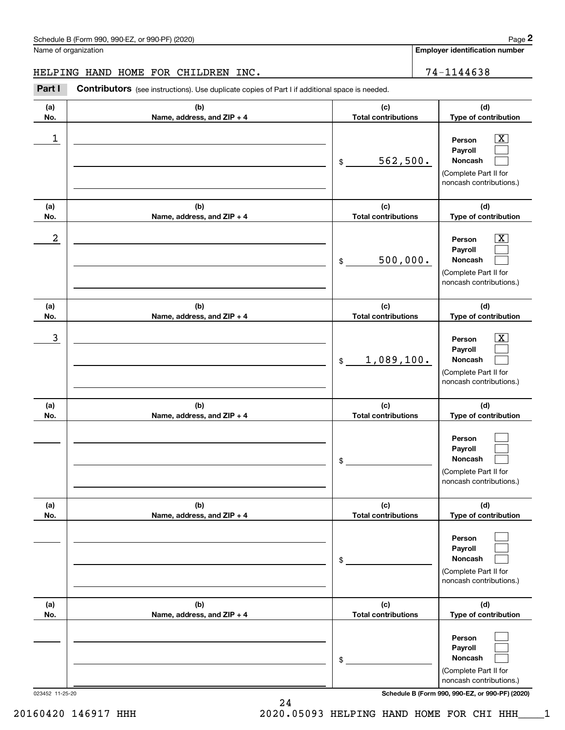**Employer identification number**

### HELPING HAND HOME FOR CHILDREN INC. 74-1144638

Chedule B (Form 990, 990-EZ, or 990-PF) (2020)<br>
lame of organization<br> **2PART I CONTRIBUTOR EXECUTE CONTIVERENT INC**<br> **24-1144638**<br> **2Part I Contributors** (see instructions). Use duplicate copies of Part I if additional spa

| (a)<br>No.      | (b)<br>Name, address, and ZIP + 4 | (c)<br><b>Total contributions</b> | (d)<br>Type of contribution                                                                                                         |
|-----------------|-----------------------------------|-----------------------------------|-------------------------------------------------------------------------------------------------------------------------------------|
| 1               |                                   | 562,500.<br>\$                    | $\overline{\texttt{x}}$<br>Person<br>Payroll<br>Noncash<br>(Complete Part II for<br>noncash contributions.)                         |
| (a)<br>No.      | (b)<br>Name, address, and ZIP + 4 | (c)<br><b>Total contributions</b> | (d)<br>Type of contribution                                                                                                         |
| 2               |                                   | 500,000.<br>\$                    | $\overline{\texttt{x}}$<br>Person<br>Payroll<br>Noncash<br>(Complete Part II for<br>noncash contributions.)                         |
| (a)<br>No.      | (b)<br>Name, address, and ZIP + 4 | (c)<br><b>Total contributions</b> | (d)<br>Type of contribution                                                                                                         |
| 3               |                                   | 1,089,100.<br>\$                  | Х<br>Person<br>Payroll<br>Noncash<br>(Complete Part II for<br>noncash contributions.)                                               |
| (a)<br>No.      | (b)<br>Name, address, and ZIP + 4 | (c)<br><b>Total contributions</b> | (d)<br>Type of contribution                                                                                                         |
|                 |                                   | \$                                | Person<br>Payroll<br>Noncash<br>(Complete Part II for<br>noncash contributions.)                                                    |
| (a)<br>No.      | (b)<br>Name, address, and ZIP + 4 | (c)<br><b>Total contributions</b> | (d)<br>Type of contribution                                                                                                         |
|                 |                                   | \$                                | Person<br>Payroll<br>Noncash<br>(Complete Part II for<br>noncash contributions.)                                                    |
| (a)<br>No.      | (b)<br>Name, address, and ZIP + 4 | (c)<br><b>Total contributions</b> | (d)<br>Type of contribution                                                                                                         |
| 023452 11-25-20 |                                   | \$                                | Person<br>Payroll<br>Noncash<br>(Complete Part II for<br>noncash contributions.)<br>Schedule B (Form 990, 990-EZ, or 990-PF) (2020) |

24 20160420 146917 HHH 2020.05093 HELPING HAND HOME FOR CHI HHH\_\_\_\_1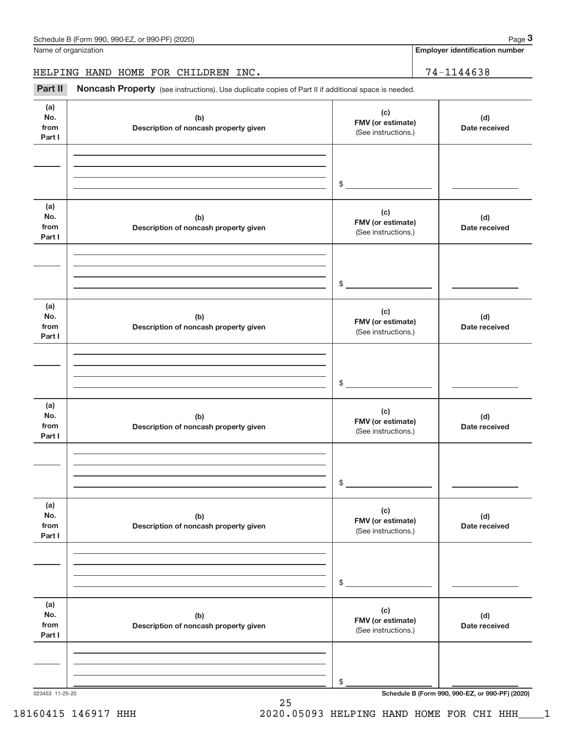**Employer identification number**

HELPING HAND HOME FOR CHILDREN INC. | 74-1144638

Part II Noncash Property (see instructions). Use duplicate copies of Part II if additional space is needed.

| (a)<br>No.<br>from<br>Part I | (b)<br>Description of noncash property given | (c)<br>FMV (or estimate)<br>(See instructions.) | (d)<br>Date received                            |
|------------------------------|----------------------------------------------|-------------------------------------------------|-------------------------------------------------|
|                              |                                              | $\frac{1}{2}$                                   |                                                 |
| (a)<br>No.<br>from<br>Part I | (b)<br>Description of noncash property given | (c)<br>FMV (or estimate)<br>(See instructions.) | (d)<br>Date received                            |
|                              |                                              | $\frac{1}{2}$                                   |                                                 |
| (a)<br>No.<br>from<br>Part I | (b)<br>Description of noncash property given | (c)<br>FMV (or estimate)<br>(See instructions.) | (d)<br>Date received                            |
|                              |                                              | $\frac{1}{2}$                                   |                                                 |
| (a)<br>No.<br>from<br>Part I | (b)<br>Description of noncash property given | (c)<br>FMV (or estimate)<br>(See instructions.) | (d)<br>Date received                            |
|                              |                                              | $\sim$                                          |                                                 |
| (a)<br>No.<br>from<br>Part I | (b)<br>Description of noncash property given | (c)<br>FMV (or estimate)<br>(See instructions.) | (d)<br>Date received                            |
|                              |                                              | \$                                              |                                                 |
| (a)<br>No.<br>from<br>Part I | (b)<br>Description of noncash property given | (c)<br>FMV (or estimate)<br>(See instructions.) | (d)<br>Date received                            |
|                              |                                              | \$                                              |                                                 |
| 023453 11-25-20              |                                              |                                                 | Schedule B (Form 990, 990-EZ, or 990-PF) (2020) |

25

### 18160415 146917 HHH 2020.05093 HELPING HAND HOME FOR CHI HHH\_\_\_\_1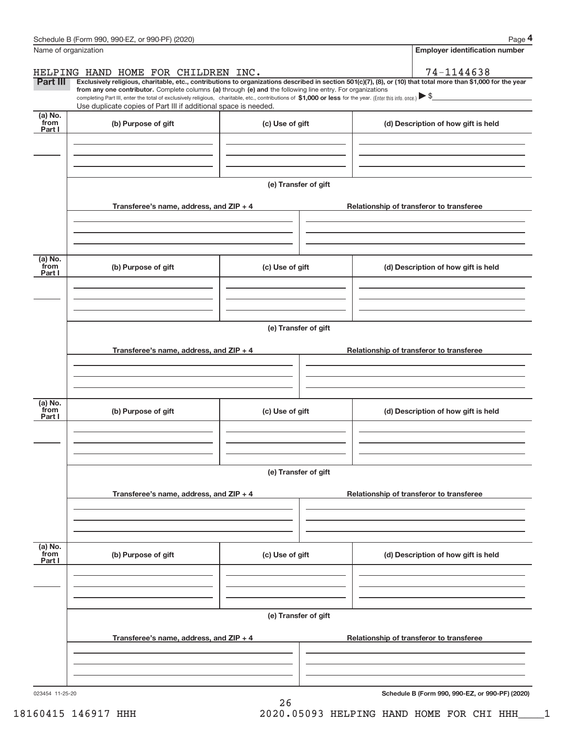|                             | Schedule B (Form 990, 990-EZ, or 990-PF) (2020)                                                                                                                                                                                                                              |                      | Page 4                                          |
|-----------------------------|------------------------------------------------------------------------------------------------------------------------------------------------------------------------------------------------------------------------------------------------------------------------------|----------------------|-------------------------------------------------|
| Name of organization        |                                                                                                                                                                                                                                                                              |                      | Employer identification number                  |
|                             | HELPING HAND HOME FOR CHILDREN INC.                                                                                                                                                                                                                                          |                      | 74-1144638                                      |
| Part III                    | Exclusively religious, charitable, etc., contributions to organizations described in section 501(c)(7), (8), or (10) that total more than \$1,000 for the year<br>from any one contributor. Complete columns (a) through (e) and the following line entry. For organizations |                      |                                                 |
|                             | completing Part III, enter the total of exclusively religious, charitable, etc., contributions of $$1,000$ or less for the year. (Enter this info. once.) $\triangleright$ \$                                                                                                |                      |                                                 |
| (a) $\overline{\text{No.}}$ | Use duplicate copies of Part III if additional space is needed.                                                                                                                                                                                                              |                      |                                                 |
| from<br>Part I              | (b) Purpose of gift                                                                                                                                                                                                                                                          | (c) Use of gift      | (d) Description of how gift is held             |
|                             |                                                                                                                                                                                                                                                                              |                      |                                                 |
|                             |                                                                                                                                                                                                                                                                              |                      |                                                 |
|                             |                                                                                                                                                                                                                                                                              |                      |                                                 |
|                             |                                                                                                                                                                                                                                                                              | (e) Transfer of gift |                                                 |
|                             |                                                                                                                                                                                                                                                                              |                      |                                                 |
|                             | Transferee's name, address, and ZIP + 4                                                                                                                                                                                                                                      |                      | Relationship of transferor to transferee        |
|                             |                                                                                                                                                                                                                                                                              |                      |                                                 |
|                             |                                                                                                                                                                                                                                                                              |                      |                                                 |
| (a) $\overline{\text{No.}}$ |                                                                                                                                                                                                                                                                              |                      |                                                 |
| from<br>Part I              | (b) Purpose of gift                                                                                                                                                                                                                                                          | (c) Use of gift      | (d) Description of how gift is held             |
|                             |                                                                                                                                                                                                                                                                              |                      |                                                 |
|                             |                                                                                                                                                                                                                                                                              |                      |                                                 |
|                             |                                                                                                                                                                                                                                                                              |                      |                                                 |
|                             |                                                                                                                                                                                                                                                                              | (e) Transfer of gift |                                                 |
|                             |                                                                                                                                                                                                                                                                              |                      |                                                 |
|                             | Transferee's name, address, and $ZIP + 4$                                                                                                                                                                                                                                    |                      | Relationship of transferor to transferee        |
|                             |                                                                                                                                                                                                                                                                              |                      |                                                 |
|                             |                                                                                                                                                                                                                                                                              |                      |                                                 |
| (a) No.                     |                                                                                                                                                                                                                                                                              |                      |                                                 |
| from<br>Part I              | (b) Purpose of gift                                                                                                                                                                                                                                                          | (c) Use of gift      | (d) Description of how gift is held             |
|                             |                                                                                                                                                                                                                                                                              |                      |                                                 |
|                             |                                                                                                                                                                                                                                                                              |                      |                                                 |
|                             |                                                                                                                                                                                                                                                                              |                      |                                                 |
|                             |                                                                                                                                                                                                                                                                              | (e) Transfer of gift |                                                 |
|                             | Transferee's name, address, and ZIP + 4                                                                                                                                                                                                                                      |                      | Relationship of transferor to transferee        |
|                             |                                                                                                                                                                                                                                                                              |                      |                                                 |
|                             |                                                                                                                                                                                                                                                                              |                      |                                                 |
|                             |                                                                                                                                                                                                                                                                              |                      |                                                 |
| (a) No.<br>from             | (b) Purpose of gift                                                                                                                                                                                                                                                          | (c) Use of gift      | (d) Description of how gift is held             |
| Part I                      |                                                                                                                                                                                                                                                                              |                      |                                                 |
|                             |                                                                                                                                                                                                                                                                              |                      |                                                 |
|                             |                                                                                                                                                                                                                                                                              |                      |                                                 |
|                             |                                                                                                                                                                                                                                                                              |                      |                                                 |
|                             |                                                                                                                                                                                                                                                                              | (e) Transfer of gift |                                                 |
|                             | Transferee's name, address, and ZIP + 4                                                                                                                                                                                                                                      |                      | Relationship of transferor to transferee        |
|                             |                                                                                                                                                                                                                                                                              |                      |                                                 |
|                             |                                                                                                                                                                                                                                                                              |                      |                                                 |
|                             |                                                                                                                                                                                                                                                                              |                      |                                                 |
| 023454 11-25-20             |                                                                                                                                                                                                                                                                              |                      | Schedule B (Form 990, 990-EZ, or 990-PF) (2020) |

26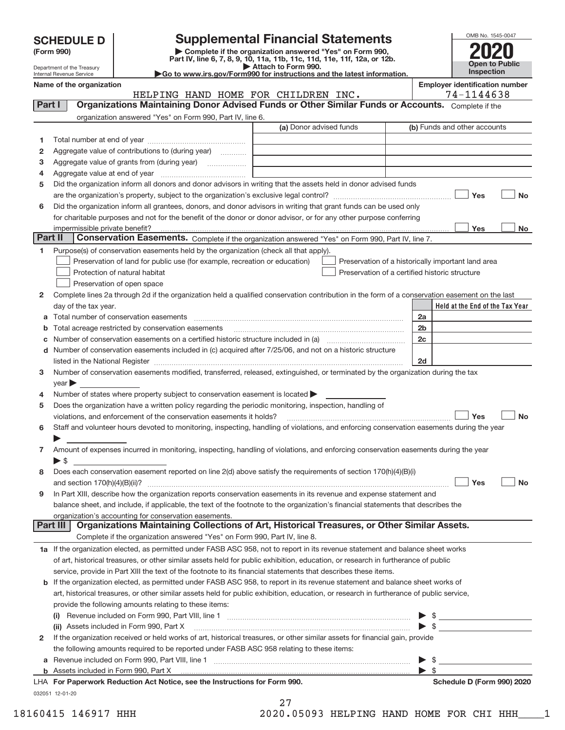| <b>SCHEDULE D</b> |  |  |  |
|-------------------|--|--|--|
|-------------------|--|--|--|

| (Form 990) |  |
|------------|--|
|------------|--|

**(Form 990) | Complete if the organization answered "Yes" on Form 990, Part IV, line 6, 7, 8, 9, 10, 11a, 11b, 11c, 11d, 11e, 11f, 12a, or 12b. SCHEDULE D Supplemental Financial Statements**<br> **Example to the organization answered "Yes" on Form 990,**<br>
Part IV, line 6, 7, 8, 9, 10, 11a, 11b, 11c, 11d, 11e, 11f, 12a, or 12b.

| OMB No. 1545-0047     |
|-----------------------|
| <b>1120</b>           |
|                       |
| <b>Open to Public</b> |
| <b>Inspection</b>     |

Department of the Treasury Internal Revenue Service

**| Attach to Form 990. |Go to www.irs.gov/Form990 for instructions and the latest information.**

| Name of the organization |  |  |                                     | <b>Employer identification number</b>                                                            |
|--------------------------|--|--|-------------------------------------|--------------------------------------------------------------------------------------------------|
|                          |  |  | HELPING HAND HOME FOR CHILDREN INC. | 74-1144638                                                                                       |
| <b>Part</b>              |  |  |                                     | Organizations Maintaining Donor Advised Funds or Other Similar Funds or Accounts Complete it the |

| Part I   | Organizations Maintaining Donor Advised Funds or Other Similar Funds or Accounts. Complete if the                                              |                         |                                                    |
|----------|------------------------------------------------------------------------------------------------------------------------------------------------|-------------------------|----------------------------------------------------|
|          | organization answered "Yes" on Form 990, Part IV, line 6.                                                                                      |                         |                                                    |
|          |                                                                                                                                                | (a) Donor advised funds | (b) Funds and other accounts                       |
| 1.       |                                                                                                                                                |                         |                                                    |
| 2        | Aggregate value of contributions to (during year)                                                                                              |                         |                                                    |
| з        | Aggregate value of grants from (during year)                                                                                                   |                         |                                                    |
| 4        |                                                                                                                                                |                         |                                                    |
| 5        | Did the organization inform all donors and donor advisors in writing that the assets held in donor advised funds                               |                         |                                                    |
|          |                                                                                                                                                |                         | Yes<br><b>No</b>                                   |
| 6        | Did the organization inform all grantees, donors, and donor advisors in writing that grant funds can be used only                              |                         |                                                    |
|          | for charitable purposes and not for the benefit of the donor or donor advisor, or for any other purpose conferring                             |                         |                                                    |
|          |                                                                                                                                                |                         | Yes<br>No                                          |
| Part II  | Conservation Easements. Complete if the organization answered "Yes" on Form 990, Part IV, line 7.                                              |                         |                                                    |
|          |                                                                                                                                                |                         |                                                    |
| 1.       | Purpose(s) of conservation easements held by the organization (check all that apply).                                                          |                         |                                                    |
|          | Preservation of land for public use (for example, recreation or education)                                                                     |                         | Preservation of a historically important land area |
|          | Protection of natural habitat                                                                                                                  |                         | Preservation of a certified historic structure     |
|          | Preservation of open space                                                                                                                     |                         |                                                    |
| 2        | Complete lines 2a through 2d if the organization held a qualified conservation contribution in the form of a conservation easement on the last |                         |                                                    |
|          | day of the tax year.                                                                                                                           |                         | Held at the End of the Tax Year                    |
| а        | Total number of conservation easements                                                                                                         |                         | 2a                                                 |
| b        | Total acreage restricted by conservation easements                                                                                             |                         | 2 <sub>b</sub>                                     |
| с        | Number of conservation easements on a certified historic structure included in (a) conservation conservation                                   |                         | 2c                                                 |
| d        | Number of conservation easements included in (c) acquired after 7/25/06, and not on a historic structure                                       |                         |                                                    |
|          |                                                                                                                                                |                         | 2d                                                 |
| 3        | Number of conservation easements modified, transferred, released, extinguished, or terminated by the organization during the tax               |                         |                                                    |
|          | year                                                                                                                                           |                         |                                                    |
| 4        | Number of states where property subject to conservation easement is located >                                                                  |                         |                                                    |
| 5        | Does the organization have a written policy regarding the periodic monitoring, inspection, handling of                                         |                         |                                                    |
|          | violations, and enforcement of the conservation easements it holds?                                                                            |                         | Yes<br><b>No</b>                                   |
| 6        | Staff and volunteer hours devoted to monitoring, inspecting, handling of violations, and enforcing conservation easements during the year      |                         |                                                    |
|          |                                                                                                                                                |                         |                                                    |
| 7        | Amount of expenses incurred in monitoring, inspecting, handling of violations, and enforcing conservation easements during the year            |                         |                                                    |
|          | $\blacktriangleright$ s                                                                                                                        |                         |                                                    |
| 8        | Does each conservation easement reported on line 2(d) above satisfy the requirements of section 170(h)(4)(B)(i)                                |                         |                                                    |
|          |                                                                                                                                                |                         | Yes<br><b>No</b>                                   |
| 9        | In Part XIII, describe how the organization reports conservation easements in its revenue and expense statement and                            |                         |                                                    |
|          | balance sheet, and include, if applicable, the text of the footnote to the organization's financial statements that describes the              |                         |                                                    |
|          | organization's accounting for conservation easements.                                                                                          |                         |                                                    |
| Part III | Organizations Maintaining Collections of Art, Historical Treasures, or Other Similar Assets.                                                   |                         |                                                    |
|          | Complete if the organization answered "Yes" on Form 990, Part IV, line 8.                                                                      |                         |                                                    |
|          | 1a If the organization elected, as permitted under FASB ASC 958, not to report in its revenue statement and balance sheet works                |                         |                                                    |
|          | of art, historical treasures, or other similar assets held for public exhibition, education, or research in furtherance of public              |                         |                                                    |
|          | service, provide in Part XIII the text of the footnote to its financial statements that describes these items.                                 |                         |                                                    |
| b        | If the organization elected, as permitted under FASB ASC 958, to report in its revenue statement and balance sheet works of                    |                         |                                                    |
|          | art, historical treasures, or other similar assets held for public exhibition, education, or research in furtherance of public service,        |                         |                                                    |
|          | provide the following amounts relating to these items:                                                                                         |                         |                                                    |
|          |                                                                                                                                                |                         |                                                    |
|          | (ii) Assets included in Form 990, Part X                                                                                                       |                         | $\triangleright$ \$                                |
| 2        | If the organization received or held works of art, historical treasures, or other similar assets for financial gain, provide                   |                         |                                                    |
|          | the following amounts required to be reported under FASB ASC 958 relating to these items:                                                      |                         |                                                    |
|          |                                                                                                                                                |                         | \$                                                 |
|          |                                                                                                                                                |                         | $\triangleright$ s                                 |
|          | LHA For Paperwork Reduction Act Notice, see the Instructions for Form 990.                                                                     |                         | Schedule D (Form 990) 2020                         |
|          | 032051 12-01-20                                                                                                                                |                         |                                                    |

27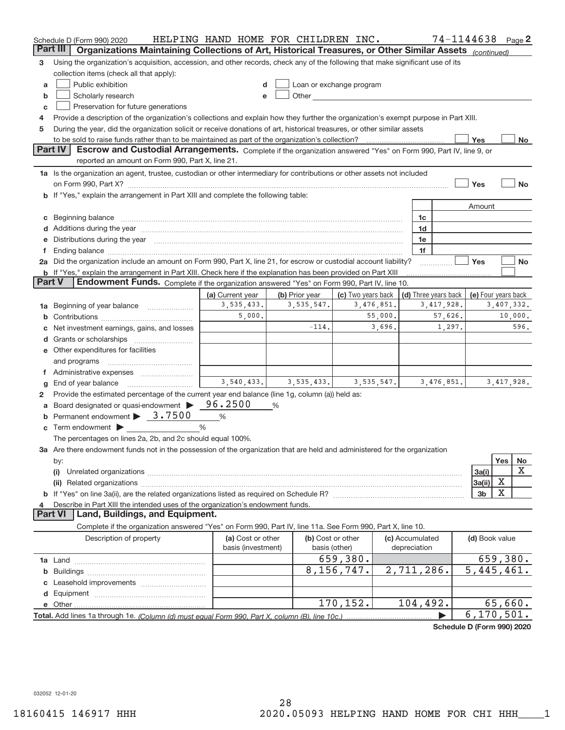|        | Schedule D (Form 990) 2020                                                                                                                                                                                                             | HELPING HAND HOME FOR CHILDREN INC. |                |                                                                                                                                                                                                                               |            |                      | 74-1144638   |                          |              | Page $2$  |
|--------|----------------------------------------------------------------------------------------------------------------------------------------------------------------------------------------------------------------------------------------|-------------------------------------|----------------|-------------------------------------------------------------------------------------------------------------------------------------------------------------------------------------------------------------------------------|------------|----------------------|--------------|--------------------------|--------------|-----------|
|        | Part III<br>Organizations Maintaining Collections of Art, Historical Treasures, or Other Similar Assets (continued)                                                                                                                    |                                     |                |                                                                                                                                                                                                                               |            |                      |              |                          |              |           |
| з      | Using the organization's acquisition, accession, and other records, check any of the following that make significant use of its                                                                                                        |                                     |                |                                                                                                                                                                                                                               |            |                      |              |                          |              |           |
|        | collection items (check all that apply):                                                                                                                                                                                               |                                     |                |                                                                                                                                                                                                                               |            |                      |              |                          |              |           |
| a      | Public exhibition                                                                                                                                                                                                                      |                                     |                | Loan or exchange program                                                                                                                                                                                                      |            |                      |              |                          |              |           |
| b      | Scholarly research                                                                                                                                                                                                                     |                                     |                | Other and the contract of the contract of the contract of the contract of the contract of the contract of the contract of the contract of the contract of the contract of the contract of the contract of the contract of the |            |                      |              |                          |              |           |
| C      | Preservation for future generations                                                                                                                                                                                                    |                                     |                |                                                                                                                                                                                                                               |            |                      |              |                          |              |           |
| 4      | Provide a description of the organization's collections and explain how they further the organization's exempt purpose in Part XIII.                                                                                                   |                                     |                |                                                                                                                                                                                                                               |            |                      |              |                          |              |           |
| 5      | During the year, did the organization solicit or receive donations of art, historical treasures, or other similar assets                                                                                                               |                                     |                |                                                                                                                                                                                                                               |            |                      |              |                          |              |           |
|        | to be sold to raise funds rather than to be maintained as part of the organization's collection?                                                                                                                                       |                                     |                |                                                                                                                                                                                                                               |            |                      |              | Yes                      |              | No        |
|        | <b>Part IV</b><br>Escrow and Custodial Arrangements. Complete if the organization answered "Yes" on Form 990, Part IV, line 9, or                                                                                                      |                                     |                |                                                                                                                                                                                                                               |            |                      |              |                          |              |           |
|        | reported an amount on Form 990, Part X, line 21.                                                                                                                                                                                       |                                     |                |                                                                                                                                                                                                                               |            |                      |              |                          |              |           |
|        | 1a Is the organization an agent, trustee, custodian or other intermediary for contributions or other assets not included                                                                                                               |                                     |                |                                                                                                                                                                                                                               |            |                      |              |                          |              |           |
|        |                                                                                                                                                                                                                                        |                                     |                |                                                                                                                                                                                                                               |            |                      |              | Yes                      |              | <b>No</b> |
|        | b If "Yes," explain the arrangement in Part XIII and complete the following table:                                                                                                                                                     |                                     |                |                                                                                                                                                                                                                               |            |                      |              |                          |              |           |
|        |                                                                                                                                                                                                                                        |                                     |                |                                                                                                                                                                                                                               |            |                      |              | Amount                   |              |           |
| c      | Beginning balance measurements and contain a series of the series of the series of the series of the series of                                                                                                                         |                                     |                |                                                                                                                                                                                                                               |            | 1c<br>1d             |              |                          |              |           |
|        | d Additions during the year measurement control and a few measurements of a dditions during the year measurement of<br>Distributions during the year manufactured and an account of the state of the state of the state of the state o |                                     |                |                                                                                                                                                                                                                               |            | 1e                   |              |                          |              |           |
| Τ.     |                                                                                                                                                                                                                                        |                                     |                |                                                                                                                                                                                                                               |            | 1f                   |              |                          |              |           |
|        | 2a Did the organization include an amount on Form 990, Part X, line 21, for escrow or custodial account liability?                                                                                                                     |                                     |                |                                                                                                                                                                                                                               |            |                      |              | Yes                      |              | No        |
|        | <b>b</b> If "Yes," explain the arrangement in Part XIII. Check here if the explanation has been provided on Part XIII                                                                                                                  |                                     |                |                                                                                                                                                                                                                               |            |                      |              |                          |              |           |
| Part V | Endowment Funds. Complete if the organization answered "Yes" on Form 990, Part IV, line 10.                                                                                                                                            |                                     |                |                                                                                                                                                                                                                               |            |                      |              |                          |              |           |
|        |                                                                                                                                                                                                                                        | (a) Current year                    | (b) Prior year | (c) Two years back                                                                                                                                                                                                            |            | (d) Three years back |              | (e) Four years back      |              |           |
| 1а     | Beginning of year balance                                                                                                                                                                                                              | 3,535,433.                          | 3, 535, 547.   |                                                                                                                                                                                                                               | 3,476,851. |                      | 3, 417, 928. |                          | 3,407,332.   |           |
|        |                                                                                                                                                                                                                                        | 5,000.                              |                |                                                                                                                                                                                                                               | 55,000.    |                      | 57,626.      |                          | 10,000.      |           |
|        | Net investment earnings, gains, and losses                                                                                                                                                                                             |                                     | $-114.$        |                                                                                                                                                                                                                               | 3,696.     |                      | 1,297.       |                          |              | 596.      |
|        |                                                                                                                                                                                                                                        |                                     |                |                                                                                                                                                                                                                               |            |                      |              |                          |              |           |
|        | e Other expenditures for facilities                                                                                                                                                                                                    |                                     |                |                                                                                                                                                                                                                               |            |                      |              |                          |              |           |
|        | and programs                                                                                                                                                                                                                           |                                     |                |                                                                                                                                                                                                                               |            |                      |              |                          |              |           |
|        | f Administrative expenses                                                                                                                                                                                                              |                                     |                |                                                                                                                                                                                                                               |            |                      |              |                          |              |           |
| g      | End of year balance                                                                                                                                                                                                                    | 3,540,433.                          | 3,535,433.     |                                                                                                                                                                                                                               | 3,535,547. |                      | 3,476,851.   |                          | 3, 417, 928. |           |
| 2      | Provide the estimated percentage of the current year end balance (line 1g, column (a)) held as:                                                                                                                                        |                                     |                |                                                                                                                                                                                                                               |            |                      |              |                          |              |           |
| a      | Board designated or quasi-endowment                                                                                                                                                                                                    | 96.2500                             | %              |                                                                                                                                                                                                                               |            |                      |              |                          |              |           |
|        | Permanent endowment > 3.7500                                                                                                                                                                                                           | $\%$                                |                |                                                                                                                                                                                                                               |            |                      |              |                          |              |           |
|        | Term endowment >                                                                                                                                                                                                                       | %                                   |                |                                                                                                                                                                                                                               |            |                      |              |                          |              |           |
|        | The percentages on lines 2a, 2b, and 2c should equal 100%.                                                                                                                                                                             |                                     |                |                                                                                                                                                                                                                               |            |                      |              |                          |              |           |
|        | 3a Are there endowment funds not in the possession of the organization that are held and administered for the organization                                                                                                             |                                     |                |                                                                                                                                                                                                                               |            |                      |              |                          |              |           |
|        | by:                                                                                                                                                                                                                                    |                                     |                |                                                                                                                                                                                                                               |            |                      |              |                          | Yes          | No<br>X   |
|        | (i)                                                                                                                                                                                                                                    |                                     |                |                                                                                                                                                                                                                               |            |                      |              | 3a(i)                    | X            |           |
|        |                                                                                                                                                                                                                                        |                                     |                |                                                                                                                                                                                                                               |            |                      |              | 3a(ii)<br>3 <sub>b</sub> | х            |           |
|        | Describe in Part XIII the intended uses of the organization's endowment funds.                                                                                                                                                         |                                     |                |                                                                                                                                                                                                                               |            |                      |              |                          |              |           |
|        | Land, Buildings, and Equipment.<br>Part VI                                                                                                                                                                                             |                                     |                |                                                                                                                                                                                                                               |            |                      |              |                          |              |           |
|        | Complete if the organization answered "Yes" on Form 990, Part IV, line 11a. See Form 990, Part X, line 10.                                                                                                                             |                                     |                |                                                                                                                                                                                                                               |            |                      |              |                          |              |           |
|        | Description of property                                                                                                                                                                                                                | (a) Cost or other                   |                | (b) Cost or other                                                                                                                                                                                                             |            | (c) Accumulated      |              | (d) Book value           |              |           |
|        |                                                                                                                                                                                                                                        | basis (investment)                  |                | basis (other)                                                                                                                                                                                                                 |            | depreciation         |              |                          |              |           |
|        |                                                                                                                                                                                                                                        |                                     |                | 659,380.                                                                                                                                                                                                                      |            |                      |              |                          | 659,380.     |           |
| b      |                                                                                                                                                                                                                                        |                                     |                | 8,156,747.                                                                                                                                                                                                                    |            | 2,711,286.           |              | $\overline{5,445,461}$ . |              |           |
|        |                                                                                                                                                                                                                                        |                                     |                |                                                                                                                                                                                                                               |            |                      |              |                          |              |           |
|        |                                                                                                                                                                                                                                        |                                     |                |                                                                                                                                                                                                                               |            |                      |              |                          |              |           |
|        |                                                                                                                                                                                                                                        |                                     |                | 170,152.                                                                                                                                                                                                                      |            | 104,492.             |              |                          | 65,660.      |           |
|        |                                                                                                                                                                                                                                        |                                     |                |                                                                                                                                                                                                                               |            |                      |              | 6, 170, 501.             |              |           |
|        |                                                                                                                                                                                                                                        |                                     |                |                                                                                                                                                                                                                               |            |                      |              |                          |              |           |

**Schedule D (Form 990) 2020**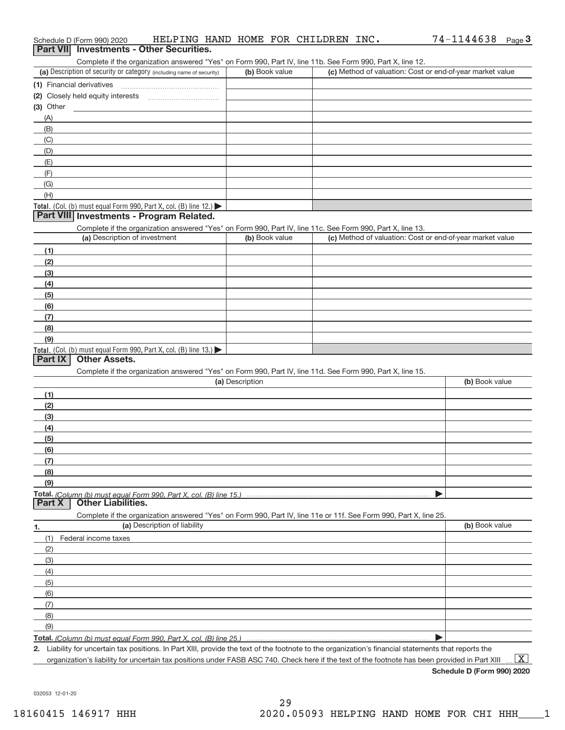| Part VII Investments - Other Securities.   |                                                                      |                 |                                                                                                                                                      |                |
|--------------------------------------------|----------------------------------------------------------------------|-----------------|------------------------------------------------------------------------------------------------------------------------------------------------------|----------------|
|                                            |                                                                      |                 | Complete if the organization answered "Yes" on Form 990, Part IV, line 11b. See Form 990, Part X, line 12.                                           |                |
|                                            | (a) Description of security or category (including name of security) | (b) Book value  | (c) Method of valuation: Cost or end-of-year market value                                                                                            |                |
| (1) Financial derivatives                  |                                                                      |                 |                                                                                                                                                      |                |
|                                            |                                                                      |                 |                                                                                                                                                      |                |
| $(3)$ Other                                |                                                                      |                 |                                                                                                                                                      |                |
| (A)                                        |                                                                      |                 |                                                                                                                                                      |                |
| (B)                                        |                                                                      |                 |                                                                                                                                                      |                |
| (C)                                        |                                                                      |                 |                                                                                                                                                      |                |
| (D)                                        |                                                                      |                 |                                                                                                                                                      |                |
| (E)<br>(F)                                 |                                                                      |                 |                                                                                                                                                      |                |
| (G)                                        |                                                                      |                 |                                                                                                                                                      |                |
| (H)                                        |                                                                      |                 |                                                                                                                                                      |                |
|                                            | Total. (Col. (b) must equal Form 990, Part X, col. (B) line 12.)     |                 |                                                                                                                                                      |                |
|                                            | Part VIII Investments - Program Related.                             |                 |                                                                                                                                                      |                |
|                                            |                                                                      |                 | Complete if the organization answered "Yes" on Form 990, Part IV, line 11c. See Form 990, Part X, line 13.                                           |                |
|                                            | (a) Description of investment                                        | (b) Book value  | (c) Method of valuation: Cost or end-of-year market value                                                                                            |                |
| (1)                                        |                                                                      |                 |                                                                                                                                                      |                |
| (2)                                        |                                                                      |                 |                                                                                                                                                      |                |
| (3)                                        |                                                                      |                 |                                                                                                                                                      |                |
| (4)                                        |                                                                      |                 |                                                                                                                                                      |                |
| (5)                                        |                                                                      |                 |                                                                                                                                                      |                |
| (6)                                        |                                                                      |                 |                                                                                                                                                      |                |
| (7)                                        |                                                                      |                 |                                                                                                                                                      |                |
| (8)                                        |                                                                      |                 |                                                                                                                                                      |                |
| (9)                                        | Total. (Col. (b) must equal Form 990, Part X, col. (B) line 13.)     |                 |                                                                                                                                                      |                |
| <b>Part IX</b><br><b>Other Assets.</b>     |                                                                      |                 |                                                                                                                                                      |                |
|                                            |                                                                      |                 | Complete if the organization answered "Yes" on Form 990, Part IV, line 11d. See Form 990, Part X, line 15.                                           |                |
|                                            |                                                                      | (a) Description |                                                                                                                                                      | (b) Book value |
| (1)                                        |                                                                      |                 |                                                                                                                                                      |                |
| (2)                                        |                                                                      |                 |                                                                                                                                                      |                |
| (3)                                        |                                                                      |                 |                                                                                                                                                      |                |
| (4)                                        |                                                                      |                 |                                                                                                                                                      |                |
| (5)                                        |                                                                      |                 |                                                                                                                                                      |                |
| (6)                                        |                                                                      |                 |                                                                                                                                                      |                |
| (7)                                        |                                                                      |                 |                                                                                                                                                      |                |
| (8)                                        |                                                                      |                 |                                                                                                                                                      |                |
| (9)                                        |                                                                      |                 |                                                                                                                                                      |                |
| <b>Other Liabilities.</b><br><b>Part X</b> |                                                                      |                 |                                                                                                                                                      |                |
|                                            |                                                                      |                 | Complete if the organization answered "Yes" on Form 990, Part IV, line 11e or 11f. See Form 990, Part X, line 25.                                    |                |
| 1.                                         | (a) Description of liability                                         |                 |                                                                                                                                                      | (b) Book value |
| (1)<br>Federal income taxes                |                                                                      |                 |                                                                                                                                                      |                |
| (2)                                        |                                                                      |                 |                                                                                                                                                      |                |
| (3)                                        |                                                                      |                 |                                                                                                                                                      |                |
| (4)                                        |                                                                      |                 |                                                                                                                                                      |                |
| (5)                                        |                                                                      |                 |                                                                                                                                                      |                |
| (6)                                        |                                                                      |                 |                                                                                                                                                      |                |
| (7)                                        |                                                                      |                 |                                                                                                                                                      |                |
| (8)                                        |                                                                      |                 |                                                                                                                                                      |                |
| (9)                                        |                                                                      |                 |                                                                                                                                                      |                |
|                                            |                                                                      |                 |                                                                                                                                                      |                |
|                                            |                                                                      |                 | 2. Liability for uncertain tax positions. In Part XIII, provide the text of the footnote to the organization's financial statements that reports the |                |

Schedule D (Form 990) 2020 **HELPING HAND HOME FOR CHILDREN INC 74-1144638 <sub>Page</sub> 3** 

HELPING HAND HOME FOR CHILDREN INC. 74‐1144638

organization's liability for uncertain tax positions under FASB ASC 740. Check here if the text of the footnote has been provided in Part XIII  $\;\ldots\;$   $\bar{\rm X}$ 

**Schedule D (Form 990) 2020**

032053 12‐01‐20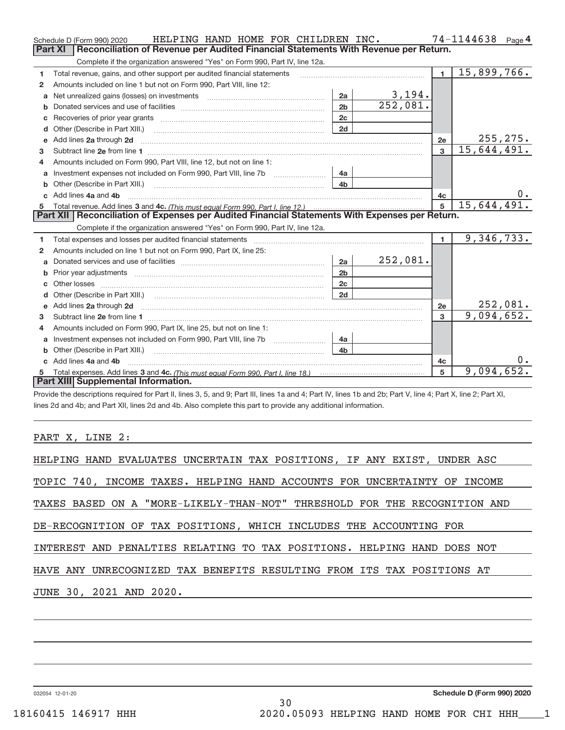|    | HELPING HAND HOME FOR CHILDREN INC.<br>Schedule D (Form 990) 2020                                                                                                                                                                   |                |               |                | 74-1144638 Page 4         |
|----|-------------------------------------------------------------------------------------------------------------------------------------------------------------------------------------------------------------------------------------|----------------|---------------|----------------|---------------------------|
|    | Reconciliation of Revenue per Audited Financial Statements With Revenue per Return.<br>Part XI                                                                                                                                      |                |               |                |                           |
|    | Complete if the organization answered "Yes" on Form 990, Part IV, line 12a.                                                                                                                                                         |                |               |                |                           |
| 1  | Total revenue, gains, and other support per audited financial statements                                                                                                                                                            |                |               | $\blacksquare$ | 15,899,766.               |
| 2  | Amounts included on line 1 but not on Form 990, Part VIII, line 12:                                                                                                                                                                 |                |               |                |                           |
| a  | Net unrealized gains (losses) on investments [11] matter contracts and the unrealized gains (losses) on investments                                                                                                                 | 2a             | <u>3,194.</u> |                |                           |
| b  |                                                                                                                                                                                                                                     | 2 <sub>b</sub> | 252,081.      |                |                           |
| c  |                                                                                                                                                                                                                                     | 2c             |               |                |                           |
| d  |                                                                                                                                                                                                                                     | 2d             |               |                |                           |
| e  | Add lines 2a through 2d <b>must be a constructed as the constant of the constant of the constant of the construction</b>                                                                                                            |                |               | 2e             | 255, 275.                 |
| 3  |                                                                                                                                                                                                                                     |                |               | $\overline{3}$ | $\overline{15,644,491}$ . |
| 4  | Amounts included on Form 990. Part VIII. line 12, but not on line 1:                                                                                                                                                                |                |               |                |                           |
| a  |                                                                                                                                                                                                                                     | 4a             |               |                |                           |
| b  | Other (Describe in Part XIII.) <b>Construction</b> and the construction of the construction of the construction of the construction of the construction of the construction of the construction of the construction of the construc | 4 <sub>h</sub> |               |                |                           |
| C. | Add lines 4a and 4b                                                                                                                                                                                                                 |                |               | 4c             |                           |
|    |                                                                                                                                                                                                                                     |                |               | 5              | 15,644,491.               |
|    |                                                                                                                                                                                                                                     |                |               |                |                           |
|    | Part XII   Reconciliation of Expenses per Audited Financial Statements With Expenses per Return.                                                                                                                                    |                |               |                |                           |
|    | Complete if the organization answered "Yes" on Form 990, Part IV, line 12a.                                                                                                                                                         |                |               |                |                           |
| 1  | Total expenses and losses per audited financial statements [111] [12] contraction control and statements [13] [13] and the statements [13] and the statements [13] and the statements and statements and statements and statem      |                |               | $\mathbf{1}$   | 9,346,733.                |
| 2  | Amounts included on line 1 but not on Form 990, Part IX, line 25:                                                                                                                                                                   |                |               |                |                           |
| a  |                                                                                                                                                                                                                                     | 2a             | 252,081.      |                |                           |
| b  |                                                                                                                                                                                                                                     | 2 <sub>b</sub> |               |                |                           |
|    |                                                                                                                                                                                                                                     | 2c             |               |                |                           |
| d  |                                                                                                                                                                                                                                     | 2d             |               |                |                           |
| e  | Add lines 2a through 2d <b>contract and all anomalisation</b> and all anomalisation of the state of the state of the state of the state of the state of the state of the state of the state of the state of the state of the state  |                |               | 2e             | <u>252,081.</u>           |
| 3  |                                                                                                                                                                                                                                     |                |               | $\mathbf{R}$   | 9,094,652.                |
| 4  | Amounts included on Form 990, Part IX, line 25, but not on line 1:                                                                                                                                                                  |                |               |                |                           |
| a  | Investment expenses not included on Form 990, Part VIII, line 7b [1000000000000000000000000000000000                                                                                                                                | 4a             |               |                |                           |
| b  | Other (Describe in Part XIII.)                                                                                                                                                                                                      | 4 <sub>b</sub> |               |                |                           |
|    | Add lines 4a and 4b                                                                                                                                                                                                                 |                |               | 4c             | υ.                        |
| 5. | Part XIII Supplemental Information.                                                                                                                                                                                                 |                |               | 5              | 9,094,652.                |

Provide the descriptions required for Part II, lines 3, 5, and 9; Part III, lines 1a and 4; Part IV, lines 1b and 2b; Part V, line 4; Part X, line 2; Part XI, lines 2d and 4b; and Part XII, lines 2d and 4b. Also complete this part to provide any additional information.

### PART X, LINE 2:

| HELPING HAND EVALUATES UNCERTAIN TAX POSITIONS, IF ANY EXIST, UNDER ASC   |
|---------------------------------------------------------------------------|
| TOPIC 740, INCOME TAXES. HELPING HAND ACCOUNTS FOR UNCERTAINTY OF INCOME  |
| TAXES BASED ON A "MORE-LIKELY-THAN-NOT" THRESHOLD FOR THE RECOGNITION AND |
| DE-RECOGNITION OF TAX POSITIONS, WHICH INCLUDES THE ACCOUNTING FOR        |
| INTEREST AND PENALTIES RELATING TO TAX POSITIONS. HELPING HAND DOES NOT   |
| HAVE ANY UNRECOGNIZED TAX BENEFITS RESULTING FROM ITS TAX POSITIONS AT    |
| JUNE 30, 2021 AND 2020.                                                   |
|                                                                           |

032054 12‐01‐20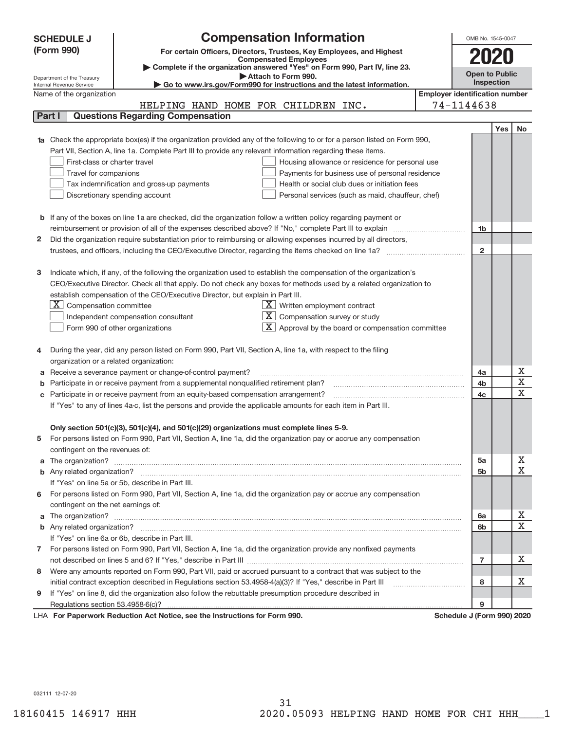| <b>Compensation Information</b><br><b>SCHEDULE J</b><br>(Form 990)<br>For certain Officers, Directors, Trustees, Key Employees, and Highest<br><b>Compensated Employees</b><br>Complete if the organization answered "Yes" on Form 990, Part IV, line 23.<br><b>Open to Public</b><br>Attach to Form 990.<br>Department of the Treasury<br>Inspection<br>Go to www.irs.gov/Form990 for instructions and the latest information.<br>Internal Revenue Service<br><b>Employer identification number</b><br>Name of the organization<br>74-1144638<br>HELPING HAND HOME FOR CHILDREN INC.<br><b>Questions Regarding Compensation</b><br>Part I<br>Yes<br><b>1a</b> Check the appropriate box(es) if the organization provided any of the following to or for a person listed on Form 990,<br>Part VII, Section A, line 1a. Complete Part III to provide any relevant information regarding these items.<br>First-class or charter travel<br>Housing allowance or residence for personal use<br>Travel for companions<br>Payments for business use of personal residence<br>Tax indemnification and gross-up payments<br>Health or social club dues or initiation fees<br>Discretionary spending account<br>Personal services (such as maid, chauffeur, chef)<br><b>b</b> If any of the boxes on line 1a are checked, did the organization follow a written policy regarding payment or<br>reimbursement or provision of all of the expenses described above? If "No," complete Part III to explain<br>1b<br>Did the organization require substantiation prior to reimbursing or allowing expenses incurred by all directors,<br>2<br>$\mathbf{2}$ |                         |
|-----------------------------------------------------------------------------------------------------------------------------------------------------------------------------------------------------------------------------------------------------------------------------------------------------------------------------------------------------------------------------------------------------------------------------------------------------------------------------------------------------------------------------------------------------------------------------------------------------------------------------------------------------------------------------------------------------------------------------------------------------------------------------------------------------------------------------------------------------------------------------------------------------------------------------------------------------------------------------------------------------------------------------------------------------------------------------------------------------------------------------------------------------------------------------------------------------------------------------------------------------------------------------------------------------------------------------------------------------------------------------------------------------------------------------------------------------------------------------------------------------------------------------------------------------------------------------------------------------------------------------------------------|-------------------------|
|                                                                                                                                                                                                                                                                                                                                                                                                                                                                                                                                                                                                                                                                                                                                                                                                                                                                                                                                                                                                                                                                                                                                                                                                                                                                                                                                                                                                                                                                                                                                                                                                                                               |                         |
|                                                                                                                                                                                                                                                                                                                                                                                                                                                                                                                                                                                                                                                                                                                                                                                                                                                                                                                                                                                                                                                                                                                                                                                                                                                                                                                                                                                                                                                                                                                                                                                                                                               |                         |
|                                                                                                                                                                                                                                                                                                                                                                                                                                                                                                                                                                                                                                                                                                                                                                                                                                                                                                                                                                                                                                                                                                                                                                                                                                                                                                                                                                                                                                                                                                                                                                                                                                               |                         |
|                                                                                                                                                                                                                                                                                                                                                                                                                                                                                                                                                                                                                                                                                                                                                                                                                                                                                                                                                                                                                                                                                                                                                                                                                                                                                                                                                                                                                                                                                                                                                                                                                                               |                         |
|                                                                                                                                                                                                                                                                                                                                                                                                                                                                                                                                                                                                                                                                                                                                                                                                                                                                                                                                                                                                                                                                                                                                                                                                                                                                                                                                                                                                                                                                                                                                                                                                                                               |                         |
|                                                                                                                                                                                                                                                                                                                                                                                                                                                                                                                                                                                                                                                                                                                                                                                                                                                                                                                                                                                                                                                                                                                                                                                                                                                                                                                                                                                                                                                                                                                                                                                                                                               |                         |
|                                                                                                                                                                                                                                                                                                                                                                                                                                                                                                                                                                                                                                                                                                                                                                                                                                                                                                                                                                                                                                                                                                                                                                                                                                                                                                                                                                                                                                                                                                                                                                                                                                               |                         |
|                                                                                                                                                                                                                                                                                                                                                                                                                                                                                                                                                                                                                                                                                                                                                                                                                                                                                                                                                                                                                                                                                                                                                                                                                                                                                                                                                                                                                                                                                                                                                                                                                                               | No                      |
|                                                                                                                                                                                                                                                                                                                                                                                                                                                                                                                                                                                                                                                                                                                                                                                                                                                                                                                                                                                                                                                                                                                                                                                                                                                                                                                                                                                                                                                                                                                                                                                                                                               |                         |
|                                                                                                                                                                                                                                                                                                                                                                                                                                                                                                                                                                                                                                                                                                                                                                                                                                                                                                                                                                                                                                                                                                                                                                                                                                                                                                                                                                                                                                                                                                                                                                                                                                               |                         |
|                                                                                                                                                                                                                                                                                                                                                                                                                                                                                                                                                                                                                                                                                                                                                                                                                                                                                                                                                                                                                                                                                                                                                                                                                                                                                                                                                                                                                                                                                                                                                                                                                                               |                         |
|                                                                                                                                                                                                                                                                                                                                                                                                                                                                                                                                                                                                                                                                                                                                                                                                                                                                                                                                                                                                                                                                                                                                                                                                                                                                                                                                                                                                                                                                                                                                                                                                                                               |                         |
|                                                                                                                                                                                                                                                                                                                                                                                                                                                                                                                                                                                                                                                                                                                                                                                                                                                                                                                                                                                                                                                                                                                                                                                                                                                                                                                                                                                                                                                                                                                                                                                                                                               |                         |
|                                                                                                                                                                                                                                                                                                                                                                                                                                                                                                                                                                                                                                                                                                                                                                                                                                                                                                                                                                                                                                                                                                                                                                                                                                                                                                                                                                                                                                                                                                                                                                                                                                               |                         |
|                                                                                                                                                                                                                                                                                                                                                                                                                                                                                                                                                                                                                                                                                                                                                                                                                                                                                                                                                                                                                                                                                                                                                                                                                                                                                                                                                                                                                                                                                                                                                                                                                                               |                         |
|                                                                                                                                                                                                                                                                                                                                                                                                                                                                                                                                                                                                                                                                                                                                                                                                                                                                                                                                                                                                                                                                                                                                                                                                                                                                                                                                                                                                                                                                                                                                                                                                                                               |                         |
|                                                                                                                                                                                                                                                                                                                                                                                                                                                                                                                                                                                                                                                                                                                                                                                                                                                                                                                                                                                                                                                                                                                                                                                                                                                                                                                                                                                                                                                                                                                                                                                                                                               |                         |
|                                                                                                                                                                                                                                                                                                                                                                                                                                                                                                                                                                                                                                                                                                                                                                                                                                                                                                                                                                                                                                                                                                                                                                                                                                                                                                                                                                                                                                                                                                                                                                                                                                               |                         |
|                                                                                                                                                                                                                                                                                                                                                                                                                                                                                                                                                                                                                                                                                                                                                                                                                                                                                                                                                                                                                                                                                                                                                                                                                                                                                                                                                                                                                                                                                                                                                                                                                                               |                         |
|                                                                                                                                                                                                                                                                                                                                                                                                                                                                                                                                                                                                                                                                                                                                                                                                                                                                                                                                                                                                                                                                                                                                                                                                                                                                                                                                                                                                                                                                                                                                                                                                                                               |                         |
| Indicate which, if any, of the following the organization used to establish the compensation of the organization's<br>з                                                                                                                                                                                                                                                                                                                                                                                                                                                                                                                                                                                                                                                                                                                                                                                                                                                                                                                                                                                                                                                                                                                                                                                                                                                                                                                                                                                                                                                                                                                       |                         |
| CEO/Executive Director. Check all that apply. Do not check any boxes for methods used by a related organization to                                                                                                                                                                                                                                                                                                                                                                                                                                                                                                                                                                                                                                                                                                                                                                                                                                                                                                                                                                                                                                                                                                                                                                                                                                                                                                                                                                                                                                                                                                                            |                         |
| establish compensation of the CEO/Executive Director, but explain in Part III.                                                                                                                                                                                                                                                                                                                                                                                                                                                                                                                                                                                                                                                                                                                                                                                                                                                                                                                                                                                                                                                                                                                                                                                                                                                                                                                                                                                                                                                                                                                                                                |                         |
| $X \mid$<br>Compensation committee<br>$X$ Written employment contract                                                                                                                                                                                                                                                                                                                                                                                                                                                                                                                                                                                                                                                                                                                                                                                                                                                                                                                                                                                                                                                                                                                                                                                                                                                                                                                                                                                                                                                                                                                                                                         |                         |
| $\overline{X}$ Compensation survey or study<br>Independent compensation consultant                                                                                                                                                                                                                                                                                                                                                                                                                                                                                                                                                                                                                                                                                                                                                                                                                                                                                                                                                                                                                                                                                                                                                                                                                                                                                                                                                                                                                                                                                                                                                            |                         |
| Approval by the board or compensation committee<br>Form 990 of other organizations                                                                                                                                                                                                                                                                                                                                                                                                                                                                                                                                                                                                                                                                                                                                                                                                                                                                                                                                                                                                                                                                                                                                                                                                                                                                                                                                                                                                                                                                                                                                                            |                         |
|                                                                                                                                                                                                                                                                                                                                                                                                                                                                                                                                                                                                                                                                                                                                                                                                                                                                                                                                                                                                                                                                                                                                                                                                                                                                                                                                                                                                                                                                                                                                                                                                                                               |                         |
| During the year, did any person listed on Form 990, Part VII, Section A, line 1a, with respect to the filing                                                                                                                                                                                                                                                                                                                                                                                                                                                                                                                                                                                                                                                                                                                                                                                                                                                                                                                                                                                                                                                                                                                                                                                                                                                                                                                                                                                                                                                                                                                                  |                         |
| organization or a related organization:<br>Receive a severance payment or change-of-control payment?<br>4a                                                                                                                                                                                                                                                                                                                                                                                                                                                                                                                                                                                                                                                                                                                                                                                                                                                                                                                                                                                                                                                                                                                                                                                                                                                                                                                                                                                                                                                                                                                                    | х                       |
| Participate in or receive payment from a supplemental nonqualified retirement plan?<br>4b                                                                                                                                                                                                                                                                                                                                                                                                                                                                                                                                                                                                                                                                                                                                                                                                                                                                                                                                                                                                                                                                                                                                                                                                                                                                                                                                                                                                                                                                                                                                                     | $\mathbf X$             |
| c Participate in or receive payment from an equity-based compensation arrangement?<br>4c                                                                                                                                                                                                                                                                                                                                                                                                                                                                                                                                                                                                                                                                                                                                                                                                                                                                                                                                                                                                                                                                                                                                                                                                                                                                                                                                                                                                                                                                                                                                                      | $\overline{\mathbf{x}}$ |
| If "Yes" to any of lines 4a-c, list the persons and provide the applicable amounts for each item in Part III.                                                                                                                                                                                                                                                                                                                                                                                                                                                                                                                                                                                                                                                                                                                                                                                                                                                                                                                                                                                                                                                                                                                                                                                                                                                                                                                                                                                                                                                                                                                                 |                         |
|                                                                                                                                                                                                                                                                                                                                                                                                                                                                                                                                                                                                                                                                                                                                                                                                                                                                                                                                                                                                                                                                                                                                                                                                                                                                                                                                                                                                                                                                                                                                                                                                                                               |                         |
| Only section 501(c)(3), 501(c)(4), and 501(c)(29) organizations must complete lines 5-9.                                                                                                                                                                                                                                                                                                                                                                                                                                                                                                                                                                                                                                                                                                                                                                                                                                                                                                                                                                                                                                                                                                                                                                                                                                                                                                                                                                                                                                                                                                                                                      |                         |
| For persons listed on Form 990, Part VII, Section A, line 1a, did the organization pay or accrue any compensation<br>5                                                                                                                                                                                                                                                                                                                                                                                                                                                                                                                                                                                                                                                                                                                                                                                                                                                                                                                                                                                                                                                                                                                                                                                                                                                                                                                                                                                                                                                                                                                        |                         |
| contingent on the revenues of:                                                                                                                                                                                                                                                                                                                                                                                                                                                                                                                                                                                                                                                                                                                                                                                                                                                                                                                                                                                                                                                                                                                                                                                                                                                                                                                                                                                                                                                                                                                                                                                                                |                         |
| a The organization? <b>Entitation</b> 2008 Communication of the contract of the contract of the contract of the contract of the contract of the contract of the contract of the contract of the contract of the contract of the con<br>5a                                                                                                                                                                                                                                                                                                                                                                                                                                                                                                                                                                                                                                                                                                                                                                                                                                                                                                                                                                                                                                                                                                                                                                                                                                                                                                                                                                                                     | х                       |
| 5b                                                                                                                                                                                                                                                                                                                                                                                                                                                                                                                                                                                                                                                                                                                                                                                                                                                                                                                                                                                                                                                                                                                                                                                                                                                                                                                                                                                                                                                                                                                                                                                                                                            | $\mathbf x$             |
| If "Yes" on line 5a or 5b, describe in Part III.                                                                                                                                                                                                                                                                                                                                                                                                                                                                                                                                                                                                                                                                                                                                                                                                                                                                                                                                                                                                                                                                                                                                                                                                                                                                                                                                                                                                                                                                                                                                                                                              |                         |
| 6 For persons listed on Form 990, Part VII, Section A, line 1a, did the organization pay or accrue any compensation                                                                                                                                                                                                                                                                                                                                                                                                                                                                                                                                                                                                                                                                                                                                                                                                                                                                                                                                                                                                                                                                                                                                                                                                                                                                                                                                                                                                                                                                                                                           |                         |
| contingent on the net earnings of:                                                                                                                                                                                                                                                                                                                                                                                                                                                                                                                                                                                                                                                                                                                                                                                                                                                                                                                                                                                                                                                                                                                                                                                                                                                                                                                                                                                                                                                                                                                                                                                                            |                         |
| 6a                                                                                                                                                                                                                                                                                                                                                                                                                                                                                                                                                                                                                                                                                                                                                                                                                                                                                                                                                                                                                                                                                                                                                                                                                                                                                                                                                                                                                                                                                                                                                                                                                                            | х                       |
| 6b                                                                                                                                                                                                                                                                                                                                                                                                                                                                                                                                                                                                                                                                                                                                                                                                                                                                                                                                                                                                                                                                                                                                                                                                                                                                                                                                                                                                                                                                                                                                                                                                                                            | $\mathbf x$             |
| If "Yes" on line 6a or 6b, describe in Part III.                                                                                                                                                                                                                                                                                                                                                                                                                                                                                                                                                                                                                                                                                                                                                                                                                                                                                                                                                                                                                                                                                                                                                                                                                                                                                                                                                                                                                                                                                                                                                                                              |                         |
| For persons listed on Form 990, Part VII, Section A, line 1a, did the organization provide any nonfixed payments<br>7                                                                                                                                                                                                                                                                                                                                                                                                                                                                                                                                                                                                                                                                                                                                                                                                                                                                                                                                                                                                                                                                                                                                                                                                                                                                                                                                                                                                                                                                                                                         |                         |
| 7                                                                                                                                                                                                                                                                                                                                                                                                                                                                                                                                                                                                                                                                                                                                                                                                                                                                                                                                                                                                                                                                                                                                                                                                                                                                                                                                                                                                                                                                                                                                                                                                                                             | х                       |
| Were any amounts reported on Form 990, Part VII, paid or accrued pursuant to a contract that was subject to the<br>8.                                                                                                                                                                                                                                                                                                                                                                                                                                                                                                                                                                                                                                                                                                                                                                                                                                                                                                                                                                                                                                                                                                                                                                                                                                                                                                                                                                                                                                                                                                                         |                         |
| 8                                                                                                                                                                                                                                                                                                                                                                                                                                                                                                                                                                                                                                                                                                                                                                                                                                                                                                                                                                                                                                                                                                                                                                                                                                                                                                                                                                                                                                                                                                                                                                                                                                             | х                       |
| If "Yes" on line 8, did the organization also follow the rebuttable presumption procedure described in<br>9                                                                                                                                                                                                                                                                                                                                                                                                                                                                                                                                                                                                                                                                                                                                                                                                                                                                                                                                                                                                                                                                                                                                                                                                                                                                                                                                                                                                                                                                                                                                   |                         |
| 9<br>and the characteristic and four Farmer 000                                                                                                                                                                                                                                                                                                                                                                                                                                                                                                                                                                                                                                                                                                                                                                                                                                                                                                                                                                                                                                                                                                                                                                                                                                                                                                                                                                                                                                                                                                                                                                                               |                         |

LHA For Paperwork Reduction Act Notice, see the Instructions for Form 990. **In the case of the Schedule J (Form 990) 2020** 

032111 12‐07‐20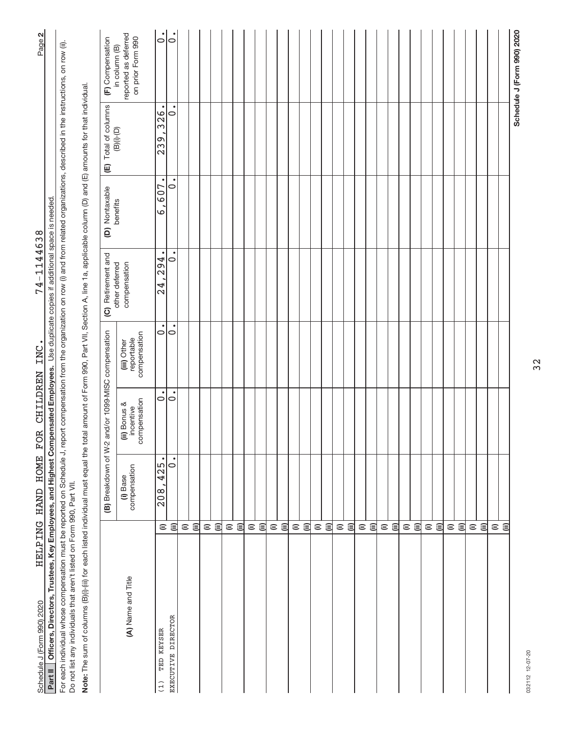| Part II  Officers, Directors, Trustees, Key Employees, and Highest Compensated Employees.  Use duplicate copies if additional space is needed.                                                                                                                                   |                 |                            |                                           |                                           |                                |                                 |                      |                                                            |
|----------------------------------------------------------------------------------------------------------------------------------------------------------------------------------------------------------------------------------------------------------------------------------|-----------------|----------------------------|-------------------------------------------|-------------------------------------------|--------------------------------|---------------------------------|----------------------|------------------------------------------------------------|
| For each individual whose compensation must be reported on Schedule J, report compensation from the organization on row (i) and from related organizations, described in the instructions, on row (ii).<br>Do not list any individuals that aren't listed on Form 990, Part VII. |                 |                            |                                           |                                           |                                |                                 |                      |                                                            |
| Note: The sum of columns (B)(i)-(iii) for each listed individual must equal the total amount of Form 990, Part VII, Section A, line 1a, applicable column (D) and (E) amounts for that individual                                                                                |                 |                            |                                           |                                           |                                |                                 |                      |                                                            |
|                                                                                                                                                                                                                                                                                  |                 | (B) Breakdown of W-2       |                                           | and/or 1099-MISC compensation             | (C) Retirement and             | (D) Nontaxable                  | (E) Total of columns | (F) Compensation                                           |
| (A) Name and Title                                                                                                                                                                                                                                                               |                 | compensation<br>(i) Base   | compensation<br>(ii) Bonus &<br>incentive | compensation<br>reportable<br>(iii) Other | other deferred<br>compensation | benefits                        | $(B)(i)$ - $(D)$     | reported as deferred<br>on prior Form 990<br>in column (B) |
| <b>KEYSER</b><br>TED<br>(1)                                                                                                                                                                                                                                                      | $\widehat{=}$   | $\overline{425}$ .<br>208, | $\bullet$<br>$\circ$                      | $\dot{\circ}$                             | $\bullet$<br>294<br>24         | $\bullet$<br>607<br>$\mathbf 2$ | 326.<br>$\sqrt{239}$ | $\dot{\circ}$                                              |
| EXECUTIVE DIRECTOR                                                                                                                                                                                                                                                               | 闾               | $\circ$                    | $\circ$                                   | $\circ$                                   | 0                              | $\bullet$<br>$\circ$            | $\circ$              | $\dot{\circ}$                                              |
|                                                                                                                                                                                                                                                                                  | $\widehat{=}$   |                            |                                           |                                           |                                |                                 |                      |                                                            |
|                                                                                                                                                                                                                                                                                  | 闫               |                            |                                           |                                           |                                |                                 |                      |                                                            |
|                                                                                                                                                                                                                                                                                  |                 |                            |                                           |                                           |                                |                                 |                      |                                                            |
|                                                                                                                                                                                                                                                                                  | ε ⊜             |                            |                                           |                                           |                                |                                 |                      |                                                            |
|                                                                                                                                                                                                                                                                                  |                 |                            |                                           |                                           |                                |                                 |                      |                                                            |
|                                                                                                                                                                                                                                                                                  | ⊜ ⊜             |                            |                                           |                                           |                                |                                 |                      |                                                            |
|                                                                                                                                                                                                                                                                                  |                 |                            |                                           |                                           |                                |                                 |                      |                                                            |
|                                                                                                                                                                                                                                                                                  | ⊜ ⊜             |                            |                                           |                                           |                                |                                 |                      |                                                            |
|                                                                                                                                                                                                                                                                                  |                 |                            |                                           |                                           |                                |                                 |                      |                                                            |
|                                                                                                                                                                                                                                                                                  | ε⊜              |                            |                                           |                                           |                                |                                 |                      |                                                            |
|                                                                                                                                                                                                                                                                                  |                 |                            |                                           |                                           |                                |                                 |                      |                                                            |
|                                                                                                                                                                                                                                                                                  | $\widehat{\Xi}$ |                            |                                           |                                           |                                |                                 |                      |                                                            |
|                                                                                                                                                                                                                                                                                  |                 |                            |                                           |                                           |                                |                                 |                      |                                                            |
|                                                                                                                                                                                                                                                                                  | ε ⊜             |                            |                                           |                                           |                                |                                 |                      |                                                            |
|                                                                                                                                                                                                                                                                                  |                 |                            |                                           |                                           |                                |                                 |                      |                                                            |
|                                                                                                                                                                                                                                                                                  | ⊜ ⊜             |                            |                                           |                                           |                                |                                 |                      |                                                            |
|                                                                                                                                                                                                                                                                                  |                 |                            |                                           |                                           |                                |                                 |                      |                                                            |
|                                                                                                                                                                                                                                                                                  | ⊜ ⊜             |                            |                                           |                                           |                                |                                 |                      |                                                            |
|                                                                                                                                                                                                                                                                                  |                 |                            |                                           |                                           |                                |                                 |                      |                                                            |
|                                                                                                                                                                                                                                                                                  | ⊜ ⊜             |                            |                                           |                                           |                                |                                 |                      |                                                            |
|                                                                                                                                                                                                                                                                                  |                 |                            |                                           |                                           |                                |                                 |                      |                                                            |
|                                                                                                                                                                                                                                                                                  | ⊜ ⊜             |                            |                                           |                                           |                                |                                 |                      |                                                            |
|                                                                                                                                                                                                                                                                                  |                 |                            |                                           |                                           |                                |                                 |                      |                                                            |
|                                                                                                                                                                                                                                                                                  | ε ⊜             |                            |                                           |                                           |                                |                                 |                      |                                                            |
|                                                                                                                                                                                                                                                                                  |                 |                            |                                           |                                           |                                |                                 |                      |                                                            |
|                                                                                                                                                                                                                                                                                  | ε⊜              |                            |                                           |                                           |                                |                                 |                      |                                                            |
|                                                                                                                                                                                                                                                                                  |                 |                            |                                           |                                           |                                |                                 |                      |                                                            |
|                                                                                                                                                                                                                                                                                  | $\widehat{\Xi}$ |                            |                                           |                                           |                                |                                 |                      |                                                            |
|                                                                                                                                                                                                                                                                                  | $\widehat{\Xi}$ |                            |                                           |                                           |                                |                                 |                      |                                                            |
|                                                                                                                                                                                                                                                                                  |                 |                            |                                           |                                           |                                |                                 |                      |                                                            |
|                                                                                                                                                                                                                                                                                  |                 |                            |                                           |                                           |                                |                                 |                      | Schedule J (Form 990) 2020                                 |

ณ|

Schedule J (Form 990) 2020 Page Schedule J (Form 990) 2020<br>**Part II** | Officers, Directors, Trustees, Key Employees, and Highest Compensated Employees, Use duplicate copies if additional space is needed. 74-1144638 74‐1144638 HELPING HAND HOME FOR CHILDREN INC.

032112 12-07-20 032112 12‐07‐20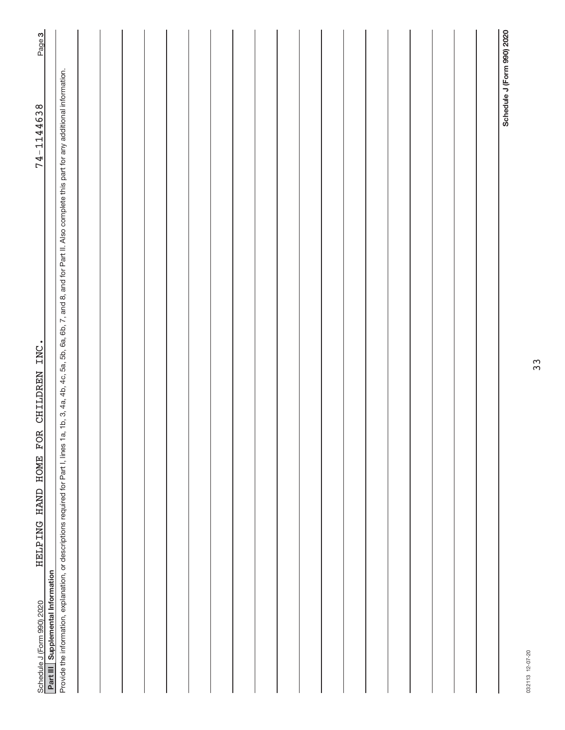| CHILDREN INC.<br>HELPING HAND HOME FOR<br>Part III Supplemental Information<br>Schedule J (Form 990) 2020                                                                                                      | Page 3<br>74-1144638       |
|----------------------------------------------------------------------------------------------------------------------------------------------------------------------------------------------------------------|----------------------------|
| a, 1b, 3, 4a, 4b, 4c, 5a, 5b, 6a, 6b, 7, and 8, and for Part II. Also complete this part for any additional information.<br>Provide the information, explanation, or descriptions required for Part I, lines 1 |                            |
|                                                                                                                                                                                                                |                            |
|                                                                                                                                                                                                                |                            |
|                                                                                                                                                                                                                |                            |
|                                                                                                                                                                                                                |                            |
|                                                                                                                                                                                                                |                            |
|                                                                                                                                                                                                                |                            |
|                                                                                                                                                                                                                |                            |
|                                                                                                                                                                                                                |                            |
|                                                                                                                                                                                                                |                            |
|                                                                                                                                                                                                                |                            |
|                                                                                                                                                                                                                |                            |
|                                                                                                                                                                                                                |                            |
|                                                                                                                                                                                                                |                            |
|                                                                                                                                                                                                                |                            |
|                                                                                                                                                                                                                |                            |
|                                                                                                                                                                                                                |                            |
|                                                                                                                                                                                                                |                            |
|                                                                                                                                                                                                                |                            |
|                                                                                                                                                                                                                |                            |
|                                                                                                                                                                                                                | Schedule J (Form 990) 2020 |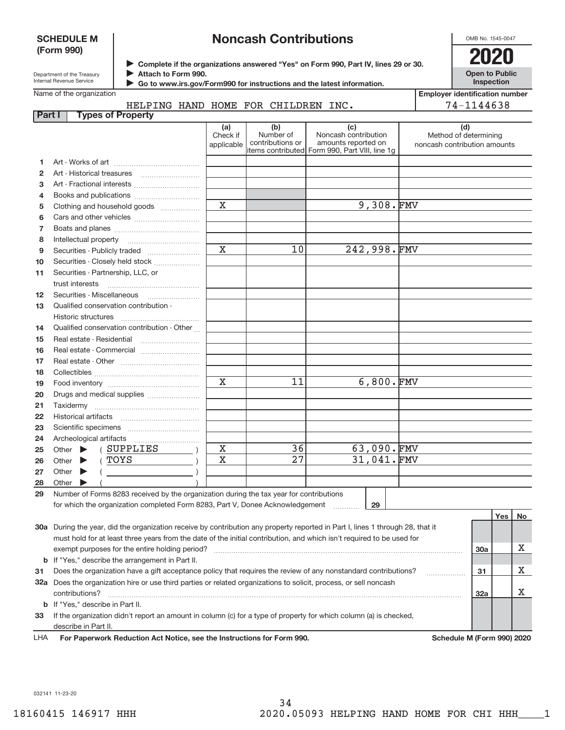### **SCHEDULE M (Form 990)**

## **Noncash Contributions**

OMB No. 1545‐0047

**Open to Public**

Department of the Treasury Internal Revenue Service

Name of the organization

**Complete if the organizations answered "Yes" on Form 990, Part IV, lines 29 or 30.** <sup>J</sup>**2020 Attach to Form 990.** J

 **Go to www.irs.gov/Form990 for instructions and the latest information.** J

**Inspection Employer identification number**

74‐1144638

|  |  | HELPING HAND HOME FOR CHILDREN INC. |  |
|--|--|-------------------------------------|--|
|  |  |                                     |  |

| (d)<br>(a)<br>(b)<br>(c)<br>Number of<br>Noncash contribution<br>Check if<br>Method of determining<br>contributions or<br>amounts reported on<br>applicable<br>noncash contribution amounts<br>items contributed  Form 990, Part VIII, line 1g<br>1.<br>2<br>3<br>Books and publications<br>4<br>9,308.FMV<br>X<br>Clothing and household goods<br>5<br>6<br>7<br>Intellectual property<br>8<br>$\mathbf x$<br>10<br>242,998.FMV<br>Securities - Publicly traded<br>9<br>Securities - Closely held stock<br>10<br>Securities - Partnership, LLC, or<br>11<br>trust interests<br>Securities - Miscellaneous<br>12<br>Qualified conservation contribution -<br>13<br><b>Historic structures</b><br>Qualified conservation contribution - Other<br>14<br>Real estate - Residential<br>15<br>16<br>17<br>18<br>$6,800.$ FMV<br>X<br>11<br>19<br>20<br>Drugs and medical supplies<br>21<br>Taxidermy<br>22<br>23<br>24<br>Archeological artifacts<br>63,090.FMV<br>36<br>х<br>(SUPPLIES<br>Other $\blacktriangleright$<br>25<br>31,041.FMV<br>27<br>X<br>(TOYS<br>Other $\blacktriangleright$<br>26<br>27<br>Other $\blacktriangleright$<br>28<br>Other $\triangleright$<br>29<br>Number of Forms 8283 received by the organization during the tax year for contributions<br>for which the organization completed Form 8283, Part V, Donee Acknowledgement<br>29<br>Yes<br>30a During the year, did the organization receive by contribution any property reported in Part I, lines 1 through 28, that it<br>must hold for at least three years from the date of the initial contribution, and which isn't required to be used for<br>exempt purposes for the entire holding period?<br>30a<br><b>b</b> If "Yes," describe the arrangement in Part II.<br>Does the organization have a gift acceptance policy that requires the review of any nonstandard contributions?<br>31<br>31<br>32a Does the organization hire or use third parties or related organizations to solicit, process, or sell noncash<br>32a<br>contributions?<br>b If "Yes," describe in Part II.<br>If the organization didn't report an amount in column (c) for a type of property for which column (a) is checked,<br>33 | Part I | <b>Types of Property</b> |  |  |  |    |
|----------------------------------------------------------------------------------------------------------------------------------------------------------------------------------------------------------------------------------------------------------------------------------------------------------------------------------------------------------------------------------------------------------------------------------------------------------------------------------------------------------------------------------------------------------------------------------------------------------------------------------------------------------------------------------------------------------------------------------------------------------------------------------------------------------------------------------------------------------------------------------------------------------------------------------------------------------------------------------------------------------------------------------------------------------------------------------------------------------------------------------------------------------------------------------------------------------------------------------------------------------------------------------------------------------------------------------------------------------------------------------------------------------------------------------------------------------------------------------------------------------------------------------------------------------------------------------------------------------------------------------------------------------------------------------------------------------------------------------------------------------------------------------------------------------------------------------------------------------------------------------------------------------------------------------------------------------------------------------------------------------------------------------------------------------------------------------------------------------------------------------------------------------------------------------------------|--------|--------------------------|--|--|--|----|
|                                                                                                                                                                                                                                                                                                                                                                                                                                                                                                                                                                                                                                                                                                                                                                                                                                                                                                                                                                                                                                                                                                                                                                                                                                                                                                                                                                                                                                                                                                                                                                                                                                                                                                                                                                                                                                                                                                                                                                                                                                                                                                                                                                                              |        |                          |  |  |  |    |
|                                                                                                                                                                                                                                                                                                                                                                                                                                                                                                                                                                                                                                                                                                                                                                                                                                                                                                                                                                                                                                                                                                                                                                                                                                                                                                                                                                                                                                                                                                                                                                                                                                                                                                                                                                                                                                                                                                                                                                                                                                                                                                                                                                                              |        |                          |  |  |  |    |
|                                                                                                                                                                                                                                                                                                                                                                                                                                                                                                                                                                                                                                                                                                                                                                                                                                                                                                                                                                                                                                                                                                                                                                                                                                                                                                                                                                                                                                                                                                                                                                                                                                                                                                                                                                                                                                                                                                                                                                                                                                                                                                                                                                                              |        |                          |  |  |  |    |
|                                                                                                                                                                                                                                                                                                                                                                                                                                                                                                                                                                                                                                                                                                                                                                                                                                                                                                                                                                                                                                                                                                                                                                                                                                                                                                                                                                                                                                                                                                                                                                                                                                                                                                                                                                                                                                                                                                                                                                                                                                                                                                                                                                                              |        |                          |  |  |  |    |
|                                                                                                                                                                                                                                                                                                                                                                                                                                                                                                                                                                                                                                                                                                                                                                                                                                                                                                                                                                                                                                                                                                                                                                                                                                                                                                                                                                                                                                                                                                                                                                                                                                                                                                                                                                                                                                                                                                                                                                                                                                                                                                                                                                                              |        |                          |  |  |  |    |
|                                                                                                                                                                                                                                                                                                                                                                                                                                                                                                                                                                                                                                                                                                                                                                                                                                                                                                                                                                                                                                                                                                                                                                                                                                                                                                                                                                                                                                                                                                                                                                                                                                                                                                                                                                                                                                                                                                                                                                                                                                                                                                                                                                                              |        |                          |  |  |  |    |
|                                                                                                                                                                                                                                                                                                                                                                                                                                                                                                                                                                                                                                                                                                                                                                                                                                                                                                                                                                                                                                                                                                                                                                                                                                                                                                                                                                                                                                                                                                                                                                                                                                                                                                                                                                                                                                                                                                                                                                                                                                                                                                                                                                                              |        |                          |  |  |  |    |
|                                                                                                                                                                                                                                                                                                                                                                                                                                                                                                                                                                                                                                                                                                                                                                                                                                                                                                                                                                                                                                                                                                                                                                                                                                                                                                                                                                                                                                                                                                                                                                                                                                                                                                                                                                                                                                                                                                                                                                                                                                                                                                                                                                                              |        |                          |  |  |  |    |
|                                                                                                                                                                                                                                                                                                                                                                                                                                                                                                                                                                                                                                                                                                                                                                                                                                                                                                                                                                                                                                                                                                                                                                                                                                                                                                                                                                                                                                                                                                                                                                                                                                                                                                                                                                                                                                                                                                                                                                                                                                                                                                                                                                                              |        |                          |  |  |  |    |
|                                                                                                                                                                                                                                                                                                                                                                                                                                                                                                                                                                                                                                                                                                                                                                                                                                                                                                                                                                                                                                                                                                                                                                                                                                                                                                                                                                                                                                                                                                                                                                                                                                                                                                                                                                                                                                                                                                                                                                                                                                                                                                                                                                                              |        |                          |  |  |  |    |
|                                                                                                                                                                                                                                                                                                                                                                                                                                                                                                                                                                                                                                                                                                                                                                                                                                                                                                                                                                                                                                                                                                                                                                                                                                                                                                                                                                                                                                                                                                                                                                                                                                                                                                                                                                                                                                                                                                                                                                                                                                                                                                                                                                                              |        |                          |  |  |  |    |
|                                                                                                                                                                                                                                                                                                                                                                                                                                                                                                                                                                                                                                                                                                                                                                                                                                                                                                                                                                                                                                                                                                                                                                                                                                                                                                                                                                                                                                                                                                                                                                                                                                                                                                                                                                                                                                                                                                                                                                                                                                                                                                                                                                                              |        |                          |  |  |  |    |
|                                                                                                                                                                                                                                                                                                                                                                                                                                                                                                                                                                                                                                                                                                                                                                                                                                                                                                                                                                                                                                                                                                                                                                                                                                                                                                                                                                                                                                                                                                                                                                                                                                                                                                                                                                                                                                                                                                                                                                                                                                                                                                                                                                                              |        |                          |  |  |  |    |
|                                                                                                                                                                                                                                                                                                                                                                                                                                                                                                                                                                                                                                                                                                                                                                                                                                                                                                                                                                                                                                                                                                                                                                                                                                                                                                                                                                                                                                                                                                                                                                                                                                                                                                                                                                                                                                                                                                                                                                                                                                                                                                                                                                                              |        |                          |  |  |  |    |
|                                                                                                                                                                                                                                                                                                                                                                                                                                                                                                                                                                                                                                                                                                                                                                                                                                                                                                                                                                                                                                                                                                                                                                                                                                                                                                                                                                                                                                                                                                                                                                                                                                                                                                                                                                                                                                                                                                                                                                                                                                                                                                                                                                                              |        |                          |  |  |  |    |
|                                                                                                                                                                                                                                                                                                                                                                                                                                                                                                                                                                                                                                                                                                                                                                                                                                                                                                                                                                                                                                                                                                                                                                                                                                                                                                                                                                                                                                                                                                                                                                                                                                                                                                                                                                                                                                                                                                                                                                                                                                                                                                                                                                                              |        |                          |  |  |  |    |
|                                                                                                                                                                                                                                                                                                                                                                                                                                                                                                                                                                                                                                                                                                                                                                                                                                                                                                                                                                                                                                                                                                                                                                                                                                                                                                                                                                                                                                                                                                                                                                                                                                                                                                                                                                                                                                                                                                                                                                                                                                                                                                                                                                                              |        |                          |  |  |  |    |
|                                                                                                                                                                                                                                                                                                                                                                                                                                                                                                                                                                                                                                                                                                                                                                                                                                                                                                                                                                                                                                                                                                                                                                                                                                                                                                                                                                                                                                                                                                                                                                                                                                                                                                                                                                                                                                                                                                                                                                                                                                                                                                                                                                                              |        |                          |  |  |  |    |
|                                                                                                                                                                                                                                                                                                                                                                                                                                                                                                                                                                                                                                                                                                                                                                                                                                                                                                                                                                                                                                                                                                                                                                                                                                                                                                                                                                                                                                                                                                                                                                                                                                                                                                                                                                                                                                                                                                                                                                                                                                                                                                                                                                                              |        |                          |  |  |  |    |
|                                                                                                                                                                                                                                                                                                                                                                                                                                                                                                                                                                                                                                                                                                                                                                                                                                                                                                                                                                                                                                                                                                                                                                                                                                                                                                                                                                                                                                                                                                                                                                                                                                                                                                                                                                                                                                                                                                                                                                                                                                                                                                                                                                                              |        |                          |  |  |  |    |
|                                                                                                                                                                                                                                                                                                                                                                                                                                                                                                                                                                                                                                                                                                                                                                                                                                                                                                                                                                                                                                                                                                                                                                                                                                                                                                                                                                                                                                                                                                                                                                                                                                                                                                                                                                                                                                                                                                                                                                                                                                                                                                                                                                                              |        |                          |  |  |  |    |
|                                                                                                                                                                                                                                                                                                                                                                                                                                                                                                                                                                                                                                                                                                                                                                                                                                                                                                                                                                                                                                                                                                                                                                                                                                                                                                                                                                                                                                                                                                                                                                                                                                                                                                                                                                                                                                                                                                                                                                                                                                                                                                                                                                                              |        |                          |  |  |  |    |
|                                                                                                                                                                                                                                                                                                                                                                                                                                                                                                                                                                                                                                                                                                                                                                                                                                                                                                                                                                                                                                                                                                                                                                                                                                                                                                                                                                                                                                                                                                                                                                                                                                                                                                                                                                                                                                                                                                                                                                                                                                                                                                                                                                                              |        |                          |  |  |  |    |
|                                                                                                                                                                                                                                                                                                                                                                                                                                                                                                                                                                                                                                                                                                                                                                                                                                                                                                                                                                                                                                                                                                                                                                                                                                                                                                                                                                                                                                                                                                                                                                                                                                                                                                                                                                                                                                                                                                                                                                                                                                                                                                                                                                                              |        |                          |  |  |  |    |
|                                                                                                                                                                                                                                                                                                                                                                                                                                                                                                                                                                                                                                                                                                                                                                                                                                                                                                                                                                                                                                                                                                                                                                                                                                                                                                                                                                                                                                                                                                                                                                                                                                                                                                                                                                                                                                                                                                                                                                                                                                                                                                                                                                                              |        |                          |  |  |  |    |
|                                                                                                                                                                                                                                                                                                                                                                                                                                                                                                                                                                                                                                                                                                                                                                                                                                                                                                                                                                                                                                                                                                                                                                                                                                                                                                                                                                                                                                                                                                                                                                                                                                                                                                                                                                                                                                                                                                                                                                                                                                                                                                                                                                                              |        |                          |  |  |  |    |
|                                                                                                                                                                                                                                                                                                                                                                                                                                                                                                                                                                                                                                                                                                                                                                                                                                                                                                                                                                                                                                                                                                                                                                                                                                                                                                                                                                                                                                                                                                                                                                                                                                                                                                                                                                                                                                                                                                                                                                                                                                                                                                                                                                                              |        |                          |  |  |  |    |
|                                                                                                                                                                                                                                                                                                                                                                                                                                                                                                                                                                                                                                                                                                                                                                                                                                                                                                                                                                                                                                                                                                                                                                                                                                                                                                                                                                                                                                                                                                                                                                                                                                                                                                                                                                                                                                                                                                                                                                                                                                                                                                                                                                                              |        |                          |  |  |  |    |
|                                                                                                                                                                                                                                                                                                                                                                                                                                                                                                                                                                                                                                                                                                                                                                                                                                                                                                                                                                                                                                                                                                                                                                                                                                                                                                                                                                                                                                                                                                                                                                                                                                                                                                                                                                                                                                                                                                                                                                                                                                                                                                                                                                                              |        |                          |  |  |  |    |
|                                                                                                                                                                                                                                                                                                                                                                                                                                                                                                                                                                                                                                                                                                                                                                                                                                                                                                                                                                                                                                                                                                                                                                                                                                                                                                                                                                                                                                                                                                                                                                                                                                                                                                                                                                                                                                                                                                                                                                                                                                                                                                                                                                                              |        |                          |  |  |  |    |
|                                                                                                                                                                                                                                                                                                                                                                                                                                                                                                                                                                                                                                                                                                                                                                                                                                                                                                                                                                                                                                                                                                                                                                                                                                                                                                                                                                                                                                                                                                                                                                                                                                                                                                                                                                                                                                                                                                                                                                                                                                                                                                                                                                                              |        |                          |  |  |  |    |
|                                                                                                                                                                                                                                                                                                                                                                                                                                                                                                                                                                                                                                                                                                                                                                                                                                                                                                                                                                                                                                                                                                                                                                                                                                                                                                                                                                                                                                                                                                                                                                                                                                                                                                                                                                                                                                                                                                                                                                                                                                                                                                                                                                                              |        |                          |  |  |  |    |
|                                                                                                                                                                                                                                                                                                                                                                                                                                                                                                                                                                                                                                                                                                                                                                                                                                                                                                                                                                                                                                                                                                                                                                                                                                                                                                                                                                                                                                                                                                                                                                                                                                                                                                                                                                                                                                                                                                                                                                                                                                                                                                                                                                                              |        |                          |  |  |  |    |
|                                                                                                                                                                                                                                                                                                                                                                                                                                                                                                                                                                                                                                                                                                                                                                                                                                                                                                                                                                                                                                                                                                                                                                                                                                                                                                                                                                                                                                                                                                                                                                                                                                                                                                                                                                                                                                                                                                                                                                                                                                                                                                                                                                                              |        |                          |  |  |  | No |
|                                                                                                                                                                                                                                                                                                                                                                                                                                                                                                                                                                                                                                                                                                                                                                                                                                                                                                                                                                                                                                                                                                                                                                                                                                                                                                                                                                                                                                                                                                                                                                                                                                                                                                                                                                                                                                                                                                                                                                                                                                                                                                                                                                                              |        |                          |  |  |  |    |
|                                                                                                                                                                                                                                                                                                                                                                                                                                                                                                                                                                                                                                                                                                                                                                                                                                                                                                                                                                                                                                                                                                                                                                                                                                                                                                                                                                                                                                                                                                                                                                                                                                                                                                                                                                                                                                                                                                                                                                                                                                                                                                                                                                                              |        |                          |  |  |  |    |
|                                                                                                                                                                                                                                                                                                                                                                                                                                                                                                                                                                                                                                                                                                                                                                                                                                                                                                                                                                                                                                                                                                                                                                                                                                                                                                                                                                                                                                                                                                                                                                                                                                                                                                                                                                                                                                                                                                                                                                                                                                                                                                                                                                                              |        |                          |  |  |  | х  |
|                                                                                                                                                                                                                                                                                                                                                                                                                                                                                                                                                                                                                                                                                                                                                                                                                                                                                                                                                                                                                                                                                                                                                                                                                                                                                                                                                                                                                                                                                                                                                                                                                                                                                                                                                                                                                                                                                                                                                                                                                                                                                                                                                                                              |        |                          |  |  |  |    |
|                                                                                                                                                                                                                                                                                                                                                                                                                                                                                                                                                                                                                                                                                                                                                                                                                                                                                                                                                                                                                                                                                                                                                                                                                                                                                                                                                                                                                                                                                                                                                                                                                                                                                                                                                                                                                                                                                                                                                                                                                                                                                                                                                                                              |        |                          |  |  |  | Х  |
|                                                                                                                                                                                                                                                                                                                                                                                                                                                                                                                                                                                                                                                                                                                                                                                                                                                                                                                                                                                                                                                                                                                                                                                                                                                                                                                                                                                                                                                                                                                                                                                                                                                                                                                                                                                                                                                                                                                                                                                                                                                                                                                                                                                              |        |                          |  |  |  |    |
|                                                                                                                                                                                                                                                                                                                                                                                                                                                                                                                                                                                                                                                                                                                                                                                                                                                                                                                                                                                                                                                                                                                                                                                                                                                                                                                                                                                                                                                                                                                                                                                                                                                                                                                                                                                                                                                                                                                                                                                                                                                                                                                                                                                              |        |                          |  |  |  | х  |
|                                                                                                                                                                                                                                                                                                                                                                                                                                                                                                                                                                                                                                                                                                                                                                                                                                                                                                                                                                                                                                                                                                                                                                                                                                                                                                                                                                                                                                                                                                                                                                                                                                                                                                                                                                                                                                                                                                                                                                                                                                                                                                                                                                                              |        |                          |  |  |  |    |
|                                                                                                                                                                                                                                                                                                                                                                                                                                                                                                                                                                                                                                                                                                                                                                                                                                                                                                                                                                                                                                                                                                                                                                                                                                                                                                                                                                                                                                                                                                                                                                                                                                                                                                                                                                                                                                                                                                                                                                                                                                                                                                                                                                                              |        |                          |  |  |  |    |
|                                                                                                                                                                                                                                                                                                                                                                                                                                                                                                                                                                                                                                                                                                                                                                                                                                                                                                                                                                                                                                                                                                                                                                                                                                                                                                                                                                                                                                                                                                                                                                                                                                                                                                                                                                                                                                                                                                                                                                                                                                                                                                                                                                                              |        | describe in Part II.     |  |  |  |    |

For Paperwork Reduction Act Notice, see the Instructions for Form 990. Schedule M (Form 990) 2020 LHA

032141 11‐23‐20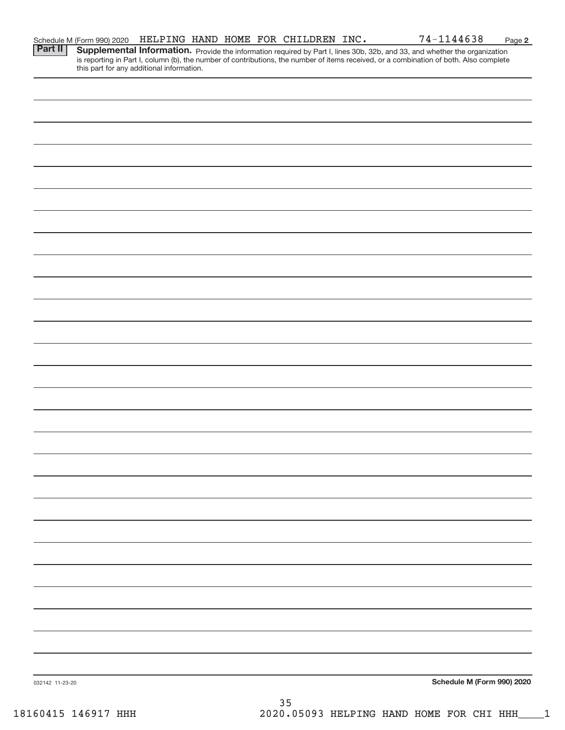|                 | Schedule M (Form 990) 2020                |  | HELPING HAND HOME FOR CHILDREN INC. | 74-1144638                                                                                                                                                                                                                          | Page 2 |
|-----------------|-------------------------------------------|--|-------------------------------------|-------------------------------------------------------------------------------------------------------------------------------------------------------------------------------------------------------------------------------------|--------|
| <b>Part II</b>  | this part for any additional information. |  |                                     | <b>Supplemental Information.</b> Provide the information required by Part I, lines 30b, 32b, and 33, and whether the organization is reporting in Part I, column (b), the number of contributions, the number of items received, or |        |
|                 |                                           |  |                                     |                                                                                                                                                                                                                                     |        |
|                 |                                           |  |                                     |                                                                                                                                                                                                                                     |        |
|                 |                                           |  |                                     |                                                                                                                                                                                                                                     |        |
|                 |                                           |  |                                     |                                                                                                                                                                                                                                     |        |
|                 |                                           |  |                                     |                                                                                                                                                                                                                                     |        |
|                 |                                           |  |                                     |                                                                                                                                                                                                                                     |        |
|                 |                                           |  |                                     |                                                                                                                                                                                                                                     |        |
|                 |                                           |  |                                     |                                                                                                                                                                                                                                     |        |
|                 |                                           |  |                                     |                                                                                                                                                                                                                                     |        |
|                 |                                           |  |                                     |                                                                                                                                                                                                                                     |        |
|                 |                                           |  |                                     |                                                                                                                                                                                                                                     |        |
|                 |                                           |  |                                     |                                                                                                                                                                                                                                     |        |
|                 |                                           |  |                                     |                                                                                                                                                                                                                                     |        |
|                 |                                           |  |                                     |                                                                                                                                                                                                                                     |        |
|                 |                                           |  |                                     |                                                                                                                                                                                                                                     |        |
|                 |                                           |  |                                     |                                                                                                                                                                                                                                     |        |
|                 |                                           |  |                                     |                                                                                                                                                                                                                                     |        |
|                 |                                           |  |                                     |                                                                                                                                                                                                                                     |        |
|                 |                                           |  |                                     |                                                                                                                                                                                                                                     |        |
|                 |                                           |  |                                     |                                                                                                                                                                                                                                     |        |
|                 |                                           |  |                                     |                                                                                                                                                                                                                                     |        |
|                 |                                           |  |                                     |                                                                                                                                                                                                                                     |        |
|                 |                                           |  |                                     |                                                                                                                                                                                                                                     |        |
|                 |                                           |  |                                     |                                                                                                                                                                                                                                     |        |
|                 |                                           |  |                                     |                                                                                                                                                                                                                                     |        |
|                 |                                           |  |                                     |                                                                                                                                                                                                                                     |        |
| 032142 11-23-20 |                                           |  |                                     | Schedule M (Form 990) 2020                                                                                                                                                                                                          |        |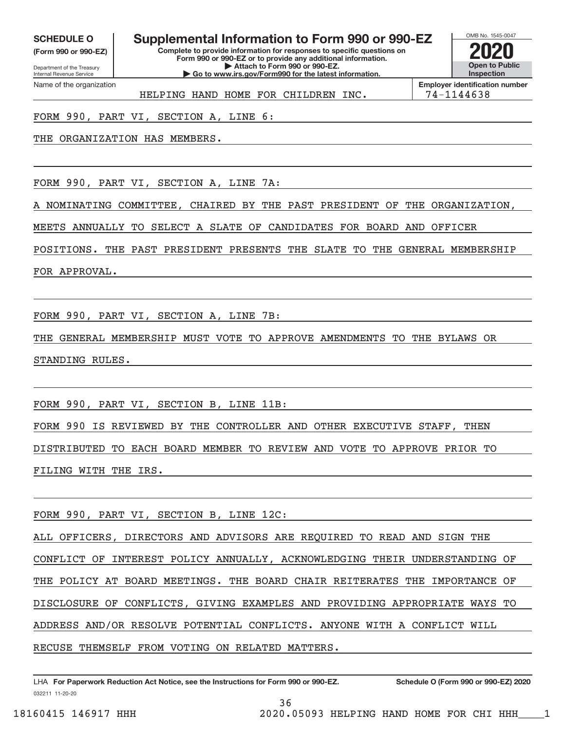**(Form 990 or 990‐EZ)**

Department of the Treasury Internal Revenue Service Name of the organization

## **SCHEDULE O Supplemental Information to Form 990 or 990‐EZ 2020**

**Complete to provide information for responses to specific questions on Form 990 or 990‐EZ or to provide any additional information. | Attach to Form 990 or 990‐EZ. | Go to www.irs.gov/Form990 for the latest information.**



HELPING HAND HOME FOR CHILDREN INC. | 74-1144638

**Employer identification number**

FORM 990, PART VI, SECTION A, LINE 6:

THE ORGANIZATION HAS MEMBERS.

FORM 990, PART VI, SECTION A, LINE 7A:

A NOMINATING COMMITTEE, CHAIRED BY THE PAST PRESIDENT OF THE ORGANIZATION,

MEETS ANNUALLY TO SELECT A SLATE OF CANDIDATES FOR BOARD AND OFFICER

POSITIONS. THE PAST PRESIDENT PRESENTS THE SLATE TO THE GENERAL MEMBERSHIP

FOR APPROVAL.

FORM 990, PART VI, SECTION A, LINE 7B:

THE GENERAL MEMBERSHIP MUST VOTE TO APPROVE AMENDMENTS TO THE BYLAWS OR STANDING RULES.

FORM 990, PART VI, SECTION B, LINE 11B:

FORM 990 IS REVIEWED BY THE CONTROLLER AND OTHER EXECUTIVE STAFF, THEN DISTRIBUTED TO EACH BOARD MEMBER TO REVIEW AND VOTE TO APPROVE PRIOR TO FILING WITH THE IRS.

FORM 990, PART VI, SECTION B, LINE 12C:

ALL OFFICERS, DIRECTORS AND ADVISORS ARE REQUIRED TO READ AND SIGN THE CONFLICT OF INTEREST POLICY ANNUALLY, ACKNOWLEDGING THEIR UNDERSTANDING OF THE POLICY AT BOARD MEETINGS. THE BOARD CHAIR REITERATES THE IMPORTANCE OF DISCLOSURE OF CONFLICTS, GIVING EXAMPLES AND PROVIDING APPROPRIATE WAYS TO ADDRESS AND/OR RESOLVE POTENTIAL CONFLICTS. ANYONE WITH A CONFLICT WILL RECUSE THEMSELF FROM VOTING ON RELATED MATTERS.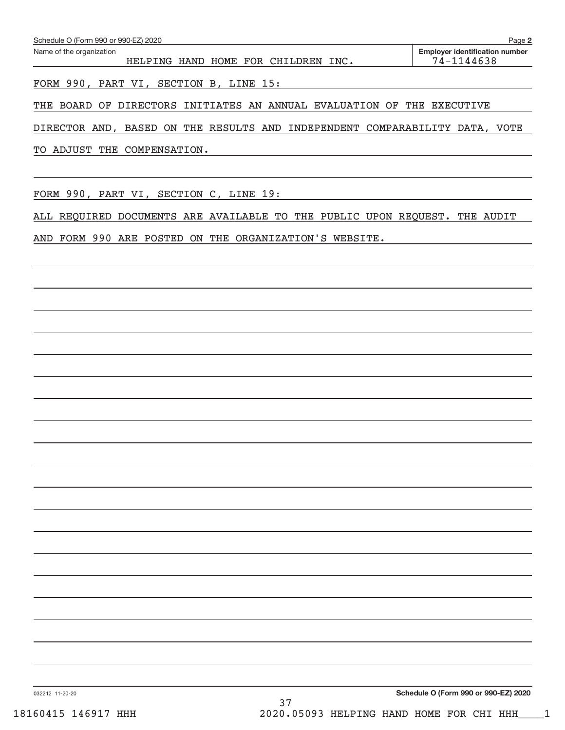| Schedule O (Form 990 or 990-EZ) 2020                                        |     | Page 2                                              |
|-----------------------------------------------------------------------------|-----|-----------------------------------------------------|
| Name of the organization<br>HELPING HAND HOME FOR CHILDREN INC.             |     | <b>Employer identification number</b><br>74-1144638 |
| FORM 990, PART VI, SECTION B, LINE 15:                                      |     |                                                     |
| THE BOARD OF DIRECTORS INITIATES AN ANNUAL EVALUATION OF THE EXECUTIVE      |     |                                                     |
| DIRECTOR AND, BASED ON THE RESULTS AND INDEPENDENT COMPARABILITY DATA, VOTE |     |                                                     |
| TO ADJUST THE COMPENSATION.                                                 |     |                                                     |
|                                                                             |     |                                                     |
| FORM 990, PART VI, SECTION C, LINE 19:                                      |     |                                                     |
| ALL REQUIRED DOCUMENTS ARE AVAILABLE TO THE PUBLIC UPON REQUEST. THE AUDIT  |     |                                                     |
| AND FORM 990 ARE POSTED ON THE ORGANIZATION'S WEBSITE.                      |     |                                                     |
|                                                                             |     |                                                     |
|                                                                             |     |                                                     |
|                                                                             |     |                                                     |
|                                                                             |     |                                                     |
|                                                                             |     |                                                     |
|                                                                             |     |                                                     |
|                                                                             |     |                                                     |
|                                                                             |     |                                                     |
|                                                                             |     |                                                     |
|                                                                             |     |                                                     |
|                                                                             |     |                                                     |
|                                                                             |     |                                                     |
|                                                                             |     |                                                     |
|                                                                             |     |                                                     |
|                                                                             |     |                                                     |
|                                                                             |     |                                                     |
|                                                                             |     |                                                     |
|                                                                             |     |                                                     |
|                                                                             |     |                                                     |
| 032212 11-20-20                                                             | ה ר | Schedule O (Form 990 or 990-EZ) 2020                |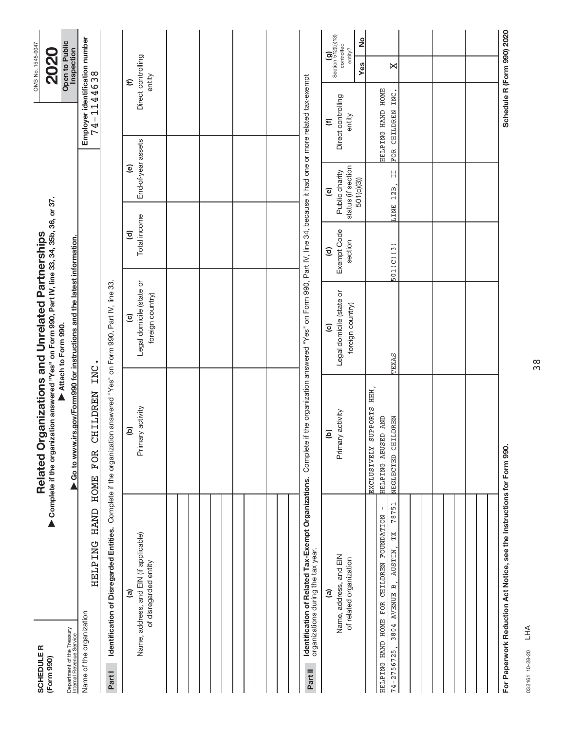| <b>SCHEDULER</b><br>(Form 990)                                                |                                                                                  | Complete if the organization answered "Yes" on Form 990, Part IV, line 33, 34, 35b, 36, or 37.<br>Related Organizations and Unrelated Partnerships |                                                               |                                                  |                                                                     |                                                      | OMB No. 1545-0047<br><b>2020</b>                                                                                 |
|-------------------------------------------------------------------------------|----------------------------------------------------------------------------------|----------------------------------------------------------------------------------------------------------------------------------------------------|---------------------------------------------------------------|--------------------------------------------------|---------------------------------------------------------------------|------------------------------------------------------|------------------------------------------------------------------------------------------------------------------|
| Department of the Treasury<br>Internal Revenue Service                        |                                                                                  | ▶ Go to www.irs.gov/Form990 for instructions and the latest information.                                                                           | Attach to Form 990.                                           |                                                  |                                                                     |                                                      | Open to Public<br>Inspection                                                                                     |
| Name of the organization                                                      | HAND<br><b>HELPING</b>                                                           | <b>CHILDREN</b><br><b>FOR</b><br><b>HOME</b>                                                                                                       | INC.                                                          |                                                  |                                                                     | 74-1144638                                           | Employer identification number                                                                                   |
| Part I                                                                        |                                                                                  | Identification of Disregarded Entities. Complete if the organization answered "Yes" on Form 990, Part IV, line 33.                                 |                                                               |                                                  |                                                                     |                                                      |                                                                                                                  |
|                                                                               | Name, address, and EIN (if applicable)<br>of disregarded entity<br>$\widehat{a}$ | Primary activity<br>ê                                                                                                                              | Legal domicile (state or<br>foreign country)<br>$\widehat{c}$ | Total income<br>$\widehat{\sigma}$               | End-of-year assets<br>$\mathbf{e}$                                  |                                                      | Direct controlling<br>entity<br>$\widehat{\epsilon}$                                                             |
|                                                                               |                                                                                  |                                                                                                                                                    |                                                               |                                                  |                                                                     |                                                      |                                                                                                                  |
|                                                                               |                                                                                  |                                                                                                                                                    |                                                               |                                                  |                                                                     |                                                      |                                                                                                                  |
|                                                                               |                                                                                  |                                                                                                                                                    |                                                               |                                                  |                                                                     |                                                      |                                                                                                                  |
|                                                                               |                                                                                  |                                                                                                                                                    |                                                               |                                                  |                                                                     |                                                      |                                                                                                                  |
| organizations during the tax year.<br>Part II                                 | Identification of Related Tax-Exempt Organizations.                              | Complete if the organization answered "Yes" on Form 990, Part IV, line 34, because it had one or more related tax-exempt                           |                                                               |                                                  |                                                                     |                                                      |                                                                                                                  |
|                                                                               | Name, address, and EIN<br>of related organization<br>ම                           | Primary activity<br>ê                                                                                                                              | Legal domicile (state or<br>foreign country)<br>$\widehat{c}$ | Exempt Code<br>section<br>$\widehat{\mathbf{c}}$ | status (if section<br>Public charity<br>501(c)(3))<br>$\widehat{e}$ | Direct controlling<br>entity<br>$\widehat{\epsilon}$ | $\begin{pmatrix} \mathbf{g} \\ \mathbf{g} \\ \mathbf{c} \end{pmatrix}$ section 512(b)(13)<br>ž<br>entity?<br>Yes |
| HELPING HAND HOME FOR CHILDREN FOUNDATION<br>3804 AVENUE B,<br>$74 - 2756725$ | 78751<br>$\,$ $\,$<br>TX<br><b>AUSTIN</b>                                        | EXCLUSIVELY SUPPORTS HHH<br>NEGLECTED CHILDREN<br>HELPING ABUSED AND                                                                               | TEXAS                                                         | 501(C)(3)                                        | H<br>LINE 12B,                                                      | HELPING HAND HOME<br>FOR CHILDREN INC.               | X                                                                                                                |
|                                                                               |                                                                                  |                                                                                                                                                    |                                                               |                                                  |                                                                     |                                                      |                                                                                                                  |
|                                                                               |                                                                                  |                                                                                                                                                    |                                                               |                                                  |                                                                     |                                                      |                                                                                                                  |
|                                                                               |                                                                                  |                                                                                                                                                    |                                                               |                                                  |                                                                     |                                                      |                                                                                                                  |
|                                                                               | For Paperwork Reduction Act Notice, see the Instructions for Form 990.           |                                                                                                                                                    |                                                               |                                                  |                                                                     |                                                      | Schedule R (Form 990) 2020                                                                                       |

032161 10‐28‐20 032161 10-28-20 LHA

38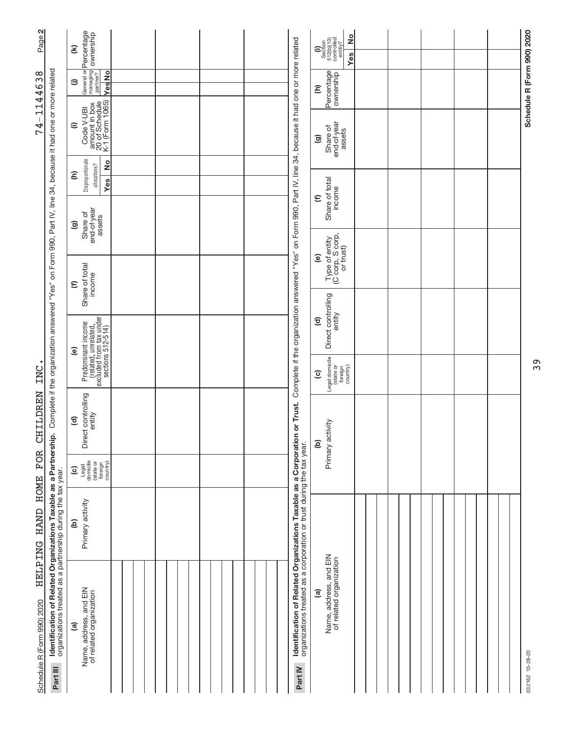| Page 2                     |                                                                                                                                           | $\widehat{\boldsymbol{\epsilon}}$                                                                                    |               |  |                                                                                                                                                               | ş<br>$\begin{array}{c} \text{(i)}\\ \text{Section}\\ 512(\text{b})(13)\\ \text{continued}\\ \text{continued}\\ \text{entity?} \end{array}$<br>Yes |  |  |                            |
|----------------------------|-------------------------------------------------------------------------------------------------------------------------------------------|----------------------------------------------------------------------------------------------------------------------|---------------|--|---------------------------------------------------------------------------------------------------------------------------------------------------------------|---------------------------------------------------------------------------------------------------------------------------------------------------|--|--|----------------------------|
| $-1144638$                 |                                                                                                                                           | General or <b>Percentage</b><br>managing <b>ownership</b><br>partner?<br>$\widehat{\phantom{a}}$                     | <b>Yes</b> No |  |                                                                                                                                                               | Percentage<br>Ξ                                                                                                                                   |  |  | Schedule R (Form 990) 2020 |
| 74                         | on Form 990, Part IV, line 34, because it had one or more related                                                                         | amount in box<br>- 20 of Schedule<br>- K-1 (Form 1065)<br>Code V-UBI<br>$\widehat{=}$                                |               |  | Complete if the organization answered "Yes" on Form 990, Part IV, line 34, because it had one or more related                                                 | end-of-year<br>Share of<br>assets<br>ම                                                                                                            |  |  |                            |
|                            |                                                                                                                                           | Disproportionate<br>allocations?<br>Ξ                                                                                | 2             |  |                                                                                                                                                               |                                                                                                                                                   |  |  |                            |
|                            |                                                                                                                                           |                                                                                                                      | Yes           |  |                                                                                                                                                               | Share of total<br>income<br>$\widehat{\epsilon}$                                                                                                  |  |  |                            |
|                            |                                                                                                                                           | end-of-year<br>assets<br>Share of<br>ම                                                                               |               |  |                                                                                                                                                               |                                                                                                                                                   |  |  |                            |
|                            |                                                                                                                                           | Share of total<br>income<br>$\mathbf{\epsilon}$                                                                      |               |  |                                                                                                                                                               | Type of entity<br>(C corp, S corp,<br>or trust)<br>ම                                                                                              |  |  |                            |
|                            |                                                                                                                                           |                                                                                                                      |               |  |                                                                                                                                                               | Direct controlling<br>entity<br>$\widehat{\mathbf{c}}$                                                                                            |  |  |                            |
|                            |                                                                                                                                           | Predominant income<br>(related, unrelated,<br>excluded from tax under<br>sections 512-514)<br>$\widehat{\mathbf{e}}$ |               |  |                                                                                                                                                               |                                                                                                                                                   |  |  |                            |
| INC                        |                                                                                                                                           |                                                                                                                      |               |  |                                                                                                                                                               | Legal domicile<br>(state or<br>foreign<br>country)<br>$\widehat{\mathbf{c}}$                                                                      |  |  |                            |
| <b>CHILDREN</b>            | Complete if the organization answered "Yes"<br><u>ة</u>                                                                                   | Direct controlling<br>entity<br>$\widehat{\mathbf{c}}$                                                               |               |  |                                                                                                                                                               | Primary activity<br>ව                                                                                                                             |  |  |                            |
| <b>FOR</b>                 |                                                                                                                                           | Legal<br>domicile<br>(state or<br>foreign<br>country)<br>$\widehat{\mathbf{c}}$                                      |               |  |                                                                                                                                                               |                                                                                                                                                   |  |  |                            |
| HELPING HAND HOME          |                                                                                                                                           | Primary activity<br>$\widehat{e}$                                                                                    |               |  |                                                                                                                                                               |                                                                                                                                                   |  |  |                            |
| Schedule R (Form 990) 2020 | Identification of Related Organizations Taxable as a Partnershi<br>organizations treated as a partnership during the tax year<br>Part III | Name, address, and EIN<br>of related organization<br>ම                                                               |               |  | Identification of Related Organizations Taxable as a Corporation or Trust.<br>organizations treated as a corporation or trust during the tax year.<br>Part IV | Name, address, and EIN<br>of related organization<br>$\widehat{a}$                                                                                |  |  | 032162 10-28-20            |

39

# 032162 10-28-20 032162 10‐28‐20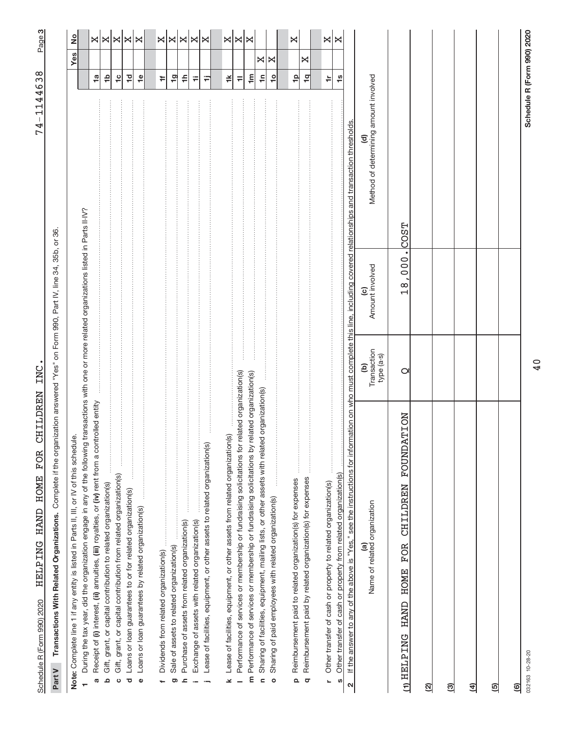Schedule R (Form 990) 2020 - HELLP LNG HAND HOME FOR CHILLDREN INC. Schedule R (Form 990) 2020 HELPING HAND HOME FOR CHILDREN INC. HELPING HAND HOME FOR CHILDREN INC.

**3**74-1144638 74‐1144638

> Part V Transactions With Related Organizations. Complete if the organization answered "Yes" on Form 990, Part IV, line 34, 35b, or 36. Complete if the organization answered "Yes" on Form 990, Part IV, line 34, 35b, or 36. **Part V Transactions With Related Organizations.**

| ₫                                                                                                                                                                                                                                           |                                 |                                      |                                                                                                    |                       | Yes |               |
|---------------------------------------------------------------------------------------------------------------------------------------------------------------------------------------------------------------------------------------------|---------------------------------|--------------------------------------|----------------------------------------------------------------------------------------------------|-----------------------|-----|---------------|
| During the tax year, did the organization engage in any of the following transactions with one or more related organizations listed in Parts II-IV?<br>Note: Complete line 1 if any entity is listed in Parts II, III, or IV of this schedu |                                 |                                      |                                                                                                    |                       |     | $\frac{1}{2}$ |
| Receipt of (i) interest, (ii) annuities, (iii) royalties, or (iv) rent from a controlled entity<br>Ø                                                                                                                                        |                                 |                                      |                                                                                                    | $\frac{1}{2}$         |     |               |
| Gift, grant, or capital contribution to related organization(s)<br>ء                                                                                                                                                                        |                                 |                                      |                                                                                                    | م‡                    |     | ×∣×           |
| Gift, grant, or capital contribution from related organization(s)<br>ပ                                                                                                                                                                      |                                 |                                      |                                                                                                    | $\frac{1}{2}$         |     | X             |
| Loans or loan guarantees to or for related organization(s)<br>ō                                                                                                                                                                             |                                 |                                      |                                                                                                    | $\overline{10}$       |     | ×             |
|                                                                                                                                                                                                                                             |                                 |                                      |                                                                                                    |                       |     | I×            |
| Loans or loan guarantees by related organization(s)<br>$\bullet$                                                                                                                                                                            |                                 |                                      |                                                                                                    | $\frac{\omega}{\tau}$ |     |               |
| Dividends from related organization(s)                                                                                                                                                                                                      |                                 |                                      |                                                                                                    | ÷                     |     |               |
| Sale of assets to related organization(s)<br>ත                                                                                                                                                                                              |                                 |                                      |                                                                                                    | 19                    |     |               |
| Purchase of assets from related organization(s)<br>$\overline{\phantom{a}}$                                                                                                                                                                 |                                 |                                      |                                                                                                    | ≑                     |     |               |
|                                                                                                                                                                                                                                             |                                 |                                      |                                                                                                    | Ŧ                     |     |               |
| Lease of facilities, equipment, or other assets to related organization(s)<br>Exchange of assets with related organization(s)                                                                                                               |                                 |                                      |                                                                                                    | Ξ                     |     | x x x         |
|                                                                                                                                                                                                                                             |                                 |                                      |                                                                                                    |                       |     |               |
| Lease of facilities, equipment, or other assets from related organization(s)<br>×                                                                                                                                                           |                                 |                                      |                                                                                                    | ≚                     |     |               |
| related organization(s)<br>Performance of services or membership or fundraising solicitations for                                                                                                                                           |                                 |                                      |                                                                                                    | $\equiv$              |     | ×∣×           |
| m Performance of services or membership or fundraising solicitations by related organization(s)                                                                                                                                             |                                 |                                      |                                                                                                    | $\mathbf{m}$          |     | $\bowtie$     |
| Sharing of facilities, equipment, mailing lists, or other assets with related organization(s)<br>$\mathbf{C}$                                                                                                                               |                                 |                                      |                                                                                                    | ۴                     | X   |               |
| Sharing of paid employees with related organization(s)<br>$\circ$                                                                                                                                                                           |                                 |                                      |                                                                                                    | $\ddot{\mathsf{c}}$   | ×   |               |
|                                                                                                                                                                                                                                             |                                 |                                      |                                                                                                    |                       |     |               |
| Reimbursement paid to related organization(s) for expenses<br>Q                                                                                                                                                                             |                                 |                                      |                                                                                                    | $\frac{1}{2}$         |     | ×             |
| .<br>.<br>.<br>.<br>.<br>.<br><b><i><u><u><u>.</u></u></u></i></b><br>Reimbursement paid by related organization(s) for expenses<br>$\sigma$                                                                                                |                                 |                                      |                                                                                                    | $\frac{1}{2}$         | ×   |               |
|                                                                                                                                                                                                                                             |                                 |                                      |                                                                                                    |                       |     |               |
| Other transfer of cash or property to related organization(s)<br>L                                                                                                                                                                          |                                 |                                      |                                                                                                    | ÷                     |     | X             |
| Other transfer of cash or property from related organization(s)<br>U)                                                                                                                                                                       |                                 |                                      |                                                                                                    | $\frac{8}{1}$         |     | ×             |
| If the answer to any of the above is "Yes," see the instructions for infor<br>$\mathbf{\Omega}$                                                                                                                                             |                                 |                                      | mation on who must complete this line, including covered relationships and transaction thresholds. |                       |     |               |
| Name of related organization<br>@                                                                                                                                                                                                           | Transaction<br>type (a-s)<br>වු | Amount involved<br>$\widehat{\circ}$ | Method of determining amount involved<br>₹                                                         |                       |     |               |
| CHILDREN FOUNDATION<br>(1) HELPING HAND HOME FOR                                                                                                                                                                                            | O                               | 18,000.                              | COST                                                                                               |                       |     |               |
| ସ୍ର                                                                                                                                                                                                                                         |                                 |                                      |                                                                                                    |                       |     |               |
| <u>ଗ୍ର</u>                                                                                                                                                                                                                                  |                                 |                                      |                                                                                                    |                       |     |               |
| ङ                                                                                                                                                                                                                                           |                                 |                                      |                                                                                                    |                       |     |               |
| ତ୍ର                                                                                                                                                                                                                                         |                                 |                                      |                                                                                                    |                       |     |               |
| මු                                                                                                                                                                                                                                          |                                 |                                      |                                                                                                    |                       |     |               |
| 032163 10-28-20                                                                                                                                                                                                                             |                                 |                                      | Schedule R (Form 990) 2020                                                                         |                       |     |               |

40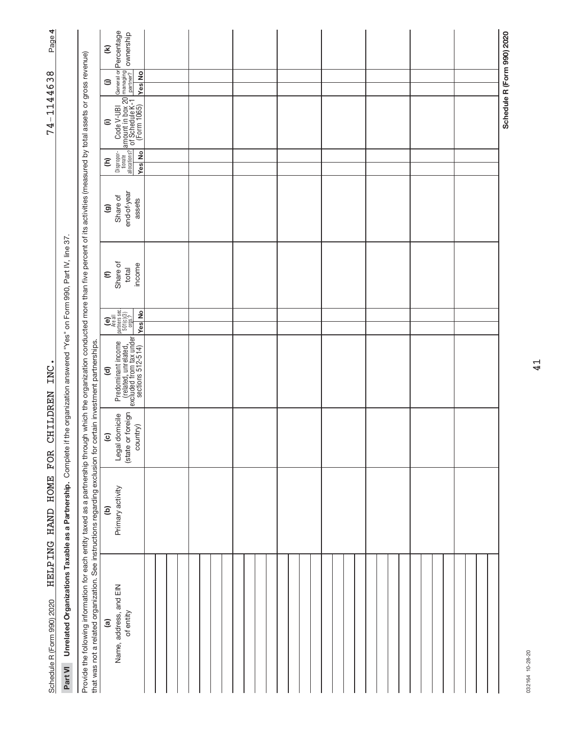| Page 4                     |                                                                          |                                                                                                                                                                                                                                                                                                                          | $\mathbf{\widehat{\epsilon}}$ | General or <b>Percentage</b><br>managing<br>partner? Ownership                                                                                                                                                                         |  |  |  |  |  |  |  |  |  |  |  |  |  |  |  |  |                            |
|----------------------------|--------------------------------------------------------------------------|--------------------------------------------------------------------------------------------------------------------------------------------------------------------------------------------------------------------------------------------------------------------------------------------------------------------------|-------------------------------|----------------------------------------------------------------------------------------------------------------------------------------------------------------------------------------------------------------------------------------|--|--|--|--|--|--|--|--|--|--|--|--|--|--|--|--|----------------------------|
|                            |                                                                          |                                                                                                                                                                                                                                                                                                                          | $\oplus$                      | <b>Yes</b> No                                                                                                                                                                                                                          |  |  |  |  |  |  |  |  |  |  |  |  |  |  |  |  |                            |
| 1144638<br>$74 -$          |                                                                          |                                                                                                                                                                                                                                                                                                                          | $\widehat{=}$                 | Disproper- Code V-UBI G<br>allocations? of Schedule K-1 LE<br>allocations? of Schedule K-1 LE<br>Yes No (Form 1065)                                                                                                                    |  |  |  |  |  |  |  |  |  |  |  |  |  |  |  |  | Schedule R (Form 990) 2020 |
|                            |                                                                          |                                                                                                                                                                                                                                                                                                                          | Ξ                             | Yes No                                                                                                                                                                                                                                 |  |  |  |  |  |  |  |  |  |  |  |  |  |  |  |  |                            |
|                            |                                                                          |                                                                                                                                                                                                                                                                                                                          | ම                             | end-of-year<br>Share of<br>assets                                                                                                                                                                                                      |  |  |  |  |  |  |  |  |  |  |  |  |  |  |  |  |                            |
|                            |                                                                          |                                                                                                                                                                                                                                                                                                                          | $\widehat{\epsilon}$          | Share of<br>income<br>total                                                                                                                                                                                                            |  |  |  |  |  |  |  |  |  |  |  |  |  |  |  |  |                            |
|                            |                                                                          |                                                                                                                                                                                                                                                                                                                          |                               | $\begin{bmatrix} \mathbf{e} \\ \mathbf{e} \\ \mathbf{h} \text{and} \\ \text{parameters} \text{ sec.} \\ \text{501}(\mathbf{e})(3) \\ \text{501}(\mathbf{e})(3) \\ \mathbf{e} \\ \mathbf{e} \text{ and} \end{bmatrix}$<br><b>Yes</b> No |  |  |  |  |  |  |  |  |  |  |  |  |  |  |  |  |                            |
| INC                        | the organization answered "Yes" on Form 990, Part IV, line 37            |                                                                                                                                                                                                                                                                                                                          | $\widehat{\mathbf{c}}$        |                                                                                                                                                                                                                                        |  |  |  |  |  |  |  |  |  |  |  |  |  |  |  |  |                            |
| <b>CHILDREN</b>            |                                                                          |                                                                                                                                                                                                                                                                                                                          | $\overline{c}$                | (state or foreign<br>Legal domicile<br>country)                                                                                                                                                                                        |  |  |  |  |  |  |  |  |  |  |  |  |  |  |  |  |                            |
| HELPING HAND HOME FOR      |                                                                          |                                                                                                                                                                                                                                                                                                                          | ê                             | Primary activity                                                                                                                                                                                                                       |  |  |  |  |  |  |  |  |  |  |  |  |  |  |  |  |                            |
| Schedule R (Form 990) 2020 | Unrelated Organizations Taxable as a Partnership. Complete if<br>Part VI | Provide the following information for each entity taxed as a partnership through which the organization conducted more than five percent of its activities (measured by total assets or gross revenue)<br>that was not a related organization. See instructions regarding exclusion for certain investment partnerships. | <u>ි</u>                      | Name, address, and EIN<br>of entity                                                                                                                                                                                                    |  |  |  |  |  |  |  |  |  |  |  |  |  |  |  |  |                            |